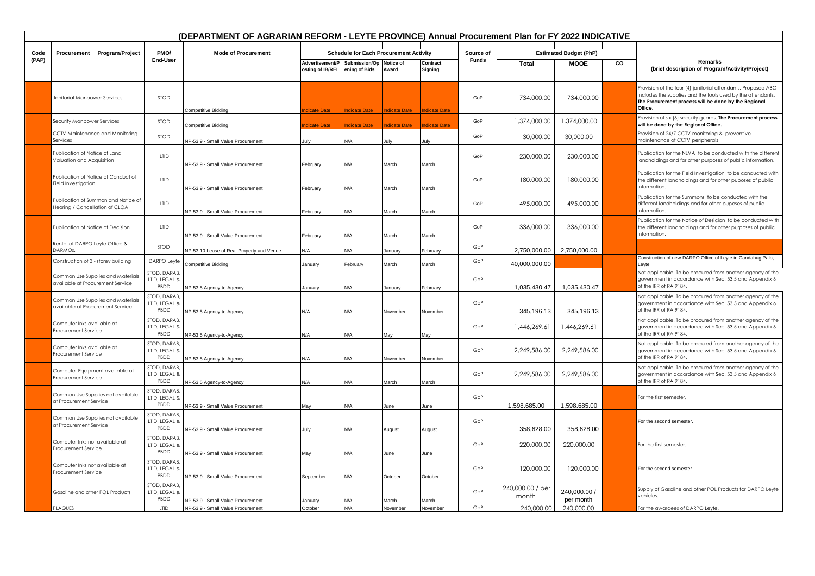| (DEPARTMENT OF AGRARIAN REFORM - LEYTE PROVINCE) Annual Procurement Plan for FY 2022 INDICATIVE |                                                                       |                                       |                                           |                                                                           |                                               |                      |                      |           |                           |                                              |    |                                                                                                                                                                                                 |
|-------------------------------------------------------------------------------------------------|-----------------------------------------------------------------------|---------------------------------------|-------------------------------------------|---------------------------------------------------------------------------|-----------------------------------------------|----------------------|----------------------|-----------|---------------------------|----------------------------------------------|----|-------------------------------------------------------------------------------------------------------------------------------------------------------------------------------------------------|
| Code                                                                                            |                                                                       | PMO/                                  | <b>Mode of Procurement</b>                |                                                                           | <b>Schedule for Each Procurement Activity</b> |                      |                      | Source of |                           |                                              |    |                                                                                                                                                                                                 |
| (PAP)                                                                                           | Procurement Program/Project                                           | End-User                              |                                           | Advertisement/P Submission/Op Notice of<br>osting of IB/REI ening of Bids |                                               | Award                | Contract<br>Signing  | Funds     | <b>Total</b>              | <b>Estimated Budget (PhP)</b><br><b>MOOE</b> | CO | Remarks<br>(brief description of Program/Activity/Project)                                                                                                                                      |
|                                                                                                 | Janitorial Manpower Services                                          | <b>STOD</b>                           | Competitive Bidding                       | dicate Date                                                               | <b>Indicate Date</b>                          | <b>Indicate Date</b> | <b>Indicate Date</b> | GoP       | 734,000.00                | 734,000.00                                   |    | Provision of the four (4) janitorial attendants. Proposed ABC<br>includes the supplies and the tools used by the attendants.<br>The Procurement process will be done by the Regional<br>Office. |
|                                                                                                 | Security Manpower Services                                            | STOD                                  | Competitive Bidding                       | dicate Date                                                               | ndicate Date                                  | <b>Indicate Date</b> | ndicate Date         | GoP       | 1,374,000.00              | 1,374,000.00                                 |    | Provision of six (6) security guards. The Procurement process<br>will be done by the Regional Office.                                                                                           |
|                                                                                                 | CCTV Maintenance and Monitoring<br>Services                           | <b>STOD</b>                           | NP-53.9 - Small Value Procurement         | July                                                                      | N/A                                           | lulv                 |                      | GoP       | 30,000.00                 | 30,000.00                                    |    | Provision of 24/7 CCTV monitoring & preventive<br>maintenance of CCTV peripherals                                                                                                               |
|                                                                                                 | Publication of Notice of Land<br>Valuation and Acquisition            | <b>LTID</b>                           | NP-53.9 - Small Value Procurement         | February                                                                  | N/A                                           | March                | March                | GoP       | 230,000.00                | 230,000.00                                   |    | Publication for the NLVA to be conducted with the different<br>landholdings and for other purposes of public information.                                                                       |
|                                                                                                 | Publication of Notice of Conduct of<br>Field Investigation            | <b>LTID</b>                           | NP-53.9 - Small Value Procurement         | February                                                                  | N/A                                           | March                | March                | GoP       | 180,000.00                | 180,000.00                                   |    | Publication for the Field Investigation to be conducted with<br>the different landholdings and for other puposes of public<br>information.                                                      |
|                                                                                                 | Publication of Summon and Notice of<br>Hearing / Cancellation of CLOA | <b>LTID</b>                           | <b>NP-53.9 - Small Value Procurement</b>  | February                                                                  | N/A                                           | March                | March                | GoP       | 495,000,00                | 495,000.00                                   |    | Publication for the Summons to be conducted with the<br>different landholdings and for other puposes of public<br>information.                                                                  |
|                                                                                                 | Publication of Notice of Decision                                     | <b>LTID</b>                           | NP-53.9 - Small Value Procurement         | February                                                                  | N/A                                           | March                | March                | GoP       | 336,000.00                | 336,000.00                                   |    | Publication for the Notice of Desicion to be conducted with<br>the different landholdings and for other purposes of public<br>information.                                                      |
|                                                                                                 | Rental of DARPO Leyte Office &<br>DARMOs.                             | STOD                                  | NP-53.10 Lease of Real Property and Venue | N/A                                                                       | N/A                                           | Januarv              | February             | GoP       | 2,750,000.00              | 2,750,000.00                                 |    |                                                                                                                                                                                                 |
|                                                                                                 | Construction of 3 - storey building                                   | DARPO Leyfe                           | Competitive Bidding                       | January                                                                   | February                                      | March                | March                | GoP       | 40,000,000.00             |                                              |    | Construction of new DARPO Office of Leyte in Candahug, Palo,<br>Leyte                                                                                                                           |
|                                                                                                 | Common Use Supplies and Materials<br>available at Procurement Service | STOD, DARAB,<br>LTID, LEGAL &<br>PBDD | NP-53.5 Agency-to-Agency                  | anuary                                                                    | N/A                                           | January              | February             | GoP       | 1,035,430.47              | 1,035,430.47                                 |    | Not applicable. To be procured from another agency of the<br>government in accordance with Sec. 53.5 and Appendix 6<br>of the IRR of RA 9184.                                                   |
|                                                                                                 | Common Use Supplies and Materials<br>available at Procurement Service | STOD, DARAB<br>LTID, LEGAL &<br>PBDD  | NP-53.5 Agency-to-Agency                  | N/A                                                                       | N/A                                           | November             | November             | GoP       | 345,196.13                | 345,196.13                                   |    | Not applicable. To be procured from another agency of the<br>government in accordance with Sec. 53.5 and Appendix 6<br>of the IRR of RA 9184.                                                   |
|                                                                                                 | Computer Inks available at<br>Procurement Service                     | STOD, DARAB<br>LTID, LEGAL &<br>PBDD  | NP-53.5 Agency-to-Agency                  | N/A                                                                       | N/A                                           | May                  | May                  | GoP       | 1,446,269.61              | 1,446,269.61                                 |    | Not applicable. To be procured from another agency of the<br>government in accordance with Sec. 53.5 and Appendix 6<br>of the IRR of RA 9184.                                                   |
|                                                                                                 | Computer Inks available at<br>Procurement Service                     | STOD, DARAB<br>LTID, LEGAL &<br>PBDD  | NP-53.5 Agency-to-Agency                  | N/A                                                                       | N/A                                           | November             | November             | GoP       | 2,249,586.00              | 2,249,586.00                                 |    | Not applicable. To be procured from another agency of the<br>government in accordance with Sec. 53.5 and Appendix 6<br>of the IRR of RA 9184.                                                   |
|                                                                                                 | Computer Equipment available at<br>Procurement Service                | STOD, DARAB<br>LTID, LEGAL &<br>PBDD  | NP-53.5 Agency-to-Agency                  | N/A                                                                       | N/A                                           | March                | March                | GoP       | 2,249,586.00              | 2,249,586.00                                 |    | Not applicable. To be procured from another agency of the<br>government in accordance with Sec. 53.5 and Appendix 6<br>of the IRR of RA 9184.                                                   |
|                                                                                                 | Common Use Supplies not available<br>at Procurement Service           | STOD, DARAB,<br>LTID, LEGAL &<br>PBDD | NP-53.9 - Small Value Procurement         | May                                                                       | N/A                                           | June                 | June                 | GoP       | 1,598.685.00              | 1,598.685.00                                 |    | For the first semester.                                                                                                                                                                         |
|                                                                                                 | Common Use Supplies not available<br>at Procurement Service           | STOD, DARAB<br>LTID, LEGAL &<br>PBDD  | NP-53.9 - Small Value Procurement         | July                                                                      | N/A                                           | August               | August               | GoP       | 358,628.00                | 358,628.00                                   |    | For the second semester.                                                                                                                                                                        |
|                                                                                                 | Computer Inks not available at<br>Procurement Service                 | STOD, DARAB<br>LTID, LEGAL &<br>PBDD  | NP-53.9 - Small Value Procurement         | May                                                                       | N/A                                           | June                 | June                 | GoP       | 220,000.00                | 220,000.00                                   |    | For the first semester.                                                                                                                                                                         |
|                                                                                                 | Computer Inks not available at<br>Procurement Service                 | STOD, DARAB,<br>LTID, LEGAL &<br>PBDD | NP-53.9 - Small Value Procurement         | September                                                                 | N/A                                           | October              | October              | GoP       | 120,000.00                | 120,000.00                                   |    | For the second semester.                                                                                                                                                                        |
|                                                                                                 | Gasoline and other POL Products                                       | STOD, DARAB<br>LTID, LEGAL &<br>PBDD  | NP-53.9 - Small Value Procurement         | anuary                                                                    | ۷/A                                           | March                | March                | GoP       | 240,000.00 / per<br>month | 240,000.00 /<br>per month                    |    | Supply of Gasoline and other POL Products for DARPO Leyte<br>vehicles.                                                                                                                          |
|                                                                                                 | <b>PLAQUES</b>                                                        | LTID                                  | NP-53.9 - Small Value Procurement         | October                                                                   | N/A                                           | November             | November             | GoP       | 240,000.00                | 240,000.00                                   |    | For the awardees of DARPO Leyte.                                                                                                                                                                |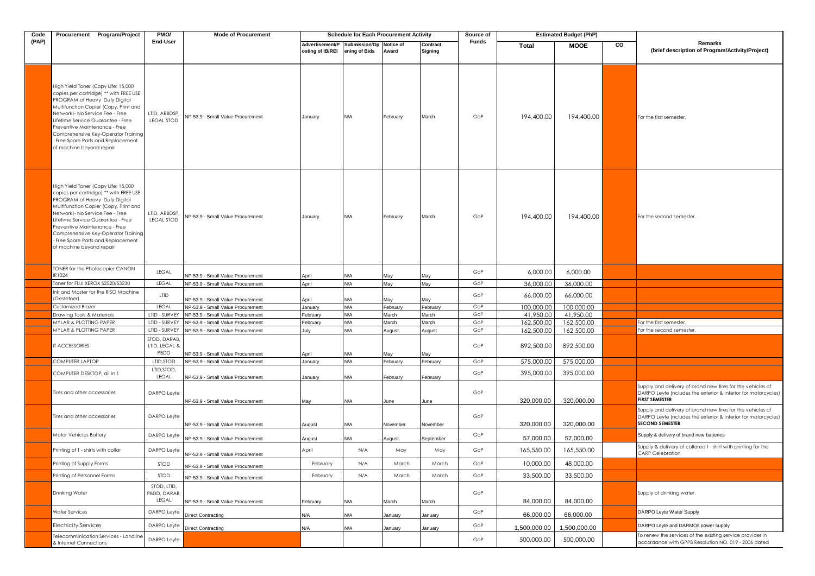| Code  | Procurement Program/Project                                                                                                                                                                                                                                                                                                                                                | PM <sub>O</sub> /                     | <b>Mode of Procurement</b>                                             |                                     | <b>Schedule for Each Procurement Activity</b> |                   |                     | Source of |                           | <b>Estimated Budget (PhP)</b> |    |                                                                                                                                                       |
|-------|----------------------------------------------------------------------------------------------------------------------------------------------------------------------------------------------------------------------------------------------------------------------------------------------------------------------------------------------------------------------------|---------------------------------------|------------------------------------------------------------------------|-------------------------------------|-----------------------------------------------|-------------------|---------------------|-----------|---------------------------|-------------------------------|----|-------------------------------------------------------------------------------------------------------------------------------------------------------|
| (PAP) |                                                                                                                                                                                                                                                                                                                                                                            | End-User                              |                                                                        | Advertisement/P<br>osting of IB/REI | Submission/Op Notice of<br>ening of Bids      | Award             | Contract<br>Signing | Funds     | Total                     | <b>MOOE</b>                   | CO | Remarks<br>(brief description of Program/Activity/Project)                                                                                            |
|       | High Yield Toner (Copy Life: 15,000<br>copies per cartridge) ** with FREE USE<br>PROGRAM of Heavy Duty Digital<br>Multifunction Copier (Copy, Print and<br>Network) - No Service Fee - Free<br>Lifetime Service Guarantee - Free<br>Preventive Maintenance - Free<br>Comprehensive Key-Operator Training<br>Free Spare Parts and Replacement .<br>of machine beyond repair | LTID, ARBDSP.<br><b>LEGAL STOD</b>    | NP-53.9 - Small Value Procurement                                      | January                             | N/A                                           | February          | March               | GoP       | 194,400.00                | 194,400.00                    |    | For the first semester.                                                                                                                               |
|       | High Yield Toner (Copy Life: 15,000<br>copies per cartridge) ** with FREE USE<br>PROGRAM of Heavy Duty Digital<br>Multifunction Copier (Copy, Print and<br>Network) - No Service Fee - Free<br>Lifetime Service Guarantee - Free<br>Preventive Maintenance - Free<br>Comprehensive Key-Operator Training<br>Free Spare Parts and Replacement<br>of machine beyond repair   | LTID, ARBDSP,<br><b>LEGAL STOD</b>    | NP-53.9 - Small Value Procurement                                      | January                             | N/A                                           | February          | March               | GoP       | 194,400.00                | 194,400.00                    |    | For the second semester.                                                                                                                              |
|       | <b>TONER for the Photocopier CANON</b><br>R1024                                                                                                                                                                                                                                                                                                                            | LEGAL                                 |                                                                        |                                     |                                               |                   |                     | GoP       | 6,000.00                  | 6,000.00                      |    |                                                                                                                                                       |
|       | Toner for FUJI XEROX S2520/S3230                                                                                                                                                                                                                                                                                                                                           | LEGAL                                 | NP-53.9 - Small Value Procurement<br>NP-53.9 - Small Value Procurement | April<br>April                      | N/A<br>N/A                                    | May<br>May        | May<br>May          | GoP       | 36,000.00                 | 36,000.00                     |    |                                                                                                                                                       |
|       | Ink and Master for the RISO Machine                                                                                                                                                                                                                                                                                                                                        | LTID                                  |                                                                        |                                     |                                               |                   |                     | GoP       | 66,000.00                 | 66,000.00                     |    |                                                                                                                                                       |
|       | (Gestetner)                                                                                                                                                                                                                                                                                                                                                                | LEGAL                                 | NP-53.9 - Small Value Procurement<br>NP-53.9 - Small Value Procurement | April                               | N/A                                           | May               | May                 | GoP       | 100.000.00                |                               |    |                                                                                                                                                       |
|       | Customized Blazer<br>Drawing Tools & Materials                                                                                                                                                                                                                                                                                                                             | LTID - SURVEY                         | NP-53.9 - Small Value Procurement                                      | January<br>February                 | N/A<br>N/A                                    | February<br>March | February<br>March   | GoP       | 41,950.00                 | 100,000.00<br>41,950.00       |    |                                                                                                                                                       |
|       | <b>MYLAR &amp; PLOTTING PAPER</b>                                                                                                                                                                                                                                                                                                                                          | LTID - SURVEY                         | NP-53.9 - Small Value Procurement                                      | February                            | N/A                                           | March             | March               | GoP       | 162,500.00                | 162,500.00                    |    | For the first semester.                                                                                                                               |
|       | <b>MYLAR &amp; PLOTTING PAPER</b>                                                                                                                                                                                                                                                                                                                                          | LTID - SURVEY                         | NP-53.9 - Small Value Procurement                                      | July                                | N/A                                           | August            | August              | GoP       | 162,500.00                | 162,500.00                    |    | For the second semester.                                                                                                                              |
|       | <b>T ACCESSORIES</b>                                                                                                                                                                                                                                                                                                                                                       | STOD, DARAB,<br>LTID, LEGAL &<br>PBDD | NP-53.9 - Small Value Procurement                                      | April                               | N/A                                           | May               | May                 | GoP       | 892,500.00                | 892,500.00                    |    |                                                                                                                                                       |
|       | COMPUTER LAPTOP                                                                                                                                                                                                                                                                                                                                                            | LTID, STOD                            | NP-53.9 - Small Value Procurement                                      | January                             | N/A                                           | February          | February            | GoP       | 575,000.00                | 575,000.00                    |    |                                                                                                                                                       |
|       | COMPUTER DESKTOP, all in 1                                                                                                                                                                                                                                                                                                                                                 | LTID, STOD,<br>LEGAL                  | NP-53.9 - Small Value Procurement                                      | January                             | N/A                                           | February          | February            | GoP       | 395,000.00                | 395,000.00                    |    |                                                                                                                                                       |
|       | Tires and other accessories                                                                                                                                                                                                                                                                                                                                                | DARPO Leyfe                           | NP-53.9 - Small Value Procurement                                      | May                                 | N/A                                           | June              | June                | GoP       | 320,000.00                | 320,000.00                    |    | Supply and delivery of brand new tires for the vehicles of<br>DARPO Leyte (ncludes the exterior & interior for motorcycles)<br><b>FIRST SEMESTER</b>  |
|       | Tires and other accessories                                                                                                                                                                                                                                                                                                                                                | DARPO Leyfe                           | NP-53.9 - Small Value Procurement                                      | August                              | N/A                                           | November          | November            | GoP       | 320,000.00                | 320,000.00                    |    | Supply and delivery of brand new tires for the vehicles of<br>DARPO Leyte (ncludes the exterior & interior for motorcycles)<br><b>SECOND SEMESTER</b> |
|       | Motor Vehicles Battery                                                                                                                                                                                                                                                                                                                                                     | DARPO Leyfe                           | NP-53.9 - Small Value Procurement                                      | August                              | N/A                                           | August            | September           | GoP       | 57,000.00                 | 57,000.00                     |    | Supply & delivery of brand new batteries                                                                                                              |
|       | Printing of T - shirts with collar                                                                                                                                                                                                                                                                                                                                         | DARPO Leyte                           | NP-53.9 - Small Value Procurement                                      | April                               | N/A                                           | May               | May                 | GoP       | 165,550.00                | 165,550.00                    |    | Supply & delivery of collared t - shirt with printing for the<br>CARP Celebration                                                                     |
|       | Printing of Supply Forms                                                                                                                                                                                                                                                                                                                                                   | STOD                                  | NP-53.9 - Small Value Procurement                                      | February                            | N/A                                           | March             | March               | GoP       | 10,000.00                 | 48,000.00                     |    |                                                                                                                                                       |
|       | Printing of Personnel Forms                                                                                                                                                                                                                                                                                                                                                | STOD                                  | NP-53.9 - Small Value Procurement                                      | February                            | N/A                                           | March             | March               | GoP       | 33,500.00                 | 33,500.00                     |    |                                                                                                                                                       |
|       | Drinking Water                                                                                                                                                                                                                                                                                                                                                             | STOD, LTID,<br>PBDD, DARAB,<br>LEGAL  | NP-53.9 - Small Value Procurement                                      | February                            | N/A                                           | March             | March               | GoP       | 84,000.00                 | 84,000.00                     |    | Supply of drinking water.                                                                                                                             |
|       | <b>Water Services</b>                                                                                                                                                                                                                                                                                                                                                      | DARPO Leyfe                           |                                                                        |                                     |                                               |                   |                     | GoP       |                           |                               |    | DARPO Leyte Water Supply                                                                                                                              |
|       | Electricity Services                                                                                                                                                                                                                                                                                                                                                       | DARPO Leyfe                           | Direct Contracting<br>Direct Contracting                               | N/A<br>N/A                          | N/A<br>N/A                                    | anuary<br>January | January<br>January  | GoP       | 66,000.00<br>1,500,000.00 | 66,000.00<br>1,500,000.00     |    | DARPO Leyte and DARMOs power supply                                                                                                                   |
|       | <b>Telecomminication Services - Landline</b><br>& Internet Connections                                                                                                                                                                                                                                                                                                     | DARPO Leyfe                           |                                                                        |                                     |                                               |                   |                     | GoP       | 500,000.00                | 500,000.00                    |    | To renew the services of the existing service provider in<br>accordance with GPPB Resolution NO. 019 - 2006 dated                                     |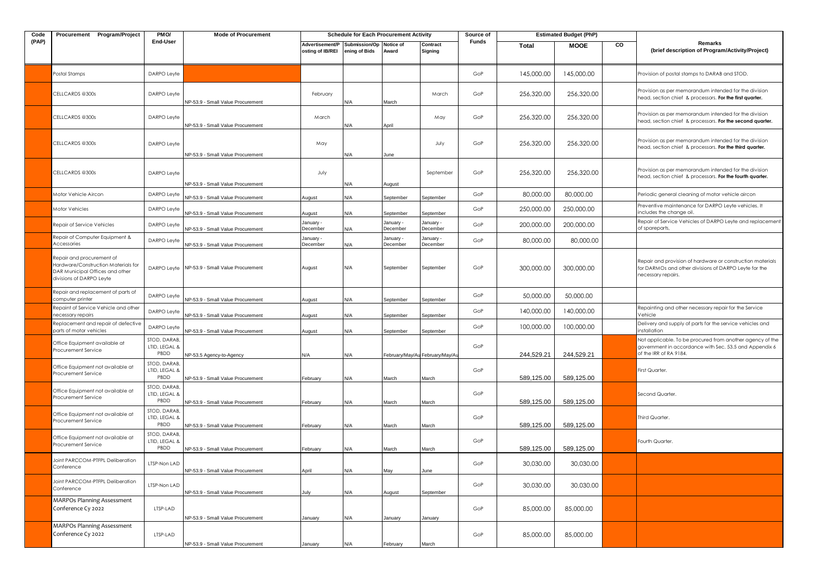| Code  | Procurement Program/Project                                                                                                     | PMO/                                  | <b>Mode of Procurement</b>                    |                                     | <b>Schedule for Each Procurement Activity</b> |                       |                                 | Source of |              | <b>Estimated Budget (PhP)</b> |    |                                                                                                                                               |
|-------|---------------------------------------------------------------------------------------------------------------------------------|---------------------------------------|-----------------------------------------------|-------------------------------------|-----------------------------------------------|-----------------------|---------------------------------|-----------|--------------|-------------------------------|----|-----------------------------------------------------------------------------------------------------------------------------------------------|
| (PAP) |                                                                                                                                 | End-User                              |                                               | Advertisement/P<br>osting of IB/REI | Submission/Op<br>ening of Bids                | Notice of<br>Award    | Contract<br>Signing             | Funds     | <b>Total</b> | <b>MOOE</b>                   | CO | Remarks<br>(brief description of Program/Activity/Project)                                                                                    |
|       | Postal Stamps                                                                                                                   | DARPO Leyfe                           |                                               |                                     |                                               |                       |                                 | GoP       | 145,000.00   | 145,000.00                    |    | Provision of postal stamps to DARAB and STOD.                                                                                                 |
|       | CELLCARDS @300s                                                                                                                 | DARPO Leyte                           | NP-53.9 - Small Value Procurement             | February                            | ۷/A                                           | March                 | March                           | GoP       | 256,320.00   | 256,320.00                    |    | Provision as per memorandum intended for the division<br>head, section chief & processors. For the first quarter.                             |
|       | CELLCARDS @300s                                                                                                                 | DARPO Leyte                           | NP-53.9 - Small Value Procurement             | March                               | ۷/A                                           | April                 | May                             | GoP       | 256,320.00   | 256,320.00                    |    | Provision as per memorandum intended for the division<br>head, section chief & processors. For the second quarter.                            |
|       | CELLCARDS @300s                                                                                                                 | DARPO Leyte                           | NP-53.9 - Small Value Procurement             | May                                 | <b>V/A</b>                                    | June                  | July                            | GoP       | 256,320.00   | 256.320.00                    |    | Provision as per memorandum intended for the division<br>head, section chief & processors. For the third quarter.                             |
|       | CELLCARDS @300s                                                                                                                 | DARPO Leyfe                           | NP-53.9 - Small Value Procurement             | July                                | N/A                                           | August                | September                       | GoP       | 256,320.00   | 256,320.00                    |    | Provision as per memorandum intended for the division<br>head, section chief & processors. For the fourth quarter.                            |
|       | Motor Vehicle Aircon                                                                                                            | DARPO Leyfe                           | NP-53.9 - Small Value Procurement             | August                              | N/A                                           | September             | September                       | GoP       | 80,000.00    | 80,000,00                     |    | Periodic general cleaning of motor vehicle aircon                                                                                             |
|       | Motor Vehicles                                                                                                                  | DARPO Leyte                           | NP-53.9 - Small Value Procurement             | August                              | N/A                                           | September             | September                       | GoP       | 250,000.00   | 250,000.00                    |    | Preventive maintenance for DARPO Leyte vehicles. It<br>includes the change oil.                                                               |
|       | Repair of Service Vehicles                                                                                                      | DARPO Leyte                           | NP-53.9 - Small Value Procurement             | January -<br>ecember                | ۷/A                                           | January -<br>December | January -<br>December           | GoP       | 200,000.00   | 200,000.00                    |    | Repair of Service Vehicles of DARPO Leyte and replacement<br>of spareparts,                                                                   |
|       | Repair of Computer Equipment &<br>Accessories                                                                                   | DARPO Leyfe                           | NP-53.9 - Small Value Procurement             | January -<br>December               | N/A                                           | January -<br>December | January -<br>December           | GoP       | 80,000.00    | 80,000.00                     |    |                                                                                                                                               |
|       | Repair and procurement of<br>Hardware/Construction Materials for<br>DAR Municipal Offices and other<br>divisions of DARPO Leyte |                                       | DARPO Leyfe NP-53.9 - Small Value Procurement | August                              | N/A                                           | September             | September                       | GoP       | 300,000.00   | 300,000.00                    |    | Repair and provision of hardware or construction materials<br>for DARMOs and other divisions of DARPO Leyte for the<br>necessary repairs.     |
|       | Repair and replacement of parts of<br>computer printer                                                                          | DARPO Leyfe                           | NP-53.9 - Small Value Procurement             | August                              | <b>N/A</b>                                    | September             | September                       | GoP       | 50,000.00    | 50,000.00                     |    |                                                                                                                                               |
|       | Repaint of Service Vehicle and other<br>necessary repairs                                                                       | DARPO Leyfe                           | NP-53.9 - Small Value Procurement             | August                              | ۷/A                                           | September             | September                       | GoP       | 140,000.00   | 140,000.00                    |    | Repainting and other necessary repair for the Service<br>Vehicle                                                                              |
|       | Replacement and repair of defective<br>parts of motor vehicles                                                                  | DARPO Leyfe                           | NP-53.9 - Small Value Procurement             | August                              | N/A                                           | September             | September                       | GoP       | 100,000.00   | 100,000.00                    |    | Delivery and supply of parts for the service vehicles and<br>installation                                                                     |
|       | Office Equipment available at<br>Procurement Service                                                                            | STOD, DARAB,<br>LTID, LEGAL &<br>PBDD | NP-53.5 Agency-to-Agency                      | N/A                                 | N/A                                           |                       | February/May/Au February/May/Ar | GoP       | 244,529.21   | 244,529.21                    |    | Not applicable. To be procured from another agency of the<br>government in accordance with Sec. 53.5 and Appendix 6<br>of the IRR of RA 9184. |
|       | Office Equipment not available at<br>Procurement Service                                                                        | STOD, DARAB,<br>LTID, LEGAL &<br>PBDD | NP-53.9 - Small Value Procurement             | February                            | N/A                                           | March                 | March                           | GoP       | 589,125.00   | 589,125.00                    |    | First Quarter.                                                                                                                                |
|       | Office Equipment not available at<br>Procurement Service                                                                        | STOD, DARAB<br>LTID, LEGAL &<br>PBDD  | NP-53.9 - Small Value Procurement             | ebruary                             | N/A                                           | March                 | March                           | GoP       | 589,125.00   | 589,125.00                    |    | Second Quarter.                                                                                                                               |
|       | Office Equipment not available at<br>Procurement Service                                                                        | STOD, DARAB<br>LTID, LEGAL &<br>PBDD  | NP-53.9 - Small Value Procurement             | ebruary                             | N/A                                           | March                 | March                           | GoP       | 589,125.00   | 589,125.00                    |    | Third Quarter.                                                                                                                                |
|       | Office Equipment not available at<br>Procurement Service                                                                        | STOD, DARAB,<br>LTID, LEGAL &<br>PBDD | NP-53.9 - Small Value Procurement             | February                            | ۷/A                                           | March                 | March                           | GoP       | 589,125.00   | 589,125.00                    |    | Fourth Quarter.                                                                                                                               |
|       | Joint PARCCOM-PTFPL Deliberation<br>Conference                                                                                  | TSP-Non LAD                           | NP-53.9 - Small Value Procurement             | April                               | N/A                                           | May                   | June                            | GoP       | 30,030.00    | 30,030.00                     |    |                                                                                                                                               |
|       | Joint PARCCOM-PTFPL Deliberation<br>Conference                                                                                  | LTSP-Non LAD                          | NP-53.9 - Small Value Procurement             | July                                | N/A                                           | August                | September                       | GoP       | 30,030.00    | 30,030.00                     |    |                                                                                                                                               |
|       | <b>MARPOs Planning Assessment</b><br>Conference Cy 2022                                                                         | LTSP-LAD                              | NP-53.9 - Small Value Procurement             | lanuary                             | N/A                                           | January               | January                         | GoP       | 85,000.00    | 85,000.00                     |    |                                                                                                                                               |
|       | <b>MARPOs Planning Assessment</b><br>Conference Cy 2022                                                                         | LTSP-LAD                              | NP-53.9 - Small Value Procurement             | lanuary                             | N/A                                           | February              | March                           | GoP       | 85,000.00    | 85,000.00                     |    |                                                                                                                                               |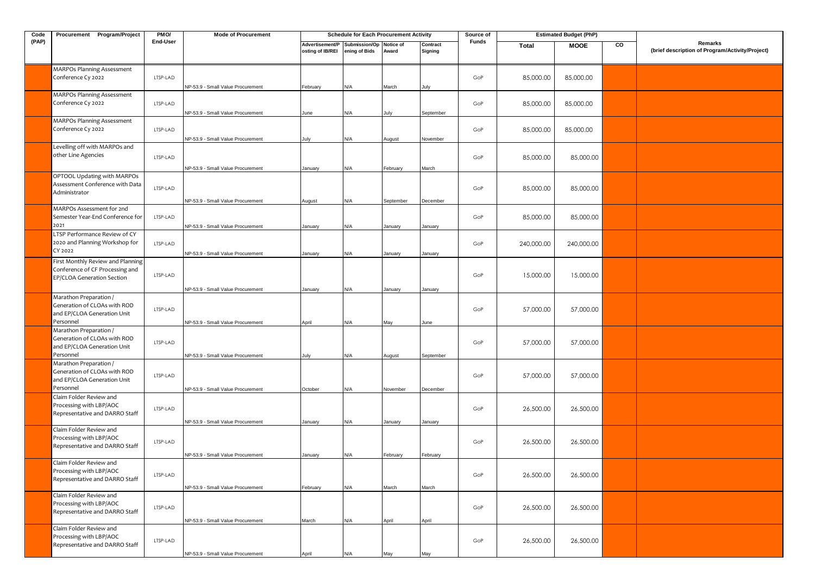| Code  | Procurement Program/Project                                                                        | PMO/     | <b>Mode of Procurement</b>                                             |                                     | <b>Schedule for Each Procurement Activity</b> |                    |                     | Source of    |            | <b>Estimated Budget (PhP)</b> |    |                                                            |
|-------|----------------------------------------------------------------------------------------------------|----------|------------------------------------------------------------------------|-------------------------------------|-----------------------------------------------|--------------------|---------------------|--------------|------------|-------------------------------|----|------------------------------------------------------------|
| (PAP) |                                                                                                    | End-User |                                                                        | Advertisement/P<br>osting of IB/REI | Submission/Op<br>ening of Bids                | Notice of<br>Award | Contract<br>Signing | <b>Funds</b> | Total      | <b>MOOE</b>                   | CO | Remarks<br>(brief description of Program/Activity/Project) |
|       | <b>MARPOs Planning Assessment</b><br>Conference Cy 2022                                            | LTSP-LAD | NP-53.9 - Small Value Procurement                                      | February                            | N/A                                           | March              | July                | GoP          | 85,000.00  | 85,000.00                     |    |                                                            |
|       | <b>MARPOs Planning Assessment</b><br>Conference Cy 2022                                            | LTSP-LAD | NP-53.9 - Small Value Procurement                                      | June                                | N/A                                           | July               | September           | GoP          | 85,000.00  | 85,000.00                     |    |                                                            |
|       | <b>MARPOs Planning Assessment</b><br>Conference Cy 2022                                            | LTSP-LAD | NP-53.9 - Small Value Procurement                                      | July                                | N/A                                           | August             | November            | GoP          | 85,000.00  | 85,000.00                     |    |                                                            |
|       | Levelling off with MARPOs and<br>other Line Agencies                                               | LTSP-LAD |                                                                        |                                     |                                               |                    |                     | GoP          | 85,000.00  | 85,000.00                     |    |                                                            |
|       | OPTOOL Updating with MARPOs<br>Assessment Conference with Data<br>Administrator                    | LTSP-LAD | NP-53.9 - Small Value Procurement                                      | January                             | N/A                                           | February           | March               | GoP          | 85,000.00  | 85,000.00                     |    |                                                            |
|       | MARPOs Assessment for 2nd<br>Semester Year-End Conference for                                      | LTSP-LAD | NP-53.9 - Small Value Procurement                                      | August                              | N/A                                           | September          | December            | GoP          | 85,000.00  | 85,000.00                     |    |                                                            |
|       | 2021<br>LTSP Performance Review of CY<br>2020 and Planning Workshop for<br>CY 2022                 | LTSP-LAD | NP-53.9 - Small Value Procurement<br>NP-53.9 - Small Value Procurement | January<br>January                  | N/A<br>N/A                                    | January<br>January | January<br>January  | GoP          | 240,000.00 | 240,000.00                    |    |                                                            |
|       | First Monthly Review and Planning<br>Conference of CF Processing and<br>EP/CLOA Generation Section | LTSP-LAD | VP-53.9 - Small Value Procurement                                      | January                             | N/A                                           | January            | January             | GoP          | 15,000.00  | 15,000.00                     |    |                                                            |
|       | Marathon Preparation /<br>Generation of CLOAs with ROD<br>and EP/CLOA Generation Unit<br>Personnel | LTSP-LAD | NP-53.9 - Small Value Procurement                                      | April                               | N/A                                           | May                | June                | GoP          | 57,000.00  | 57,000.00                     |    |                                                            |
|       | Marathon Preparation /<br>Generation of CLOAs with ROD<br>and EP/CLOA Generation Unit<br>Personnel | LTSP-LAD | NP-53.9 - Small Value Procurement                                      | July                                | N/A                                           | August             | September           | GoP          | 57,000.00  | 57,000.00                     |    |                                                            |
|       | Marathon Preparation /<br>Generation of CLOAs with ROD<br>and EP/CLOA Generation Unit<br>Personnel | LTSP-LAD | NP-53.9 - Small Value Procurement                                      | October                             | N/A                                           | November           | December            | GoP          | 57,000.00  | 57,000.00                     |    |                                                            |
|       | Claim Folder Review and<br>Processing with LBP/AOC<br>Representative and DARRO Staff               | LTSP-LAD | NP-53.9 - Small Value Procurement                                      | January                             | N/A                                           | January            | January             | GoP          | 26,500.00  | 26,500.00                     |    |                                                            |
|       | Claim Folder Review and<br>Processing with LBP/AOC<br>Representative and DARRO Staff               | LTSP-LAD | NP-53.9 - Small Value Procurement                                      | January                             | N/A                                           | February           | February            | GoP          | 26,500.00  | 26,500.00                     |    |                                                            |
|       | Claim Folder Review and<br>Processing with LBP/AOC<br>Representative and DARRO Staff               | LTSP-LAD | NP-53.9 - Small Value Procurement                                      | February                            | N/A                                           | March              | March               | GoP          | 26,500.00  | 26,500.00                     |    |                                                            |
|       | Claim Folder Review and<br>Processing with LBP/AOC<br>Representative and DARRO Staff               | LTSP-LAD | NP-53.9 - Small Value Procurement                                      | March                               | N/A                                           | April              | April               | GoP          | 26,500.00  | 26,500.00                     |    |                                                            |
|       | Claim Folder Review and<br>Processing with LBP/AOC<br>Representative and DARRO Staff               | LTSP-LAD | NP-53.9 - Small Value Procurement                                      | April                               | N/A                                           | May                | May                 | GoP          | 26,500.00  | 26,500.00                     |    |                                                            |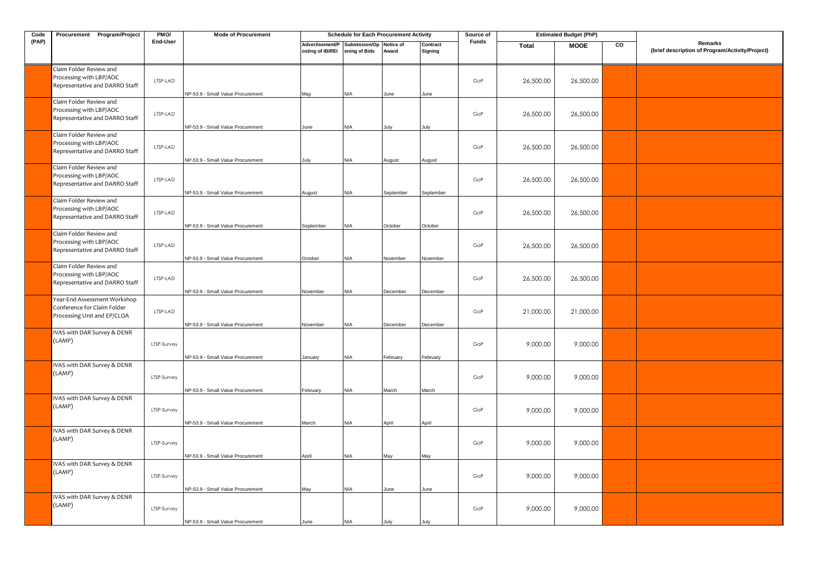| Code  | Procurement Program/Project                                                                | PM <sub>O</sub> / | <b>Mode of Procurement</b>        |                                     | <b>Schedule for Each Procurement Activity</b> |           |                     | Source of    |              | <b>Estimated Budget (PhP)</b> |    |                                                            |
|-------|--------------------------------------------------------------------------------------------|-------------------|-----------------------------------|-------------------------------------|-----------------------------------------------|-----------|---------------------|--------------|--------------|-------------------------------|----|------------------------------------------------------------|
| (PAP) |                                                                                            | End-User          |                                   | Advertisement/P<br>osting of IB/REI | Submission/Op Notice of<br>ening of Bids      | Award     | Contract<br>Signing | <b>Funds</b> | <b>Total</b> | <b>MOOE</b>                   | CO | Remarks<br>(brief description of Program/Activity/Project) |
|       | Claim Folder Review and<br>Processing with LBP/AOC<br>Representative and DARRO Staff       | LTSP-LAD          | NP-53.9 - Small Value Procurement | May                                 | N/A                                           | June      | June                | GoP          | 26,500.00    | 26,500.00                     |    |                                                            |
|       | Claim Folder Review and<br>Processing with LBP/AOC<br>Representative and DARRO Staff       | LTSP-LAD          | NP-53.9 - Small Value Procurement | June                                | N/A                                           | lulv      | July                | GoP          | 26,500.00    | 26,500.00                     |    |                                                            |
|       | Claim Folder Review and<br>Processing with LBP/AOC<br>Representative and DARRO Staff       | LTSP-LAD          | NP-53.9 - Small Value Procurement | July                                | N/A                                           | August    | August              | GoP          | 26,500.00    | 26,500.00                     |    |                                                            |
|       | Claim Folder Review and<br>Processing with LBP/AOC<br>Representative and DARRO Staff       | LTSP-LAD          | NP-53.9 - Small Value Procurement | August                              | N/A                                           | September | September           | GoP          | 26,500.00    | 26,500.00                     |    |                                                            |
|       | Claim Folder Review and<br>Processing with LBP/AOC<br>Representative and DARRO Staff       | LTSP-LAD          | NP-53.9 - Small Value Procurement | September                           | N/A                                           | October   | October             | GoP          | 26,500.00    | 26,500.00                     |    |                                                            |
|       | Claim Folder Review and<br>Processing with LBP/AOC<br>Representative and DARRO Staff       | LTSP-LAD          | NP-53.9 - Small Value Procurement | October                             | N/A                                           | November  | November            | GoP          | 26,500.00    | 26,500.00                     |    |                                                            |
|       | Claim Folder Review and<br>Processing with LBP/AOC<br>Representative and DARRO Staff       | LTSP-LAD          | NP-53.9 - Small Value Procurement | November                            | N/A                                           | December  | December            | GoP          | 26,500.00    | 26,500.00                     |    |                                                            |
|       | Year-End Assessment Workshop<br>Conference for Claim Folder<br>Processing Unit and EP/CLOA | LTSP-LAD          | NP-53.9 - Small Value Procurement | November                            | N/A                                           | December  | December            | GoP          | 21,000.00    | 21,000.00                     |    |                                                            |
|       | IVAS with DAR Survey & DENR<br>(LAMP)                                                      | LTSP-Survey       | NP-53.9 - Small Value Procurement | January                             | N/A                                           | February  | February            | GoP          | 9,000.00     | 9,000.00                      |    |                                                            |
|       | IVAS with DAR Survey & DENR<br>(LAMP)                                                      | LTSP-Survey       | NP-53.9 - Small Value Procurement | February                            | N/A                                           | March     | March               | GoP          | 9,000.00     | 9,000.00                      |    |                                                            |
|       | IVAS with DAR Survey & DENR<br>(LAMP)                                                      | LTSP-Survey       | NP-53.9 - Small Value Procurement | March                               | N/A                                           | April     | April               | GoP          | 9,000.00     | 9,000.00                      |    |                                                            |
|       | IVAS with DAR Survey & DENR<br>(LAMP)                                                      | LTSP-Survey       | NP-53.9 - Small Value Procurement | April                               | N/A                                           | May       | May                 | GoP          | 9,000.00     | 9,000.00                      |    |                                                            |
|       | IVAS with DAR Survey & DENR<br>(LAMP)                                                      | LTSP-Survey       | NP-53.9 - Small Value Procurement | May                                 | N/A                                           | June      | June                | GoP          | 9,000.00     | 9,000.00                      |    |                                                            |
|       | IVAS with DAR Survey & DENR<br>(LAMP)                                                      | LTSP-Survey       | NP-53.9 - Small Value Procurement | June                                | N/A                                           | July      | July                | GoP          | 9,000.00     | 9,000.00                      |    |                                                            |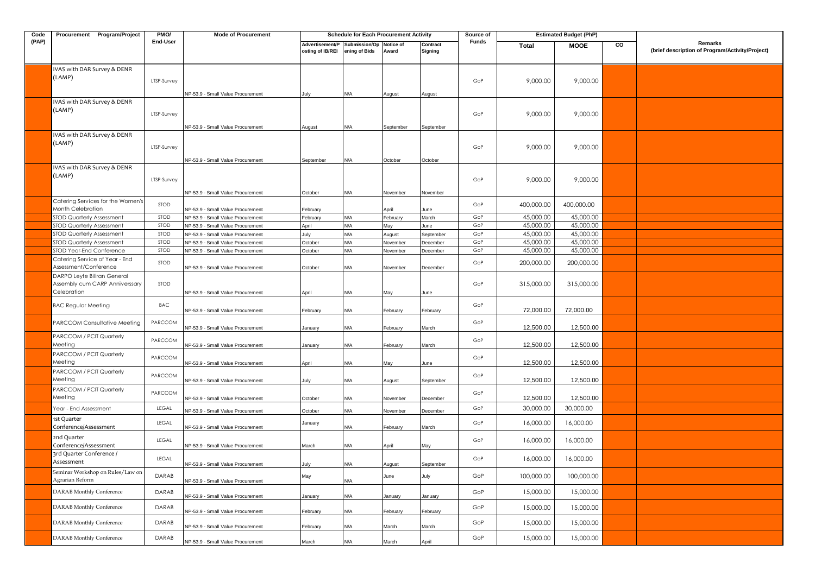| Code  | Procurement Program/Project                                                  | PMO/        | <b>Mode of Procurement</b>                                             |                                     | <b>Schedule for Each Procurement Activity</b> |                     |                     | Source of    |              | <b>Estimated Budget (PhP)</b> |    |                                                            |
|-------|------------------------------------------------------------------------------|-------------|------------------------------------------------------------------------|-------------------------------------|-----------------------------------------------|---------------------|---------------------|--------------|--------------|-------------------------------|----|------------------------------------------------------------|
| (PAP) |                                                                              | End-User    |                                                                        | Advertisement/P<br>osting of IB/REI | Submission/Op<br>ening of Bids                | Notice of<br>Award  | Contract<br>Signing | <b>Funds</b> | <b>Total</b> | <b>MOOE</b>                   | CO | Remarks<br>(brief description of Program/Activity/Project) |
|       | IVAS with DAR Survey & DENR<br>(LAMP)                                        | LTSP-Survey |                                                                        |                                     |                                               |                     |                     | GoP          | 9,000.00     | 9,000.00                      |    |                                                            |
|       | IVAS with DAR Survey & DENR<br>(LAMP)                                        | LTSP-Survey | NP-53.9 - Small Value Procurement<br>VP-53.9 - Small Value Procurement | July<br>August                      | N/A<br>۷/A                                    | August<br>September | August<br>September | GoP          | 9,000.00     | 9,000.00                      |    |                                                            |
|       | IVAS with DAR Survey & DENR<br>(LAMP)                                        | LTSP-Survey | NP-53.9 - Small Value Procurement                                      | September                           | N/A                                           | October             | October             | GoP          | 9,000.00     | 9,000.00                      |    |                                                            |
|       | IVAS with DAR Survey & DENR<br>(LAMP)                                        | LTSP-Survey | NP-53.9 - Small Value Procurement                                      | October                             | N/A                                           | Vovember            | November            | GoP          | 9,000.00     | 9,000.00                      |    |                                                            |
|       | Catering Services for the Women's<br>Month Celebration                       | STOD        | NP-53.9 - Small Value Procurement                                      | February                            |                                               | April               | June                | GoP          | 400,000.00   | 400,000.00                    |    |                                                            |
|       | <b>STOD Quarterly Assessment</b>                                             | STOD        | NP-53.9 - Small Value Procurement                                      | February                            | N/A                                           | February            | March               | GoP          | 45,000.00    | 45,000.00                     |    |                                                            |
|       | <b>STOD Quarterly Assessment</b>                                             | STOD        | NP-53.9 - Small Value Procurement                                      | April                               | N/A                                           | May                 | June                | GoP          | 45,000.00    | 45,000.00                     |    |                                                            |
|       | STOD Quarterly Assessment                                                    | STOD        | NP-53.9 - Small Value Procurement                                      | July                                | ۷A                                            | August              | September           | GoP          | 45,000.00    | 45,000.00                     |    |                                                            |
|       | STOD Quarterly Assessment                                                    | STOD        | NP-53.9 - Small Value Procurement                                      | October                             | <b>N/A</b>                                    | Vovember            | December            | GoP          | 45,000.00    | 45,000.00                     |    |                                                            |
|       | STOD Year-End Conference                                                     | STOD        | NP-53.9 - Small Value Procurement                                      | October                             | N/A                                           | Vovember            | December            | GoP          | 45,000.00    | 45,000.00                     |    |                                                            |
|       | Catering Service of Year - End<br>Assessment/Conference                      | STOD        | NP-53.9 - Small Value Procurement                                      | October                             | N/A                                           | November            | December            | GoP          | 200,000.00   | 200,000.00                    |    |                                                            |
|       | DARPO Leyte Biliran General<br>Assembly cum CARP Anniverssary<br>Celebration | STOD        | NP-53.9 - Small Value Procurement                                      | April                               | ۷/A                                           | May                 | June                | GoP          | 315,000.00   | 315,000.00                    |    |                                                            |
|       | <b>BAC Regular Meeting</b>                                                   | BAC         | NP-53.9 - Small Value Procurement                                      | February                            | ۷/A                                           | February            | February            | GoP          | 72,000.00    | 72,000.00                     |    |                                                            |
|       | PARCCOM Consultative Meeting                                                 | PARCCOM     | NP-53.9 - Small Value Procurement                                      | anuary                              | ۷/A                                           | February            | March               | GoP          | 12,500.00    | 12,500.00                     |    |                                                            |
|       | PARCCOM / PCIT Quarterly<br>Meeting                                          | PARCCOM     | NP-53.9 - Small Value Procurement                                      | anuary                              | N/A                                           | February            | March               | GoP          | 12,500.00    | 12,500.00                     |    |                                                            |
|       | PARCCOM / PCIT Quarterly<br>Meeting                                          | PARCCOM     | NP-53.9 - Small Value Procurement                                      | April                               | N/A                                           | May                 | June                | GoP          | 12,500.00    | 12,500.00                     |    |                                                            |
|       | PARCCOM / PCIT Quarterly<br>Meeting                                          | PARCCOM     | NP-53.9 - Small Value Procurement                                      | July                                | N/A                                           | August              | September           | GoP          | 12,500.00    | 12,500.00                     |    |                                                            |
|       | PARCCOM / PCIT Quarterly<br>Meeting                                          | PARCCOM     | NP-53.9 - Small Value Procurement                                      | October                             | ۷/A                                           | Vovember            | December            | GoP          | 12,500.00    | 12,500.00                     |    |                                                            |
|       | Year - End Assessment                                                        | LEGAL       | NP-53.9 - Small Value Procurement                                      | October                             | N/A                                           | Vovember            | December            | GoP          | 30,000.00    | 30,000.00                     |    |                                                            |
|       | 1st Quarter<br>Conference/Assessment                                         | LEGAL       | NP-53.9 - Small Value Procurement                                      | January                             | ۷/A                                           | February            | March               | GoP          | 16,000.00    | 16,000.00                     |    |                                                            |
|       | 2nd Quarter<br>Conference/Assessment                                         | LEGAL       | NP-53.9 - Small Value Procurement                                      | March                               | ۷A/                                           | April               | May                 | GoP          | 16,000.00    | 16,000.00                     |    |                                                            |
|       | 3rd Quarter Conference /<br>Assessment                                       | LEGAL       | NP-53.9 - Small Value Procurement                                      | July                                | N/A                                           | August              | September           | GoP          | 16,000.00    | 16,000.00                     |    |                                                            |
|       | Seminar Workshop on Rules/Law on<br>Agrarian Reform                          | DARAB       | NP-53.9 - Small Value Procurement                                      | May                                 | N/A                                           | June                | July                | GoP          | 100,000.00   | 100,000.00                    |    |                                                            |
|       | DARAB Monthly Conference                                                     | DARAB       | NP-53.9 - Small Value Procurement                                      | January                             | N/A                                           | January             | January             | GoP          | 15,000.00    | 15,000.00                     |    |                                                            |
|       | DARAB Monthly Conference                                                     | DARAB       | NP-53.9 - Small Value Procurement                                      | February                            | N/A                                           | February            | February            | GoP          | 15,000.00    | 15,000.00                     |    |                                                            |
|       | <b>DARAB</b> Monthly Conference                                              | DARAB       | NP-53.9 - Small Value Procurement                                      | February                            | N/A                                           | March               | March               | GoP          | 15,000.00    | 15,000.00                     |    |                                                            |
|       | <b>DARAB</b> Monthly Conference                                              | DARAB       | NP-53.9 - Small Value Procurement                                      | March                               | ۷A/                                           | March               | April               | GoP          | 15,000.00    | 15,000.00                     |    |                                                            |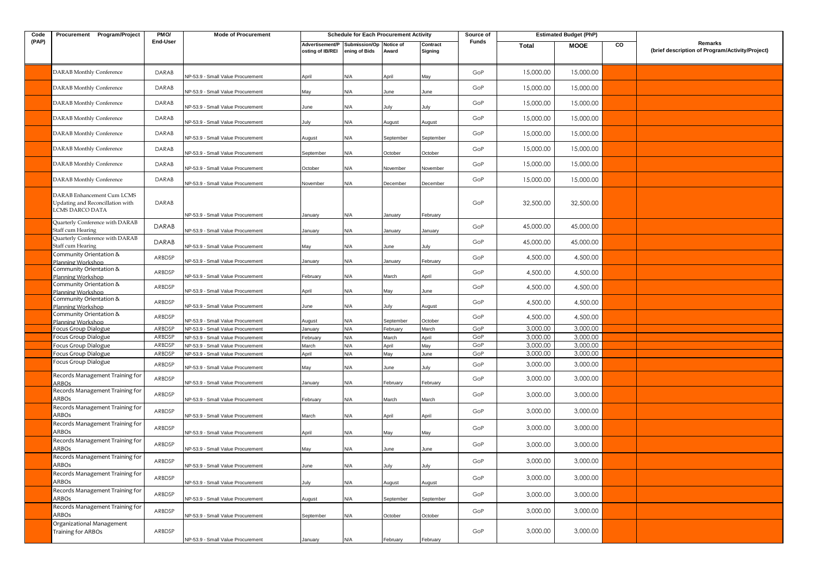| Code  | Procurement Program/Project                                                       | PMO/         | <b>Mode of Procurement</b>        |                                     | <b>Schedule for Each Procurement Activity</b> |                    |                     | Source of |           | <b>Estimated Budget (PhP)</b> |    |                                                            |
|-------|-----------------------------------------------------------------------------------|--------------|-----------------------------------|-------------------------------------|-----------------------------------------------|--------------------|---------------------|-----------|-----------|-------------------------------|----|------------------------------------------------------------|
| (PAP) |                                                                                   | End-User     |                                   | Advertisement/P<br>osting of IB/REI | Submission/Op<br>ening of Bids                | Notice of<br>Award | Contract<br>Signing | Funds     | Total     | <b>MOOE</b>                   | CO | Remarks<br>(brief description of Program/Activity/Project) |
|       | <b>DARAB</b> Monthly Conference                                                   | DARAB        | VP-53.9 - Small Value Procurement | April                               | N/A                                           | April              | May                 | GoP       | 15,000.00 | 15,000.00                     |    |                                                            |
|       | <b>DARAB</b> Monthly Conference                                                   | DARAB        | NP-53.9 - Small Value Procurement | May                                 | N/A                                           | June               | June                | GoP       | 15,000.00 | 15,000.00                     |    |                                                            |
|       | DARAB Monthly Conference                                                          | DARAB        | VP-53.9 - Small Value Procurement | June                                | N/A                                           | July               | July                | GoP       | 15,000.00 | 15,000.00                     |    |                                                            |
|       | <b>DARAB</b> Monthly Conference                                                   | DARAB        | VP-53.9 - Small Value Procurement | July                                | N/A                                           | August             | August              | GoP       | 15,000.00 | 15,000.00                     |    |                                                            |
|       | <b>DARAB</b> Monthly Conference                                                   | DARAB        | NP-53.9 - Small Value Procurement | August                              | N/A                                           | September          | September           | GoP       | 15,000.00 | 15,000.00                     |    |                                                            |
|       | <b>DARAB Monthly Conference</b>                                                   | DARAB        | NP-53.9 - Small Value Procurement | September                           | N/A                                           | October            | October             | GoP       | 15,000.00 | 15,000.00                     |    |                                                            |
|       | <b>DARAB</b> Monthly Conference                                                   | DARAB        | VP-53.9 - Small Value Procurement | October                             | N/A                                           | November           | November            | GoP       | 15,000.00 | 15,000.00                     |    |                                                            |
|       | DARAB Monthly Conference                                                          | DARAB        | NP-53.9 - Small Value Procurement | November                            | N/A                                           | December           | December            | GoP       | 15,000.00 | 15,000.00                     |    |                                                            |
|       | DARAB Enhancement Cum LCMS<br>Updating and Reconcillation with<br>LCMS DARCO DATA | DARAB        | NP-53.9 - Small Value Procurement | January                             | N/A                                           | January            | February            | GoP       | 32,500.00 | 32,500.00                     |    |                                                            |
|       | Quarterly Conference with DARAB<br>Staff cum Hearing                              | <b>DARAB</b> | NP-53.9 - Small Value Procurement | January                             | N/A                                           | January            | January             | GoP       | 45,000.00 | 45,000.00                     |    |                                                            |
|       | Quarterly Conference with DARAB<br>Staff cum Hearing                              | DARAB        | VP-53.9 - Small Value Procurement | May                                 | N/A                                           | June               | luly                | GoP       | 45,000.00 | 45,000.00                     |    |                                                            |
|       | Community Orientation &<br>Planning Workshop                                      | ARBDSP       | VP-53.9 - Small Value Procurement | January                             | N/A                                           | January            | February            | GoP       | 4,500.00  | 4,500.00                      |    |                                                            |
|       | Community Orientation &<br>Planning Workshop                                      | ARBDSP       | NP-53.9 - Small Value Procurement | February                            | N/A                                           | March              | April               | GoP       | 4,500.00  | 4,500.00                      |    |                                                            |
|       | Community Orientation &<br>Planning Workshop                                      | ARBDSP       | VP-53.9 - Small Value Procurement | April                               | N/A                                           | May                | June                | GoP       | 4,500.00  | 4,500.00                      |    |                                                            |
|       | Community Orientation &<br>Planning Workshop                                      | ARBDSP       | VP-53.9 - Small Value Procurement | June                                | N/A                                           | July               | August              | GoP       | 4,500.00  | 4,500.00                      |    |                                                            |
|       | Community Orientation &<br>Planning Workshop                                      | ARBDSP       | VP-53.9 - Small Value Procurement | August                              | N/A                                           | September          | October             | GoP       | 4,500.00  | 4,500.00                      |    |                                                            |
|       | Focus Group Dialogue                                                              | ARBDSP       | NP-53.9 - Small Value Procurement | January                             | N/A                                           | February           | March               | GoP       | 3,000.00  | 3,000.00                      |    |                                                            |
|       | Focus Group Dialogue                                                              | ARBDSP       | VP-53.9 - Small Value Procurement | February                            | N/A                                           | March              | April               | GoP       | 3,000.00  | 3,000.00                      |    |                                                            |
|       | Focus Group Dialogue                                                              | ARBDSP       | NP-53.9 - Small Value Procurement | March                               | N/A                                           | April              | May                 | GoP       | 3,000.00  | 3,000.00                      |    |                                                            |
|       | Focus Group Dialogue                                                              | ARBDSP       | NP-53.9 - Small Value Procurement | April                               | $\mathsf{N}/\mathsf{A}$                       | May                | June                | GoP       | 3,000.00  | 3,000.00                      |    |                                                            |
|       | Focus Group Dialogue<br>Records Management Training for                           | ARBDSP       | VP-53.9 - Small Value Procurement | May                                 | N/A                                           | June               | July                | GoP       | 3,000.00  | 3,000.00                      |    |                                                            |
|       | <b>ARBOs</b><br>Records Management Training for                                   | ARBDSP       | VP-53.9 - Small Value Procurement | January                             | N/A                                           | February           | February            | GoP       | 3,000.00  | 3,000.00                      |    |                                                            |
|       | <b>ARBOs</b>                                                                      | ARBDSP       | NP-53.9 - Small Value Procurement | February                            | N/A                                           | March              | March               | GoP       | 3,000.00  | 3,000.00                      |    |                                                            |
|       | Records Management Training for<br>ARBOs                                          | ARBDSP       | NP-53.9 - Small Value Procurement | March                               | N/A                                           | April              | April               | GoP       | 3,000.00  | 3,000.00                      |    |                                                            |
|       | Records Management Training for<br>ARBOs                                          | ARBDSP       | NP-53.9 - Small Value Procurement | April                               | N/A                                           | May                | May                 | GoP       | 3,000.00  | 3,000.00                      |    |                                                            |
|       | Records Management Training for<br>ARBOs                                          | ARBDSP       | VP-53.9 - Small Value Procurement | May                                 | N/A                                           | June               | June                | GoP       | 3,000.00  | 3,000.00                      |    |                                                            |
|       | Records Management Training for<br>ARBOs                                          | ARBDSP       | NP-53.9 - Small Value Procurement | June                                | N/A                                           | July               | July                | GoP       | 3,000.00  | 3,000.00                      |    |                                                            |
|       | Records Management Training for<br>ARBOs                                          | ARBDSP       | VP-53.9 - Small Value Procurement | July                                | N/A                                           | August             | August              | GoP       | 3,000.00  | 3,000.00                      |    |                                                            |
|       | Records Management Training for<br>ARBOs                                          | ARBDSP       | NP-53.9 - Small Value Procurement | August                              | N/A                                           | September          | September           | GoP       | 3,000.00  | 3,000.00                      |    |                                                            |
|       | Records Management Training for<br>ARBOs                                          | ARBDSP       | NP-53.9 - Small Value Procurement | September                           | N/A                                           | October            | October             | GoP       | 3,000.00  | 3,000.00                      |    |                                                            |
|       | Organizational Management<br>Training for ARBOs                                   | ARBDSP       |                                   |                                     |                                               |                    |                     | GoP       | 3,000.00  | 3,000.00                      |    |                                                            |
|       |                                                                                   |              | NP-53.9 - Small Value Procurement | January                             | N/A                                           | February           | February            |           |           |                               |    |                                                            |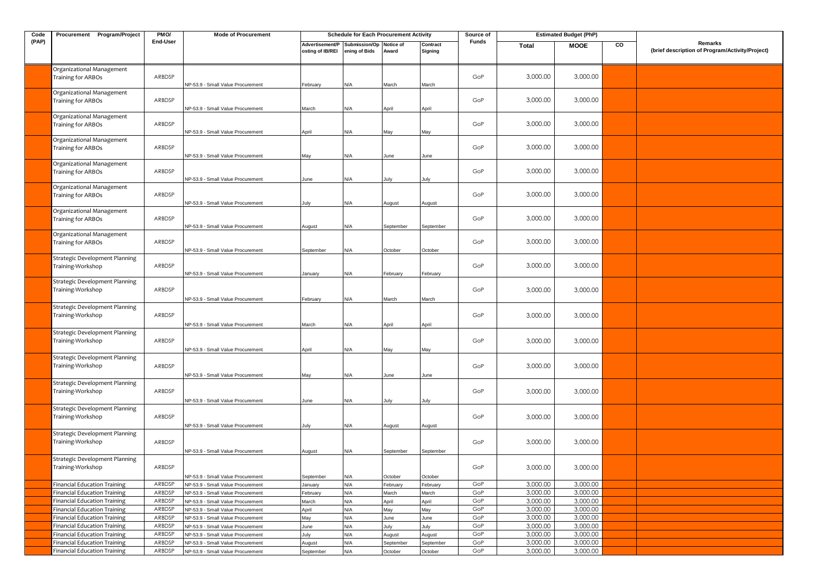| Code  | Procurement Program/Project                                | PMO/     | <b>Mode of Procurement</b>        |                                     | <b>Schedule for Each Procurement Activity</b> |                    |                     | Source of    |          | <b>Estimated Budget (PhP)</b> |    |                                                            |
|-------|------------------------------------------------------------|----------|-----------------------------------|-------------------------------------|-----------------------------------------------|--------------------|---------------------|--------------|----------|-------------------------------|----|------------------------------------------------------------|
| (PAP) |                                                            | End-User |                                   | Advertisement/P<br>osting of IB/REI | Submission/Op<br>ening of Bids                | Notice of<br>Award | Contract<br>Signing | <b>Funds</b> | Total    | <b>MOOE</b>                   | CO | Remarks<br>(brief description of Program/Activity/Project) |
|       | Organizational Management<br>Training for ARBOs            | ARBDSP   | NP-53.9 - Small Value Procurement | February                            | N/A                                           | March              | March               | GoP          | 3,000.00 | 3,000.00                      |    |                                                            |
|       | Organizational Management<br>Training for ARBOs            | ARBDSP   | NP-53.9 - Small Value Procurement | March                               | N/A                                           | April              | April               | GoP          | 3,000.00 | 3,000.00                      |    |                                                            |
|       | Organizational Management<br>Training for ARBOs            | ARBDSP   | NP-53.9 - Small Value Procurement | April                               | N/A                                           | May                | May                 | GoP          | 3,000.00 | 3,000.00                      |    |                                                            |
|       | Organizational Management<br>Training for ARBOs            | ARBDSP   | NP-53.9 - Small Value Procurement | May                                 | N/A                                           | June               | June                | GoP          | 3,000.00 | 3,000.00                      |    |                                                            |
|       | Organizational Management<br>Training for ARBOs            | ARBDSP   | NP-53.9 - Small Value Procurement | June                                | N/A                                           | July               | July                | GoP          | 3,000.00 | 3,000.00                      |    |                                                            |
|       | Organizational Management<br>Training for ARBOs            | ARBDSP   | NP-53.9 - Small Value Procurement | July                                | N/A                                           | August             | August              | GoP          | 3,000.00 | 3,000.00                      |    |                                                            |
|       | Organizational Management<br>Training for ARBOs            | ARBDSP   | NP-53.9 - Small Value Procurement | August                              | N/A                                           | September          | September           | GoP          | 3,000.00 | 3,000.00                      |    |                                                            |
|       | Organizational Management<br>Training for ARBOs            | ARBDSP   | NP-53.9 - Small Value Procurement | September                           | N/A                                           | October            | October             | GoP          | 3,000.00 | 3,000.00                      |    |                                                            |
|       | <b>Strategic Development Planning</b><br>Training-Workshop | ARBDSP   | NP-53.9 - Small Value Procurement | January                             | N/A                                           | February           | February            | GoP          | 3,000.00 | 3,000.00                      |    |                                                            |
|       | <b>Strategic Development Planning</b><br>Training-Workshop | ARBDSP   | NP-53.9 - Small Value Procurement | February                            | N/A                                           | March              | March               | GoP          | 3,000.00 | 3,000.00                      |    |                                                            |
|       | <b>Strategic Development Planning</b><br>Training-Workshop | ARBDSP   | NP-53.9 - Small Value Procurement | March                               | N/A                                           | April              | April               | GoP          | 3,000.00 | 3,000.00                      |    |                                                            |
|       | <b>Strategic Development Planning</b><br>Training-Workshop | ARBDSP   | NP-53.9 - Small Value Procurement | April                               | N/A                                           | Vlay               | Vlay                | GoP          | 3,000.00 | 3,000.00                      |    |                                                            |
|       | <b>Strategic Development Planning</b><br>Training-Workshop | ARBDSP   | NP-53.9 - Small Value Procurement | May                                 | N/A                                           | June               | June                | GoP          | 3,000.00 | 3,000.00                      |    |                                                            |
|       | <b>Strategic Development Planning</b><br>Training-Workshop | ARBDSP   | NP-53.9 - Small Value Procurement | June                                | N/A                                           | July               | July                | GoP          | 3,000.00 | 3,000.00                      |    |                                                            |
|       | <b>Strategic Development Planning</b><br>Training-Workshop | ARBDSP   | NP-53.9 - Small Value Procurement | July                                | N/A                                           | August             | August              | GoP          | 3,000.00 | 3,000.00                      |    |                                                            |
|       | <b>Strategic Development Planning</b><br>Training-Workshop | ARBDSP   | NP-53.9 - Small Value Procurement | lugust                              | N/A                                           | September          | September           | GoP          | 3,000.00 | 3,000.00                      |    |                                                            |
|       | <b>Strategic Development Planning</b><br>Training-Workshop | ARBDSP   | NP-53.9 - Small Value Procurement | September                           | N/A                                           | October            | October             | GoP          | 3,000.00 | 3,000.00                      |    |                                                            |
|       | <b>Financial Education Training</b>                        | ARBDSP   | NP-53.9 - Small Value Procurement | January                             | N/A                                           | February           | February            | GoP          | 3,000.00 | 3,000.00                      |    |                                                            |
|       | <b>Financial Education Training</b>                        | ARBDSP   | NP-53.9 - Small Value Procurement | February                            | N/A                                           | March              | March               | GoP          | 3,000.00 | 3,000.00                      |    |                                                            |
|       | <b>Financial Education Training</b>                        | ARBDSP   | NP-53.9 - Small Value Procurement | March                               | N/A                                           | April              | April               | GoP          | 3,000.00 | 3,000.00                      |    |                                                            |
|       | <b>Financial Education Training</b>                        | ARBDSP   | NP-53.9 - Small Value Procurement | April                               | <b>N/A</b>                                    | May                | May                 | GoP          | 3,000.00 | 3,000.00                      |    |                                                            |
|       | <b>Financial Education Training</b>                        | ARBDSP   | NP-53.9 - Small Value Procurement | May                                 | N/A                                           | June               | June                | GoP          | 3,000.00 | 3,000.00                      |    |                                                            |
|       | <b>Financial Education Training</b>                        | ARBDSP   | NP-53.9 - Small Value Procurement | June                                | N/A                                           | July               | July                | GoP          | 3,000.00 | 3,000.00                      |    |                                                            |
|       | <b>Financial Education Training</b>                        | ARBDSP   | NP-53.9 - Small Value Procurement | July                                | N/A                                           | August             | August              | GoP          | 3,000.00 | 3,000.00                      |    |                                                            |
|       | <b>Financial Education Training</b>                        | ARBDSP   | NP-53.9 - Small Value Procurement | August                              | N/A                                           | September          | September           | GoP          | 3,000.00 | 3,000.00                      |    |                                                            |
|       | <b>Financial Education Training</b>                        | ARBDSP   | NP-53.9 - Small Value Procurement | September                           | N/A                                           | October            | October             | GoP          | 3,000.00 | 3,000.00                      |    |                                                            |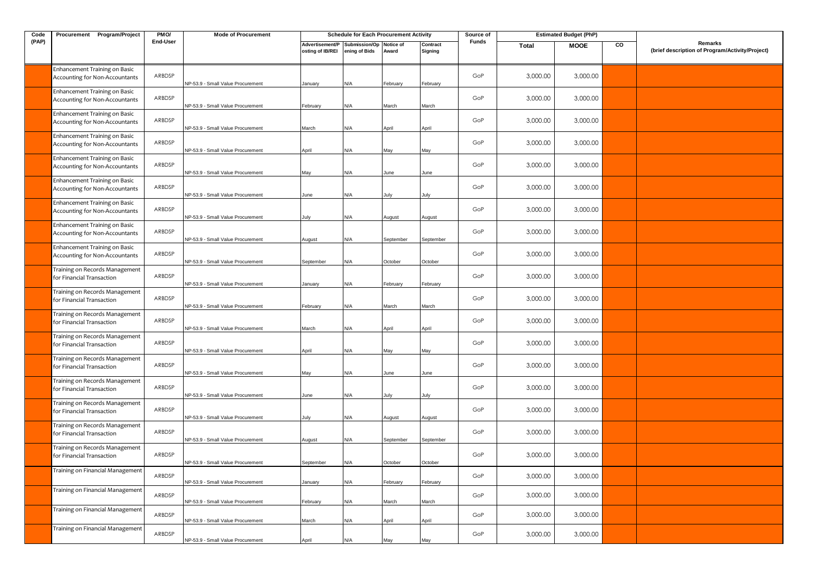| Code  | Procurement Program/Project                                     | PMO/     | <b>Mode of Procurement</b>        |                                     | <b>Schedule for Each Procurement Activity</b> |                    |                     | Source of    |          | <b>Estimated Budget (PhP)</b> |    |                                                            |
|-------|-----------------------------------------------------------------|----------|-----------------------------------|-------------------------------------|-----------------------------------------------|--------------------|---------------------|--------------|----------|-------------------------------|----|------------------------------------------------------------|
| (PAP) |                                                                 | End-User |                                   | Advertisement/P<br>osting of IB/REI | Submission/Op<br>ening of Bids                | Notice of<br>Award | Contract<br>Signing | <b>Funds</b> | Total    | <b>MOOE</b>                   | CO | Remarks<br>(brief description of Program/Activity/Project) |
|       | Enhancement Training on Basic<br>Accounting for Non-Accountants | ARBDSP   | NP-53.9 - Small Value Procurement | January                             | N/A                                           | ebruary            | February            | GoP          | 3,000.00 | 3,000.00                      |    |                                                            |
|       | Enhancement Training on Basic<br>Accounting for Non-Accountants | ARBDSP   | NP-53.9 - Small Value Procurement | February                            | N/A                                           | March              | March               | GoP          | 3,000.00 | 3,000.00                      |    |                                                            |
|       | Enhancement Training on Basic<br>Accounting for Non-Accountants | ARBDSP   | NP-53.9 - Small Value Procurement | March                               | N/A                                           | April              | April               | GoP          | 3,000.00 | 3,000.00                      |    |                                                            |
|       | Enhancement Training on Basic<br>Accounting for Non-Accountants | ARBDSP   | NP-53.9 - Small Value Procurement | April                               | N/A                                           | May                | May                 | GoP          | 3,000.00 | 3,000.00                      |    |                                                            |
|       | Enhancement Training on Basic<br>Accounting for Non-Accountants | ARBDSP   | NP-53.9 - Small Value Procurement | May                                 | N/A                                           | June               | June                | GoP          | 3,000.00 | 3,000.00                      |    |                                                            |
|       | Enhancement Training on Basic<br>Accounting for Non-Accountants | ARBDSP   | NP-53.9 - Small Value Procurement | June                                | N/A                                           | July               | July                | GoP          | 3,000.00 | 3,000.00                      |    |                                                            |
|       | Enhancement Training on Basic<br>Accounting for Non-Accountants | ARBDSP   | NP-53.9 - Small Value Procurement | July                                | N/A                                           | August             | August              | GoP          | 3,000.00 | 3,000.00                      |    |                                                            |
|       | Enhancement Training on Basic<br>Accounting for Non-Accountants | ARBDSP   | NP-53.9 - Small Value Procurement | August                              | N/A                                           | September          | September           | GoP          | 3,000.00 | 3,000.00                      |    |                                                            |
|       | Enhancement Training on Basic<br>Accounting for Non-Accountants | ARBDSP   | NP-53.9 - Small Value Procurement | September                           | N/A                                           | October            | October             | GoP          | 3,000.00 | 3,000.00                      |    |                                                            |
|       | Training on Records Management<br>for Financial Transaction     | ARBDSP   | NP-53.9 - Small Value Procurement | January                             | N/A                                           | ebruary            | February            | GoP          | 3,000.00 | 3,000.00                      |    |                                                            |
|       | Training on Records Management<br>for Financial Transaction     | ARBDSP   | NP-53.9 - Small Value Procurement | February                            | N/A                                           | March              | March               | GoP          | 3,000.00 | 3,000.00                      |    |                                                            |
|       | Training on Records Management<br>for Financial Transaction     | ARBDSP   | NP-53.9 - Small Value Procurement | March                               | N/A                                           | April              | April               | GoP          | 3,000.00 | 3,000.00                      |    |                                                            |
|       | Training on Records Management<br>for Financial Transaction     | ARBDSP   | NP-53.9 - Small Value Procurement | April                               | N/A                                           | May                | May                 | GoP          | 3,000.00 | 3,000.00                      |    |                                                            |
|       | Fraining on Records Management<br>for Financial Transaction     | ARBDSP   | NP-53.9 - Small Value Procurement | May                                 | N/A                                           | June               | June                | GoP          | 3,000.00 | 3,000.00                      |    |                                                            |
|       | Training on Records Management<br>for Financial Transaction     | ARBDSP   | NP-53.9 - Small Value Procurement | June                                | N/A                                           | July               | July                | GoP          | 3,000.00 | 3,000.00                      |    |                                                            |
|       | Training on Records Management<br>for Financial Transaction     | ARBDSP   | NP-53.9 - Small Value Procurement | July                                | N/A                                           | August             | August              | GoP          | 3,000.00 | 3,000.00                      |    |                                                            |
|       | Training on Records Management<br>for Financial Transaction     | ARBDSP   | NP-53.9 - Small Value Procurement | August                              | N/A                                           | September          | September           | GoP          | 3,000.00 | 3,000.00                      |    |                                                            |
|       | Training on Records Management<br>for Financial Transaction     | ARBDSP   | NP-53.9 - Small Value Procurement | September                           | N/A                                           | October            | October             | GoP          | 3,000.00 | 3,000.00                      |    |                                                            |
|       | Training on Financial Management                                | ARBDSP   | NP-53.9 - Small Value Procurement | January                             | N/A                                           | February           | February            | GoP          | 3,000.00 | 3,000.00                      |    |                                                            |
|       | Training on Financial Management                                | ARBDSP   | NP-53.9 - Small Value Procurement | February                            | N/A                                           | March              | March               | GoP          | 3,000.00 | 3,000.00                      |    |                                                            |
|       | Training on Financial Management                                | ARBDSP   | NP-53.9 - Small Value Procurement | March                               | N/A                                           | April              | April               | GoP          | 3,000.00 | 3,000.00                      |    |                                                            |
|       | Training on Financial Management                                | ARBDSP   | NP-53.9 - Small Value Procurement | April                               | N/A                                           | May                | May                 | GoP          | 3,000.00 | 3,000.00                      |    |                                                            |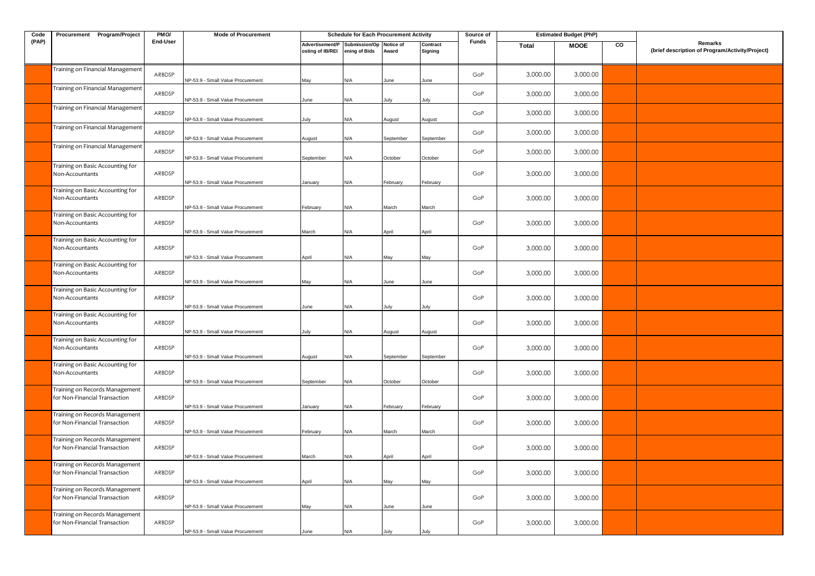| Code  | Procurement Program/Project                                     | PM <sub>O</sub> / | <b>Mode of Procurement</b>        |                  | <b>Schedule for Each Procurement Activity</b>            |           |                     | Source of |          | <b>Estimated Budget (PhP)</b> |    |                                                            |
|-------|-----------------------------------------------------------------|-------------------|-----------------------------------|------------------|----------------------------------------------------------|-----------|---------------------|-----------|----------|-------------------------------|----|------------------------------------------------------------|
| (PAP) |                                                                 | End-User          |                                   | osting of IB/REI | Advertisement/P Submission/Op Notice of<br>ening of Bids | Award     | Contract<br>Signing | Funds     | Total    | <b>MOOE</b>                   | CO | Remarks<br>(brief description of Program/Activity/Project) |
|       | Training on Financial Management                                | ARBDSP            | NP-53.9 - Small Value Procurement | May              | N/A                                                      | June      | June                | GoP       | 3,000.00 | 3,000.00                      |    |                                                            |
|       | Training on Financial Management                                | ARBDSP            | NP-53.9 - Small Value Procurement | June             | N/A                                                      | lulv      | lulv                | GoP       | 3,000.00 | 3,000.00                      |    |                                                            |
|       | Training on Financial Management                                | ARBDSP            | NP-53.9 - Small Value Procurement | July             | N/A                                                      | August    | August              | GoP       | 3,000.00 | 3,000.00                      |    |                                                            |
|       | Training on Financial Management                                | ARBDSP            | NP-53.9 - Small Value Procurement | August           | ۷A/                                                      | September | September           | GoP       | 3,000.00 | 3,000.00                      |    |                                                            |
|       | Training on Financial Management                                | ARBDSP            | NP-53.9 - Small Value Procurement | September        | N/A                                                      | October   | October             | GoP       | 3,000.00 | 3,000.00                      |    |                                                            |
|       | Training on Basic Accounting for<br>Non-Accountants             | ARBDSP            | NP-53.9 - Small Value Procurement | anuary           | N/A                                                      | February  | February            | GoP       | 3,000.00 | 3,000.00                      |    |                                                            |
|       | Training on Basic Accounting for<br>Non-Accountants             | ARBDSP            | NP-53.9 - Small Value Procurement | February         | N/A                                                      | March     | March               | GoP       | 3,000.00 | 3,000.00                      |    |                                                            |
|       | Training on Basic Accounting for<br>Non-Accountants             | ARBDSP            | NP-53.9 - Small Value Procurement | March            | N/A                                                      | April     | April               | GoP       | 3,000.00 | 3,000.00                      |    |                                                            |
|       | Training on Basic Accounting for<br>Non-Accountants             | ARBDSP            | NP-53.9 - Small Value Procurement | April            | N/A                                                      | Mav       | May                 | GoP       | 3,000.00 | 3,000.00                      |    |                                                            |
|       | Training on Basic Accounting for<br>Non-Accountants             | ARBDSP            | NP-53.9 - Small Value Procurement | May              | N/A                                                      | June      | June                | GoP       | 3,000.00 | 3,000.00                      |    |                                                            |
|       | Training on Basic Accounting for<br>Non-Accountants             | ARBDSP            | NP-53.9 - Small Value Procurement | June             | N/A                                                      | July      | July                | GoP       | 3,000.00 | 3,000.00                      |    |                                                            |
|       | Training on Basic Accounting for<br>Non-Accountants             | ARBDSP            | NP-53.9 - Small Value Procurement | July             | N/A                                                      | August    | August              | GoP       | 3,000.00 | 3,000.00                      |    |                                                            |
|       | Training on Basic Accounting for<br>Non-Accountants             | ARBDSP            | NP-53.9 - Small Value Procurement | August           | N/A                                                      | September | September           | GoP       | 3,000.00 | 3,000.00                      |    |                                                            |
|       | Training on Basic Accounting for<br>Non-Accountants             | ARBDSP            | NP-53.9 - Small Value Procurement | September        | N/A                                                      | October   | October             | GoP       | 3,000.00 | 3,000.00                      |    |                                                            |
|       | Training on Records Management<br>for Non-Financial Transaction | ARBDSP            | NP-53.9 - Small Value Procurement | January          | N/A                                                      | February  | February            | GoP       | 3,000.00 | 3,000.00                      |    |                                                            |
|       | Training on Records Management<br>for Non-Financial Transaction | ARBDSP            | NP-53.9 - Small Value Procurement | February         | N/A                                                      | March     | March               | GoP       | 3,000.00 | 3,000.00                      |    |                                                            |
|       | Training on Records Management<br>for Non-Financial Transaction | ARBDSP            | NP-53.9 - Small Value Procurement | March            | N/A                                                      | April     | April               | GoP       | 3,000.00 | 3,000.00                      |    |                                                            |
|       | Training on Records Management<br>for Non-Financial Transaction | ARBDSP            | NP-53.9 - Small Value Procurement | April            | N/A                                                      | Mav       | Mav                 | GoP       | 3,000.00 | 3,000.00                      |    |                                                            |
|       | Training on Records Management<br>for Non-Financial Transaction | ARBDSP            | NP-53.9 - Small Value Procurement | May              | <b>A/</b>                                                | June      | June                | GoP       | 3,000.00 | 3,000.00                      |    |                                                            |
|       | Training on Records Management<br>for Non-Financial Transaction | ARBDSP            | NP-53.9 - Small Value Procurement | June             | N/A                                                      |           |                     | GoP       | 3,000.00 | 3,000.00                      |    |                                                            |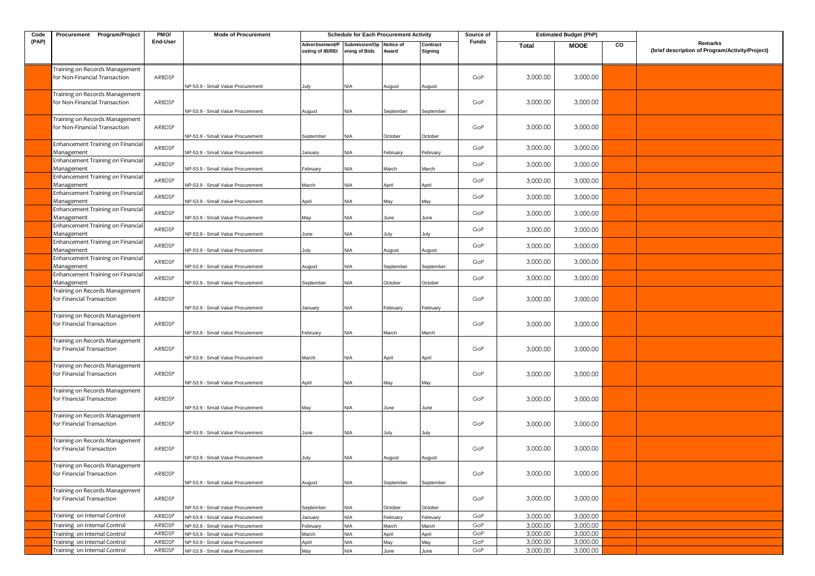| Code  | Procurement Program/Project                                     | PMO/     | <b>Mode of Procurement</b>        |                                     | <b>Schedule for Each Procurement Activity</b> |                           |                     | Source of |          | <b>Estimated Budget (PhP)</b> |    |                                                            |
|-------|-----------------------------------------------------------------|----------|-----------------------------------|-------------------------------------|-----------------------------------------------|---------------------------|---------------------|-----------|----------|-------------------------------|----|------------------------------------------------------------|
| (PAP) |                                                                 | End-User |                                   | Advertisement/P<br>osting of IB/REI | Submission/Op<br>ening of Bids                | <b>Notice of</b><br>Award | Contract<br>Signing | Funds     | Total    | <b>MOOE</b>                   | CO | Remarks<br>(brief description of Program/Activity/Project) |
|       | Training on Records Management<br>for Non-Financial Transaction | ARBDSP   | NP-53.9 - Small Value Procurement | July                                | N/A                                           | August                    | August              | GoP       | 3,000.00 | 3,000.00                      |    |                                                            |
|       | Training on Records Management<br>for Non-Financial Transaction | ARBDSP   | NP-53.9 - Small Value Procurement | August                              | N/A                                           | September                 | September           | GoP       | 3,000.00 | 3,000.00                      |    |                                                            |
|       | Training on Records Management<br>for Non-Financial Transaction | ARBDSP   | NP-53.9 - Small Value Procurement | September                           | N/A                                           | October                   | October             | GoP       | 3,000.00 | 3,000.00                      |    |                                                            |
|       | Enhancement Training on Financial<br>Management                 | ARBDSP   | NP-53.9 - Small Value Procurement | lanuary                             | N/A                                           | February                  | February            | GoP       | 3,000.00 | 3,000.00                      |    |                                                            |
|       | Enhancement Training on Financial<br>Management                 | ARBDSP   | NP-53.9 - Small Value Procurement | February                            | N/A                                           | March                     | March               | GoP       | 3,000.00 | 3,000.00                      |    |                                                            |
|       | Enhancement Training on Financial<br>Management                 | ARBDSP   | NP-53.9 - Small Value Procurement | March                               | N/A                                           | April                     | April               | GoP       | 3,000.00 | 3,000.00                      |    |                                                            |
|       | Enhancement Training on Financial<br>Management                 | ARBDSP   | NP-53.9 - Small Value Procurement | April                               | N/A                                           | May                       | May                 | GoP       | 3,000.00 | 3,000.00                      |    |                                                            |
|       | Enhancement Training on Financial<br>Management                 | ARBDSP   | NP-53.9 - Small Value Procurement | May                                 | N/A                                           | June                      | June                | GoP       | 3,000.00 | 3,000.00                      |    |                                                            |
|       | Enhancement Training on Financial<br>Management                 | ARBDSP   | NP-53.9 - Small Value Procurement | lune                                | N/A                                           | July                      | July                | GoP       | 3,000.00 | 3,000.00                      |    |                                                            |
|       | Enhancement Training on Financial<br>Management                 | ARBDSP   | NP-53.9 - Small Value Procurement | July                                | N/A                                           | August                    | August              | GoP       | 3,000.00 | 3,000.00                      |    |                                                            |
|       | Enhancement Training on Financial<br>Management                 | ARBDSP   | NP-53.9 - Small Value Procurement | August                              | N/A                                           | September                 | September           | GoP       | 3,000.00 | 3,000.00                      |    |                                                            |
|       | Enhancement Training on Financial<br>Management                 | ARBDSP   | NP-53.9 - Small Value Procurement | September                           | N/A                                           | October                   | October             | GoP       | 3,000.00 | 3,000.00                      |    |                                                            |
|       | Training on Records Management<br>for Financial Transaction     | ARBDSP   | NP-53.9 - Small Value Procurement | January                             | N/A                                           | February                  | February            | GoP       | 3,000.00 | 3,000.00                      |    |                                                            |
|       | Training on Records Management<br>for Financial Transaction     | ARBDSP   | NP-53.9 - Small Value Procurement | February                            | N/A                                           | March                     | March               | GoP       | 3,000.00 | 3,000.00                      |    |                                                            |
|       | Training on Records Management<br>for Financial Transaction     | ARBDSP   | NP-53.9 - Small Value Procurement | March                               | N/A                                           | April                     | April               | GoP       | 3,000.00 | 3,000.00                      |    |                                                            |
|       | Training on Records Management<br>for Financial Transaction     | ARBDSP   | NP-53.9 - Small Value Procurement | April                               | N/A                                           | May                       | May                 | GoP       | 3,000.00 | 3,000.00                      |    |                                                            |
|       | Training on Records Management<br>for Financial Transaction     | ARBDSP   | NP-53.9 - Small Value Procurement | Mav                                 | N/A                                           | lune                      | June                | GoP       | 3,000.00 | 3,000.00                      |    |                                                            |
|       | Training on Records Management<br>for Financial Transaction     | ARBDSP   | NP-53.9 - Small Value Procurement | June                                | N/A                                           | July                      | July                | GoP       | 3,000.00 | 3,000.00                      |    |                                                            |
|       | Training on Records Management<br>for Financial Transaction     | ARBDSP   | NP-53.9 - Small Value Procurement | luly                                | ۷/A                                           | August                    | August              | GoP       | 3,000.00 | 3,000.00                      |    |                                                            |
|       | Training on Records Management<br>for Financial Transaction     | ARBDSP   | NP-53.9 - Small Value Procurement | August                              | N/A                                           | September                 | September           | GoP       | 3,000.00 | 3,000.00                      |    |                                                            |
|       | Training on Records Management<br>for Financial Transaction     | ARBDSP   | NP-53.9 - Small Value Procurement | September                           | N/A                                           | October                   | October             | GoP       | 3,000.00 | 3,000.00                      |    |                                                            |
|       | Training on Internal Control                                    | ARBDSP   | NP-53.9 - Small Value Procurement | January                             | N/A                                           | February                  | February            | GoP       | 3,000.00 | 3,000.00                      |    |                                                            |
|       | Training on Internal Control                                    | ARBDSP   | NP-53.9 - Small Value Procurement | February                            | N/A                                           | March                     | March               | GoP       | 3,000.00 | 3,000.00                      |    |                                                            |
|       | Training on Internal Control                                    | ARBDSP   | NP-53.9 - Small Value Procurement | March                               | N/A                                           | April                     | April               | GoP       | 3,000.00 | 3,000.00                      |    |                                                            |
|       | Training on Internal Control                                    | ARBDSP   | NP-53.9 - Small Value Procurement | April                               | N/A                                           | May                       | May                 | GoP       | 3,000.00 | 3,000.00                      |    |                                                            |
|       | Training on Internal Control                                    | ARBDSP   | NP-53.9 - Small Value Procurement | May                                 | N/A                                           | June                      | June                | GoP       | 3,000.00 | 3,000.00                      |    |                                                            |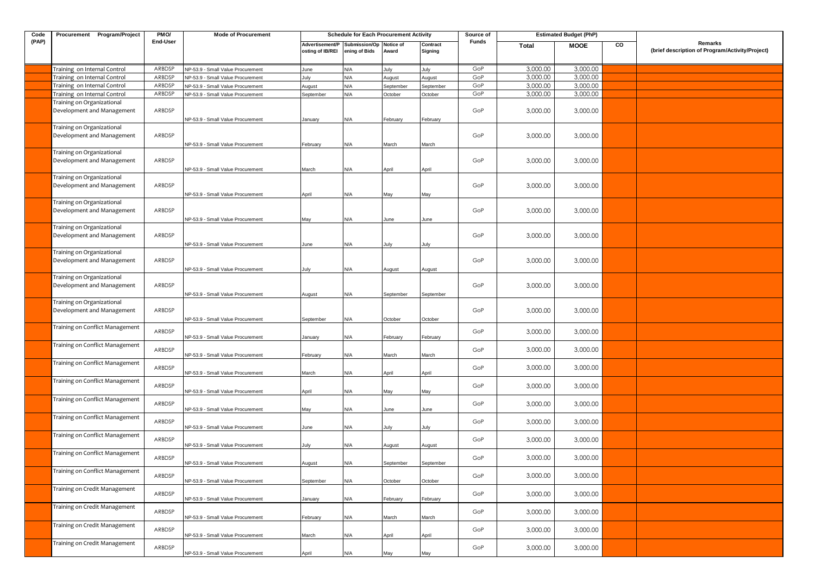| Code  | Procurement Program/Project                              | PMO/     | <b>Mode of Procurement</b>        |                                     | <b>Schedule for Each Procurement Activity</b> |                    |                     | Source of |          | <b>Estimated Budget (PhP)</b> |    |                                                            |
|-------|----------------------------------------------------------|----------|-----------------------------------|-------------------------------------|-----------------------------------------------|--------------------|---------------------|-----------|----------|-------------------------------|----|------------------------------------------------------------|
| (PAP) |                                                          | End-User |                                   | Advertisement/P<br>osting of IB/REI | Submission/Op<br>ening of Bids                | Notice of<br>Award | Contract<br>Signing | Funds     | Total    | <b>MOOE</b>                   | CO | Remarks<br>(brief description of Program/Activity/Project) |
|       | Training on Internal Control                             | ARBDSP   | NP-53.9 - Small Value Procurement | June                                | N/A                                           | July               | July                | GoP       | 3,000.00 | 3,000.00                      |    |                                                            |
|       | Training on Internal Control                             | ARBDSP   | NP-53.9 - Small Value Procurement | July                                | N/A                                           | August             | August              | GoP       | 3,000.00 | 3,000.00                      |    |                                                            |
|       | Training on Internal Control                             | ARBDSP   | NP-53.9 - Small Value Procurement | August                              | N/A                                           | September          | September           | GoP       | 3,000.00 | 3,000.00                      |    |                                                            |
|       | Training on Internal Control                             | ARBDSP   | NP-53.9 - Small Value Procurement | September                           | N/A                                           | October            | October             | GoP       | 3,000.00 | 3,000.00                      |    |                                                            |
|       | Training on Organizational<br>Development and Management | ARBDSP   |                                   |                                     |                                               |                    |                     | GoP       | 3,000.00 | 3,000.00                      |    |                                                            |
|       |                                                          |          | NP-53.9 - Small Value Procurement | January                             | N/A                                           | February           | February            |           |          |                               |    |                                                            |
|       | Training on Organizational                               |          |                                   |                                     |                                               |                    |                     |           |          |                               |    |                                                            |
|       | Development and Management                               | ARBDSP   |                                   |                                     |                                               |                    |                     | GoP       | 3,000.00 | 3,000.00                      |    |                                                            |
|       |                                                          |          | NP-53.9 - Small Value Procurement | February                            | N/A                                           | March              | March               |           |          |                               |    |                                                            |
|       | Training on Organizational                               |          |                                   |                                     |                                               |                    |                     |           |          |                               |    |                                                            |
|       | Development and Management                               | ARBDSP   | NP-53.9 - Small Value Procurement | March                               | N/A                                           | April              | April               | GoP       | 3,000.00 | 3,000.00                      |    |                                                            |
|       | Training on Organizational                               |          |                                   |                                     |                                               |                    |                     |           |          |                               |    |                                                            |
|       | Development and Management                               | ARBDSP   |                                   |                                     |                                               |                    |                     | GoP       | 3,000.00 | 3,000.00                      |    |                                                            |
|       |                                                          |          | NP-53.9 - Small Value Procurement | April                               | N/A                                           | May                | May                 |           |          |                               |    |                                                            |
|       | Training on Organizational                               |          |                                   |                                     |                                               |                    |                     |           |          |                               |    |                                                            |
|       | Development and Management                               | ARBDSP   |                                   |                                     |                                               |                    |                     | GoP       | 3,000.00 | 3,000.00                      |    |                                                            |
|       |                                                          |          | NP-53.9 - Small Value Procurement | May                                 | N/A                                           | June               | June                |           |          |                               |    |                                                            |
|       | Training on Organizational<br>Development and Management | ARBDSP   |                                   |                                     |                                               |                    |                     | GoP       | 3,000.00 | 3,000.00                      |    |                                                            |
|       |                                                          |          | NP-53.9 - Small Value Procurement | June                                | N/A                                           | July               | July                |           |          |                               |    |                                                            |
|       | Training on Organizational                               |          |                                   |                                     |                                               |                    |                     |           |          |                               |    |                                                            |
|       | Development and Management                               | ARBDSP   |                                   |                                     |                                               |                    |                     | GoP       | 3,000.00 | 3,000.00                      |    |                                                            |
|       |                                                          |          | NP-53.9 - Small Value Procurement | July                                | N/A                                           | August             | August              |           |          |                               |    |                                                            |
|       | Training on Organizational                               |          |                                   |                                     |                                               |                    |                     |           |          |                               |    |                                                            |
|       | Development and Management                               | ARBDSP   |                                   |                                     |                                               |                    |                     | GoP       | 3,000.00 | 3,000.00                      |    |                                                            |
|       | Training on Organizational                               |          | NP-53.9 - Small Value Procurement | August                              | N/A                                           | September          | September           |           |          |                               |    |                                                            |
|       | Development and Management                               | ARBDSP   |                                   |                                     |                                               |                    |                     | GoP       | 3,000.00 | 3,000.00                      |    |                                                            |
|       |                                                          |          | NP-53.9 - Small Value Procurement | September                           | N/A                                           | October            | October             |           |          |                               |    |                                                            |
|       | Training on Conflict Management                          | ARBDSP   |                                   |                                     |                                               |                    |                     | GoP       | 3,000.00 | 3,000.00                      |    |                                                            |
|       |                                                          |          | NP-53.9 - Small Value Procurement | January                             | N/A                                           | February           | February            |           |          |                               |    |                                                            |
|       | Training on Conflict Management                          | ARBDSP   |                                   |                                     |                                               |                    |                     | GoP       | 3,000.00 | 3,000.00                      |    |                                                            |
|       |                                                          |          | NP-53.9 - Small Value Procurement | February                            | N/A                                           | March              | March               |           |          |                               |    |                                                            |
|       | Training on Conflict Management                          | ARBDSP   |                                   |                                     |                                               |                    |                     | GoP       | 3,000.00 | 3,000.00                      |    |                                                            |
|       | Training on Conflict Management                          |          | NP-53.9 - Small Value Procurement | March                               | N/A                                           | April              | April               |           |          |                               |    |                                                            |
|       |                                                          | ARBDSP   | NP-53.9 - Small Value Procurement | April                               | N/A                                           | May                | May                 | GoP       | 3,000.00 | 3,000.00                      |    |                                                            |
|       | Training on Conflict Management                          |          |                                   |                                     |                                               |                    |                     |           |          |                               |    |                                                            |
|       |                                                          | ARBDSP   | NP-53.9 - Small Value Procurement | May                                 | N/A                                           | June               | June                | GoP       | 3,000.00 | 3,000.00                      |    |                                                            |
|       | Training on Conflict Management                          |          |                                   |                                     |                                               |                    |                     |           |          |                               |    |                                                            |
|       |                                                          | ARBDSP   | NP-53.9 - Small Value Procurement | June                                | N/A                                           | July               | July                | GoP       | 3,000.00 | 3,000.00                      |    |                                                            |
|       | Training on Conflict Management                          | ARBDSP   |                                   |                                     |                                               |                    |                     | GoP       | 3,000.00 | 3,000.00                      |    |                                                            |
|       |                                                          |          | NP-53.9 - Small Value Procurement | July                                | N/A                                           | August             | August              |           |          |                               |    |                                                            |
|       | Training on Conflict Management                          | ARBDSP   |                                   |                                     |                                               |                    |                     | GoP       | 3,000.00 | 3,000.00                      |    |                                                            |
|       |                                                          |          | NP-53 9 - Small Value Procurement | teunu                               | N/A                                           |                    |                     |           |          |                               |    |                                                            |
|       | Training on Conflict Management                          | ARBDSP   |                                   |                                     |                                               |                    |                     | GoP       | 3,000.00 | 3,000.00                      |    |                                                            |
|       |                                                          |          | NP-53.9 - Small Value Procurement | September                           | N/A                                           | October            | October             |           |          |                               |    |                                                            |
|       | Training on Credit Management                            | ARBDSP   |                                   |                                     |                                               |                    |                     | GoP       | 3,000.00 | 3,000.00                      |    |                                                            |
|       | Training on Credit Management                            |          | NP-53.9 - Small Value Procurement | January                             | N/A                                           | February           | February            |           |          |                               |    |                                                            |
|       |                                                          | ARBDSP   | NP-53.9 - Small Value Procurement | February                            | N/A                                           | March              | March               | GoP       | 3,000.00 | 3,000.00                      |    |                                                            |
|       | Training on Credit Management                            |          |                                   |                                     |                                               |                    |                     |           |          |                               |    |                                                            |
|       |                                                          | ARBDSP   | NP-53.9 - Small Value Procurement | March                               | N/A                                           | April              | April               | GoP       | 3,000.00 | 3,000.00                      |    |                                                            |
|       | Training on Credit Management                            |          |                                   |                                     |                                               |                    |                     |           |          |                               |    |                                                            |
|       |                                                          | ARBDSP   | NP-53.9 - Small Value Procurement | April                               | N/A                                           | May                | May                 | GoP       | 3,000.00 | 3,000.00                      |    |                                                            |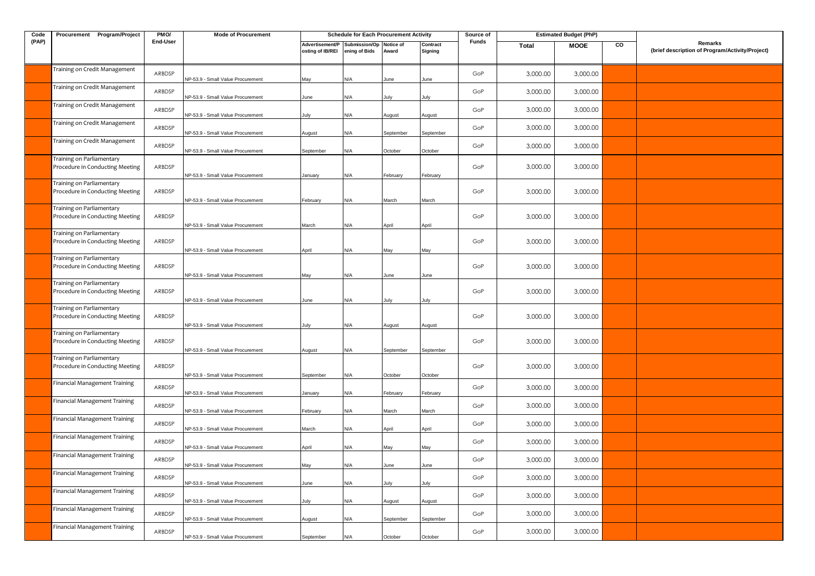| Code  | Procurement Program/Project                                  | PMO/     | <b>Mode of Procurement</b>        |                                     | <b>Schedule for Each Procurement Activity</b> |                           |                     | Source of |          | <b>Estimated Budget (PhP)</b> |    |                                                            |
|-------|--------------------------------------------------------------|----------|-----------------------------------|-------------------------------------|-----------------------------------------------|---------------------------|---------------------|-----------|----------|-------------------------------|----|------------------------------------------------------------|
| (PAP) |                                                              | End-User |                                   | Advertisement/P<br>osting of IB/REI | Submission/Op<br>ening of Bids                | <b>Notice of</b><br>Award | Contract<br>Signing | Funds     | Total    | <b>MOOE</b>                   | CO | Remarks<br>(brief description of Program/Activity/Project) |
|       | Training on Credit Management                                | ARBDSP   | NP-53.9 - Small Value Procurement | May                                 | N/A                                           | June                      | June                | GoP       | 3,000.00 | 3,000.00                      |    |                                                            |
|       | Training on Credit Management                                | ARBDSP   | NP-53.9 - Small Value Procurement | June                                | N/A                                           | July                      | July                | GoP       | 3,000.00 | 3,000.00                      |    |                                                            |
|       | Training on Credit Management                                | ARBDSP   | NP-53.9 - Small Value Procurement | July                                | N/A                                           | August                    | August              | GoP       | 3,000.00 | 3,000.00                      |    |                                                            |
|       | Training on Credit Management                                | ARBDSP   | NP-53.9 - Small Value Procurement | August                              | N/A                                           | September                 | September           | GoP       | 3,000.00 | 3,000.00                      |    |                                                            |
|       | Training on Credit Management                                | ARBDSP   | NP-53.9 - Small Value Procurement | September                           | N/A                                           | October                   | October             | GoP       | 3,000.00 | 3,000.00                      |    |                                                            |
|       | Training on Parliamentary<br>Procedure in Conducting Meeting | ARBDSP   | NP-53.9 - Small Value Procurement | January                             | N/A                                           | February                  | February            | GoP       | 3,000.00 | 3,000.00                      |    |                                                            |
|       | Training on Parliamentary<br>Procedure in Conducting Meeting | ARBDSP   | NP-53.9 - Small Value Procurement | February                            | N/A                                           | March                     | March               | GoP       | 3,000.00 | 3,000.00                      |    |                                                            |
|       | Training on Parliamentary<br>Procedure in Conducting Meeting | ARBDSP   | NP-53.9 - Small Value Procurement | March                               | N/A                                           | April                     | April               | GoP       | 3,000.00 | 3,000.00                      |    |                                                            |
|       | Training on Parliamentary<br>Procedure in Conducting Meeting | ARBDSP   | NP-53.9 - Small Value Procurement | April                               | N/A                                           | May                       | May                 | GoP       | 3,000.00 | 3,000.00                      |    |                                                            |
|       | Training on Parliamentary<br>Procedure in Conducting Meeting | ARBDSP   | NP-53.9 - Small Value Procurement | May                                 | N/A                                           | June                      | June                | GoP       | 3,000.00 | 3,000.00                      |    |                                                            |
|       | Training on Parliamentary<br>Procedure in Conducting Meeting | ARBDSP   | NP-53.9 - Small Value Procurement | June                                | N/A                                           | July                      | July                | GoP       | 3,000.00 | 3,000.00                      |    |                                                            |
|       | Training on Parliamentary<br>Procedure in Conducting Meeting | ARBDSP   | NP-53.9 - Small Value Procurement | July                                | N/A                                           | August                    | August              | GoP       | 3,000.00 | 3,000.00                      |    |                                                            |
|       | Training on Parliamentary<br>Procedure in Conducting Meeting | ARBDSP   | NP-53.9 - Small Value Procurement | August                              | N/A                                           | September                 | September           | GoP       | 3,000.00 | 3,000.00                      |    |                                                            |
|       | Fraining on Parliamentary<br>Procedure in Conducting Meeting | ARBDSP   | NP-53.9 - Small Value Procurement | September                           | N/A                                           | October                   | October             | GoP       | 3,000.00 | 3,000.00                      |    |                                                            |
|       | Financial Management Training                                | ARBDSP   | NP-53.9 - Small Value Procurement | January                             | N/A                                           | February                  | February            | GoP       | 3,000.00 | 3,000.00                      |    |                                                            |
|       | Financial Management Training                                | ARBDSP   | NP-53.9 - Small Value Procurement | February                            | N/A                                           | March                     | March               | GoP       | 3,000.00 | 3,000.00                      |    |                                                            |
|       | Financial Management Training                                | ARBDSP   | NP-53.9 - Small Value Procurement | March                               | N/A                                           | April                     | April               | GoP       | 3,000.00 | 3,000.00                      |    |                                                            |
|       | Financial Management Training                                | ARBDSP   | NP-53.9 - Small Value Procurement | April                               | N/A                                           | May                       | May                 | GoP       | 3,000.00 | 3,000.00                      |    |                                                            |
|       | Financial Management Training                                | ARBDSP   | NP-53.9 - Small Value Procurement |                                     | l/A                                           | une                       | une.                | GoP       | 3,000.00 | 3,000.00                      |    |                                                            |
|       | Financial Management Training                                | ARBDSP   | NP-53.9 - Small Value Procurement | June                                | N/A                                           | July                      | July                | GoP       | 3,000.00 | 3,000.00                      |    |                                                            |
|       | <b>Financial Management Training</b>                         | ARBDSP   | NP-53.9 - Small Value Procurement | July                                | N/A                                           | August                    | August              | GoP       | 3,000.00 | 3,000.00                      |    |                                                            |
|       | Financial Management Training                                | ARBDSP   | NP-53.9 - Small Value Procurement | August                              | N/A                                           | September                 | September           | GoP       | 3,000.00 | 3,000.00                      |    |                                                            |
|       | Financial Management Training                                | ARBDSP   | NP-53.9 - Small Value Procurement | September                           | N/A                                           | October                   | October             | GoP       | 3,000.00 | 3,000.00                      |    |                                                            |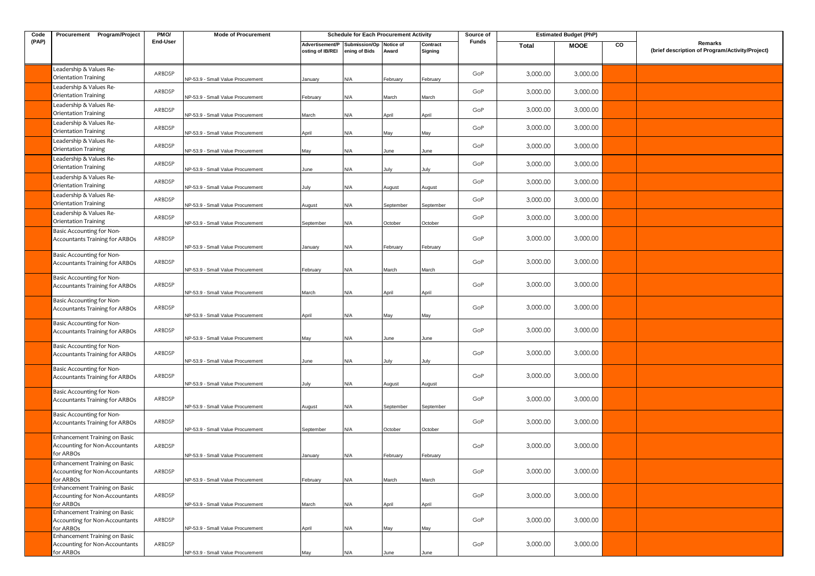| Code  | Procurement Program/Project                                                               | PMO/     | <b>Mode of Procurement</b>                                             |                                     | <b>Schedule for Each Procurement Activity</b> |                    |                     | Source of |          | <b>Estimated Budget (PhP)</b> |    |                                                            |
|-------|-------------------------------------------------------------------------------------------|----------|------------------------------------------------------------------------|-------------------------------------|-----------------------------------------------|--------------------|---------------------|-----------|----------|-------------------------------|----|------------------------------------------------------------|
| (PAP) |                                                                                           | End-User |                                                                        | Advertisement/P<br>osting of IB/REI | Submission/Op<br>ening of Bids                | Notice of<br>Award | Contract<br>Signing | Funds     | Total    | <b>MOOE</b>                   | CO | Remarks<br>(brief description of Program/Activity/Project) |
|       | Leadership & Values Re-<br>Orientation Training                                           | ARBDSP   | VP-53.9 - Small Value Procurement                                      | January                             | N/A                                           | February           | February            | GoP       | 3,000.00 | 3,000.00                      |    |                                                            |
|       | Leadership & Values Re-<br>Orientation Training                                           | ARBDSP   | NP-53.9 - Small Value Procurement                                      | February                            | N/A                                           | March              | March               | GoP       | 3,000.00 | 3,000.00                      |    |                                                            |
|       | Leadership & Values Re-<br>Orientation Training                                           | ARBDSP   | NP-53.9 - Small Value Procurement                                      | March                               | N/A                                           | April              | April               | GoP       | 3,000.00 | 3,000.00                      |    |                                                            |
|       | Leadership & Values Re-<br>Orientation Training                                           | ARBDSP   | NP-53.9 - Small Value Procurement                                      | April                               | N/A                                           | May                | May                 | GoP       | 3,000.00 | 3,000.00                      |    |                                                            |
|       | Leadership & Values Re-<br>Orientation Training                                           | ARBDSP   | NP-53.9 - Small Value Procurement                                      | May                                 | N/A                                           | June               | June                | GoP       | 3,000.00 | 3,000.00                      |    |                                                            |
|       | Leadership & Values Re-<br>Orientation Training                                           | ARBDSP   | VP-53.9 - Small Value Procurement                                      | June                                | N/A                                           | Julv               | July                | GoP       | 3,000.00 | 3,000.00                      |    |                                                            |
|       | Leadership & Values Re-<br>Orientation Training                                           | ARBDSP   | VP-53.9 - Small Value Procurement                                      | July                                | N/A                                           | August             | August              | GoP       | 3,000.00 | 3,000.00                      |    |                                                            |
|       | Leadership & Values Re-<br>Orientation Training                                           | ARBDSP   | NP-53.9 - Small Value Procurement                                      | August                              | N/A                                           | September          | September           | GoP       | 3,000.00 | 3,000.00                      |    |                                                            |
|       | Leadership & Values Re-<br>Orientation Training                                           | ARBDSP   | VP-53.9 - Small Value Procurement                                      | September                           | N/A                                           | October            | October             | GoP       | 3,000.00 | 3,000.00                      |    |                                                            |
|       | Basic Accounting for Non-<br>Accountants Training for ARBOs                               | ARBDSP   | VP-53.9 - Small Value Procurement                                      | January                             | N/A                                           | February           | February            | GoP       | 3,000.00 | 3,000.00                      |    |                                                            |
|       | Basic Accounting for Non-<br>Accountants Training for ARBOs                               | ARBDSP   | VP-53.9 - Small Value Procurement                                      | February                            | N/A                                           | March              | March               | GoP       | 3,000.00 | 3,000.00                      |    |                                                            |
|       | Basic Accounting for Non-<br><b>Accountants Training for ARBOs</b>                        | ARBDSP   | NP-53.9 - Small Value Procurement                                      | March                               | N/A                                           | April              | April               | GoP       | 3,000.00 | 3,000.00                      |    |                                                            |
|       | Basic Accounting for Non-<br>Accountants Training for ARBOs                               | ARBDSP   | NP-53.9 - Small Value Procurement                                      | April                               | N/A                                           | May                | May                 | GoP       | 3,000.00 | 3,000.00                      |    |                                                            |
|       | Basic Accounting for Non-<br>Accountants Training for ARBOs                               | ARBDSP   | NP-53.9 - Small Value Procurement                                      | May                                 | N/A                                           | June               | lune                | GoP       | 3,000.00 | 3,000.00                      |    |                                                            |
|       | Basic Accounting for Non-<br>Accountants Training for ARBOs                               | ARBDSP   | VP-53.9 - Small Value Procurement                                      | June                                | N/A                                           | lulv               | luly                | GoP       | 3,000.00 | 3,000.00                      |    |                                                            |
|       | Basic Accounting for Non-<br>Accountants Training for ARBOs                               | ARBDSP   | NP-53.9 - Small Value Procurement                                      | Julv                                | N/A                                           | August             | August              | GoP       | 3,000.00 | 3,000.00                      |    |                                                            |
|       | Basic Accounting for Non-<br>Accountants Training for ARBOs                               | ARBDSP   | NP-53.9 - Small Value Procurement                                      | August                              | N/A                                           | September          | September           | GoP       | 3,000.00 | 3,000.00                      |    |                                                            |
|       | Basic Accounting for Non-<br><b>Accountants Training for ARBOs</b>                        | ARBDSP   | NP-53.9 - Small Value Procurement                                      | September                           | N/A                                           | October            | October             | GoP       | 3,000.00 | 3,000.00                      |    |                                                            |
|       | Enhancement Training on Basic<br>Accounting for Non-Accountants<br>for ARBOs              | ARBDSP   | NP-53.9 - Small Value Procurement                                      | January                             | N/A                                           | February           | February            | GoP       | 3,000.00 | 3,000.00                      |    |                                                            |
|       | Enhancement Training on Basic<br>Accounting for Non-Accountants<br>for ARBOs              | ARBDSP   | NP-53.9 - Small Value Procurement                                      | February                            | N/A                                           | March              | March               | GoP       | 3,000.00 | 3,000.00                      |    |                                                            |
|       | Enhancement Training on Basic<br>Accounting for Non-Accountants<br>for ARBOs              | ARBDSP   | NP-53.9 - Small Value Procurement                                      | March                               | N/A                                           | April              | April               | GoP       | 3,000.00 | 3,000.00                      |    |                                                            |
|       | Enhancement Training on Basic<br>Accounting for Non-Accountants                           | ARBDSP   |                                                                        |                                     |                                               |                    |                     | GoP       | 3,000.00 | 3,000.00                      |    |                                                            |
|       | for ARBOs<br>Enhancement Training on Basic<br>Accounting for Non-Accountants<br>for ARBOs | ARBDSP   | NP-53.9 - Small Value Procurement<br>NP-53.9 - Small Value Procurement | April<br>May                        | N/A<br>N/A                                    | May<br>June        | May<br>June         | GoP       | 3,000.00 | 3,000.00                      |    |                                                            |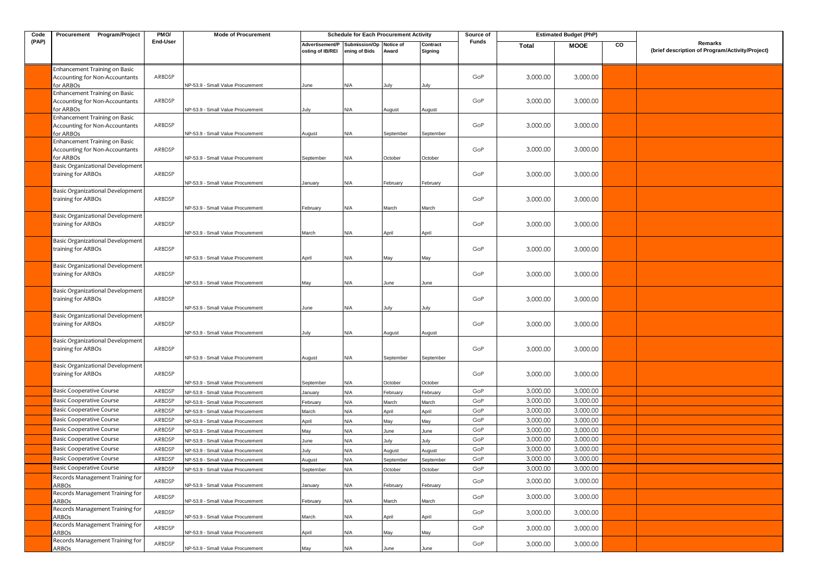| Code  | Procurement Program/Project                                                         | PMO/     | <b>Mode of Procurement</b>               |                                     | <b>Schedule for Each Procurement Activity</b> |           |                     | Source of |          | <b>Estimated Budget (PhP)</b> |    |                                                            |
|-------|-------------------------------------------------------------------------------------|----------|------------------------------------------|-------------------------------------|-----------------------------------------------|-----------|---------------------|-----------|----------|-------------------------------|----|------------------------------------------------------------|
| (PAP) |                                                                                     | End-User |                                          | Advertisement/P<br>osting of IB/REI | Submission/Op Notice of<br>ening of Bids      | Award     | Contract<br>Signing | Funds     | Total    | <b>MOOE</b>                   | CO | Remarks<br>(brief description of Program/Activity/Project) |
|       | Enhancement Training on Basic<br>Accounting for Non-Accountants<br>for ARBOs        | ARBDSP   | NP-53.9 - Small Value Procurement        | June                                | N/A                                           | July      | July                | GoP       | 3,000.00 | 3,000.00                      |    |                                                            |
|       | Enhancement Training on Basic<br>Accounting for Non-Accountants<br>for ARBOs        | ARBDSP   | NP-53.9 - Small Value Procurement        | July                                | N/A                                           | August    | August              | GoP       | 3,000.00 | 3,000.00                      |    |                                                            |
|       | Enhancement Training on Basic<br>Accounting for Non-Accountants<br>for ARBOs        | ARBDSP   | NP-53.9 - Small Value Procurement        | August                              | N/A                                           | September | September           | GoP       | 3,000.00 | 3,000.00                      |    |                                                            |
|       | Enhancement Training on Basic<br><b>Accounting for Non-Accountants</b><br>for ARBOs | ARBDSP   | NP-53.9 - Small Value Procurement        | September                           | N/A                                           | October   | October             | GoP       | 3,000.00 | 3,000.00                      |    |                                                            |
|       | Basic Organizational Development<br>training for ARBOs                              | ARBDSP   | VP-53.9 - Small Value Procurement        | January                             | N/A                                           | February  | February            | GoP       | 3,000.00 | 3,000.00                      |    |                                                            |
|       | Basic Organizational Development<br>training for ARBOs                              | ARBDSP   | NP-53.9 - Small Value Procurement        | February                            | N/A                                           | March     | March               | GoP       | 3,000.00 | 3,000.00                      |    |                                                            |
|       | Basic Organizational Development<br>training for ARBOs                              | ARBDSP   | NP-53.9 - Small Value Procurement        | March                               | N/A                                           | April     | April               | GoP       | 3,000.00 | 3,000.00                      |    |                                                            |
|       | Basic Organizational Development<br>training for ARBOs                              | ARBDSP   | NP-53.9 - Small Value Procurement        | April                               | N/A                                           | May       | May                 | GoP       | 3,000.00 | 3,000.00                      |    |                                                            |
|       | Basic Organizational Development<br>training for ARBOs                              | ARBDSP   | NP-53.9 - Small Value Procurement        | May                                 | N/A                                           | June      | June                | GoP       | 3,000.00 | 3,000.00                      |    |                                                            |
|       | Basic Organizational Development<br>training for ARBOs                              | ARBDSP   | NP-53.9 - Small Value Procurement        | June                                | N/A                                           | July      | July                | GoP       | 3,000.00 | 3,000.00                      |    |                                                            |
|       | Basic Organizational Development<br>training for ARBOs                              | ARBDSP   | VP-53.9 - Small Value Procurement        | July                                | N/A                                           | August    | August              | GoP       | 3,000.00 | 3,000.00                      |    |                                                            |
|       | Basic Organizational Development<br>training for ARBOs                              | ARBDSP   | NP-53.9 - Small Value Procurement        | August                              | N/A                                           | September | September           | GoP       | 3,000.00 | 3,000.00                      |    |                                                            |
|       | Basic Organizational Development<br>training for ARBOs                              | ARBDSP   | NP-53.9 - Small Value Procurement        | September                           | N/A                                           | October   | October             | GoP       | 3,000.00 | 3,000.00                      |    |                                                            |
|       | <b>Basic Cooperative Course</b>                                                     | ARBDSP   | NP-53.9 - Small Value Procurement        | January                             | N/A                                           | February  | February            | GoP       | 3,000.00 | 3,000.00                      |    |                                                            |
|       | <b>Basic Cooperative Course</b>                                                     | ARBDSP   | <b>VP-53.9 - Small Value Procurement</b> | February                            | N/A                                           | March     | March               | GoP       | 3,000.00 | 3,000.00                      |    |                                                            |
|       | <b>Basic Cooperative Course</b>                                                     | ARBDSP   | VP-53.9 - Small Value Procurement        | March                               | N/A                                           | April     | April               | GoP       | 3,000.00 | 3,000.00                      |    |                                                            |
|       | <b>Basic Cooperative Course</b>                                                     | ARBDSP   | VP-53.9 - Small Value Procurement        | April                               | N/A                                           | May       | May                 | GoP       | 3,000.00 | 3,000.00                      |    |                                                            |
|       | <b>Basic Cooperative Course</b>                                                     | ARBDSP   | VP-53.9 - Small Value Procurement        | May                                 | N/A                                           | June      | June                | GoP       | 3,000.00 | 3,000.00                      |    |                                                            |
|       | <b>Basic Cooperative Course</b>                                                     | ARBDSP   | VP-53.9 - Small Value Procurement        | June                                | N/A                                           | July      | July                | GoP       | 3,000.00 | 3,000.00                      |    |                                                            |
|       | <b>Basic Cooperative Course</b>                                                     | ARBDSP   | VP-53.9 - Small Value Procurement        | July                                | N/A                                           | August    | <b>August</b>       | GoP       | 3,000.00 | 3,000.00                      |    |                                                            |
|       | <b>Basic Cooperative Course</b>                                                     | ARBDSP   | NP-53.9 - Small Value Procurement        | August                              | N/A                                           | September | September           | GoP       | 3,000.00 | 3,000.00                      |    |                                                            |
|       | <b>Basic Cooperative Course</b>                                                     | ARBDSP   | NP-53.9 - Small Value Procurement        | September                           | N/A                                           | October   | October             | GoP       | 3,000.00 | 3,000.00                      |    |                                                            |
|       | Records Management Training for<br>ARBOs                                            | ARBDSP   | NP-53.9 - Small Value Procurement        | January                             | N/A                                           | February  | February            | GoP       | 3,000.00 | 3,000.00                      |    |                                                            |
|       | Records Management Training for<br>ARBOs                                            | ARBDSP   | NP-53.9 - Small Value Procurement        | February                            | N/A                                           | March     | March               | GoP       | 3,000.00 | 3,000.00                      |    |                                                            |
|       | Records Management Training for<br>ARBOs                                            | ARBDSP   | NP-53.9 - Small Value Procurement        | March                               | N/A                                           | April     | April               | GoP       | 3,000.00 | 3,000.00                      |    |                                                            |
|       | Records Management Training for<br>ARBOs                                            | ARBDSP   | NP-53.9 - Small Value Procurement        | April                               | N/A                                           | May       | May                 | GoP       | 3,000.00 | 3,000.00                      |    |                                                            |
|       | Records Management Training for<br>ARBOs                                            | ARBDSP   | NP-53.9 - Small Value Procurement        | May                                 | N/A                                           | June      | June                | GoP       | 3,000.00 | 3,000.00                      |    |                                                            |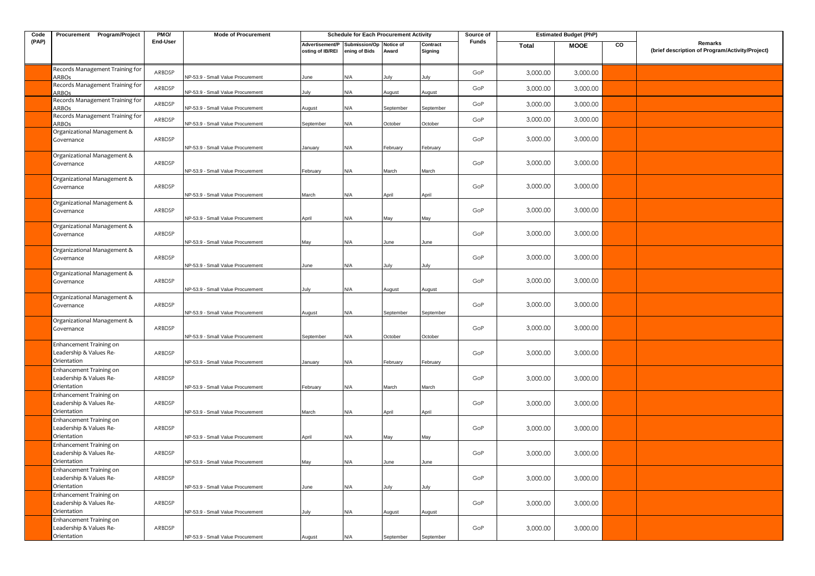| Code  | Procurement Program/Project                                       | PMO/     | <b>Mode of Procurement</b>        |                                     | <b>Schedule for Each Procurement Activity</b> |                    |                     | Source of    |          | <b>Estimated Budget (PhP)</b> |    |                                                            |
|-------|-------------------------------------------------------------------|----------|-----------------------------------|-------------------------------------|-----------------------------------------------|--------------------|---------------------|--------------|----------|-------------------------------|----|------------------------------------------------------------|
| (PAP) |                                                                   | End-User |                                   | Advertisement/P<br>osting of IB/REI | Submission/Op<br>ening of Bids                | Notice of<br>Award | Contract<br>Signing | <b>Funds</b> | Total    | <b>MOOE</b>                   | CO | Remarks<br>(brief description of Program/Activity/Project) |
|       | Records Management Training for<br>ARBOs                          | ARBDSP   | NP-53.9 - Small Value Procurement | June                                | N/A                                           | July               | July                | GoP          | 3,000.00 | 3,000.00                      |    |                                                            |
|       | Records Management Training for<br><b>ARBOs</b>                   | ARBDSP   | NP-53.9 - Small Value Procurement | July                                | N/A                                           | August             | August              | GoP          | 3,000.00 | 3,000.00                      |    |                                                            |
|       | Records Management Training for<br><b>ARBOs</b>                   | ARBDSP   | NP-53.9 - Small Value Procurement | August                              | N/A                                           | September          | September           | GoP          | 3,000.00 | 3,000.00                      |    |                                                            |
|       | Records Management Training for<br>ARBOs                          | ARBDSP   | NP-53.9 - Small Value Procurement | September                           | ۷/A                                           | October            | October             | GoP          | 3,000.00 | 3,000.00                      |    |                                                            |
|       | Organizational Management &<br>Governance                         | ARBDSP   | NP-53.9 - Small Value Procurement | January                             | N/A                                           | February           | February            | GoP          | 3,000.00 | 3,000.00                      |    |                                                            |
|       | Organizational Management &<br>Governance                         | ARBDSP   | NP-53.9 - Small Value Procurement | February                            | N/A                                           | March              | March               | GoP          | 3,000.00 | 3,000.00                      |    |                                                            |
|       | Organizational Management &<br>Governance                         | ARBDSP   | NP-53.9 - Small Value Procurement | March                               | N/A                                           | April              | April               | GoP          | 3,000.00 | 3,000.00                      |    |                                                            |
|       | Organizational Management &<br>Governance                         | ARBDSP   | NP-53.9 - Small Value Procurement | April                               | N/A                                           | May                | May                 | GoP          | 3,000.00 | 3,000.00                      |    |                                                            |
|       | Organizational Management &<br>Governance                         | ARBDSP   | NP-53.9 - Small Value Procurement | May                                 | ۷/A                                           | June               | June                | GoP          | 3,000.00 | 3,000.00                      |    |                                                            |
|       | Organizational Management &<br>Governance                         | ARBDSP   | NP-53.9 - Small Value Procurement | June                                | ۷/A                                           | July               | July                | GoP          | 3,000.00 | 3,000.00                      |    |                                                            |
|       | Organizational Management &<br>Governance                         | ARBDSP   | VP-53.9 - Small Value Procurement | July                                | ۷/A                                           | August             | August              | GoP          | 3,000.00 | 3,000.00                      |    |                                                            |
|       | Organizational Management &<br>Governance                         | ARBDSP   | NP-53.9 - Small Value Procurement | August                              | N/A                                           | September          | September           | GoP          | 3,000.00 | 3,000.00                      |    |                                                            |
|       | Organizational Management &<br>Governance                         | ARBDSP   | NP-53.9 - Small Value Procurement | September                           | N/A                                           | October            | October             | GoP          | 3,000.00 | 3,000.00                      |    |                                                            |
|       | Enhancement Training on<br>Leadership & Values Re-<br>Orientation | ARBDSP   | NP-53.9 - Small Value Procurement | January                             | N/A                                           | February           | February            | GoP          | 3,000.00 | 3,000.00                      |    |                                                            |
|       | Enhancement Training on<br>Leadership & Values Re-<br>Orientation | ARBDSP   | NP-53.9 - Small Value Procurement | February                            | N/A                                           | March              | March               | GoP          | 3,000.00 | 3,000.00                      |    |                                                            |
|       | Enhancement Training on<br>Leadership & Values Re-<br>Orientation | ARBDSP   | NP-53.9 - Small Value Procurement | March                               | N/A                                           | April              | April               | GoP          | 3,000.00 | 3,000.00                      |    |                                                            |
|       | Enhancement Training on<br>Leadership & Values Re-<br>Orientation | ARBDSP   | NP-53.9 - Small Value Procurement | April                               | ۷/A                                           | May                | May                 | GoP          | 3,000.00 | 3,000.00                      |    |                                                            |
|       | Enhancement Training on<br>Leadership & Values Re-<br>Orientation | ARBDSP   | NP-53.9 - Small Value Procurement | May                                 | N/A                                           | June               | June                | GoP          | 3,000.00 | 3,000.00                      |    |                                                            |
|       | Enhancement Training on<br>Leadership & Values Re-<br>Orientation | ARBDSP   | NP-53.9 - Small Value Procurement | June                                | N/A                                           | July               | July                | GoP          | 3,000.00 | 3,000.00                      |    |                                                            |
|       | Enhancement Training on<br>Leadership & Values Re-<br>Orientation | ARBDSP   | NP-53.9 - Small Value Procurement | July                                | N/A                                           | August             | August              | GoP          | 3,000.00 | 3,000.00                      |    |                                                            |
|       | Enhancement Training on<br>Leadership & Values Re-<br>Orientation | ARBDSP   | NP-53.9 - Small Value Procurement | August                              | N/A                                           | September          | September           | GoP          | 3,000.00 | 3,000.00                      |    |                                                            |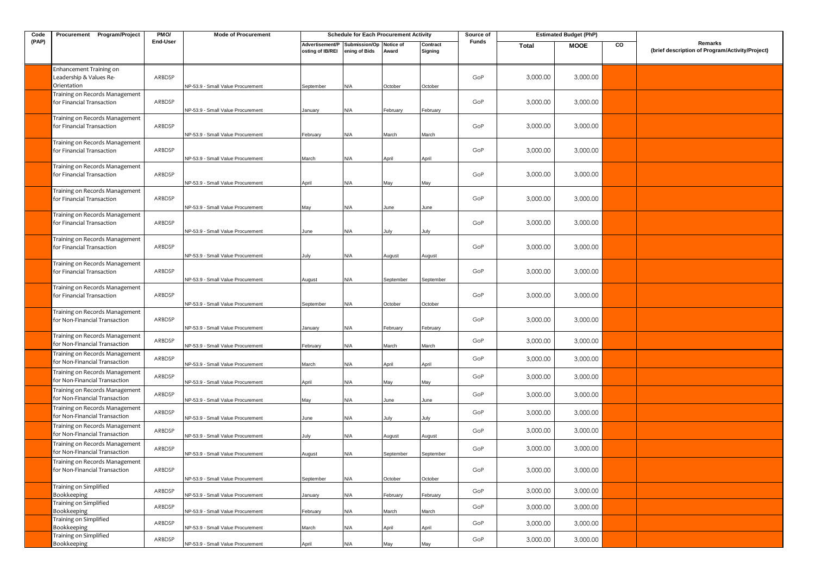| Code  | Procurement Program/Project                                                                       | PMO/             | <b>Mode of Procurement</b>                                             |                                     | <b>Schedule for Each Procurement Activity</b> |                     |                     | Source of  |                      | <b>Estimated Budget (PhP)</b> |    |                                                            |
|-------|---------------------------------------------------------------------------------------------------|------------------|------------------------------------------------------------------------|-------------------------------------|-----------------------------------------------|---------------------|---------------------|------------|----------------------|-------------------------------|----|------------------------------------------------------------|
| (PAP) |                                                                                                   | End-User         |                                                                        | Advertisement/P<br>osting of IB/REI | Submission/Op<br>ening of Bids                | Notice of<br>Award  | Contract<br>Signing | Funds      | <b>Total</b>         | <b>MOOE</b>                   | CO | Remarks<br>(brief description of Program/Activity/Project) |
|       | Enhancement Training on<br>Leadership & Values Re-<br>Orientation                                 | ARBDSP           | NP-53.9 - Small Value Procurement                                      | September                           | N/A                                           | October             | October             | GoP        | 3,000.00             | 3,000.00                      |    |                                                            |
|       | Training on Records Management<br>for Financial Transaction                                       | ARBDSP           | NP-53.9 - Small Value Procurement                                      | January                             | N/A                                           | February            | February            | GoP        | 3,000.00             | 3,000.00                      |    |                                                            |
|       | Training on Records Management<br>for Financial Transaction                                       | ARBDSP           | NP-53.9 - Small Value Procurement                                      | February                            | N/A                                           | March               | March               | GoP        | 3,000.00             | 3,000.00                      |    |                                                            |
|       | Training on Records Management<br>for Financial Transaction                                       | ARBDSP           | NP-53.9 - Small Value Procurement                                      | March                               | N/A                                           | April               | April               | GoP        | 3,000.00             | 3,000.00                      |    |                                                            |
|       | Training on Records Management<br>for Financial Transaction                                       | ARBDSP           | NP-53.9 - Small Value Procurement                                      | April                               | N/A                                           | May                 | May                 | GoP        | 3,000.00             | 3,000.00                      |    |                                                            |
|       | Training on Records Management<br>for Financial Transaction                                       | ARBDSP           | NP-53.9 - Small Value Procurement                                      | May                                 | N/A                                           | June                | June                | GoP        | 3,000.00             | 3,000.00                      |    |                                                            |
|       | Training on Records Management<br>for Financial Transaction                                       | ARBDSP           | NP-53.9 - Small Value Procurement                                      | June                                | N/A                                           | July                | July                | GoP        | 3,000.00             | 3,000.00                      |    |                                                            |
|       | Training on Records Management<br>for Financial Transaction                                       | ARBDSP           | NP-53.9 - Small Value Procurement                                      | July                                | N/A                                           | August              | August              | GoP        | 3,000.00             | 3,000.00                      |    |                                                            |
|       | Training on Records Management<br>for Financial Transaction                                       | ARBDSP           | NP-53.9 - Small Value Procurement                                      | August                              | N/A                                           | September           | September           | GoP        | 3,000.00             | 3,000.00                      |    |                                                            |
|       | Training on Records Management<br>for Financial Transaction                                       | ARBDSP           | NP-53.9 - Small Value Procurement                                      | September                           | N/A                                           | October             | October             | GoP        | 3,000.00             | 3,000.00                      |    |                                                            |
|       | Training on Records Management<br>for Non-Financial Transaction                                   | ARBDSP           | NP-53.9 - Small Value Procurement                                      | January                             | N/A                                           | February            | February            | GoP        | 3,000.00             | 3,000.00                      |    |                                                            |
|       | Training on Records Management<br>for Non-Financial Transaction                                   | ARBDSP           | VP-53.9 - Small Value Procurement                                      | February                            | N/A                                           | March               | March               | GoP        | 3,000.00             | 3,000.00                      |    |                                                            |
|       | Training on Records Management<br>for Non-Financial Transaction                                   | ARBDSP           | NP-53.9 - Small Value Procurement                                      | March                               | N/A                                           | April               | April               | GoP        | 3,000.00             | 3,000.00                      |    |                                                            |
|       | Training on Records Management<br>for Non-Financial Transaction<br>Training on Records Management | ARBDSP           | NP-53.9 - Small Value Procurement                                      | April                               | N/A                                           | May                 | May                 | GoP        | 3,000.00             | 3,000.00                      |    |                                                            |
|       | for Non-Financial Transaction<br>Training on Records Management                                   | ARBDSP           | NP-53.9 - Small Value Procurement                                      | May                                 | N/A                                           | June                | June                | GoP        | 3,000.00             | 3,000.00                      |    |                                                            |
|       | for Non-Financial Transaction<br>Training on Records Management                                   | ARBDSP<br>ARBDSP | NP-53.9 - Small Value Procurement                                      | June                                | N/A                                           | July                | July                | GoP<br>GoP | 3,000.00<br>3,000.00 | 3,000.00<br>3,000.00          |    |                                                            |
|       | for Non-Financial Transaction<br>Training on Records Management<br>for Non-Financial Transaction  | ARBDSP           | VP-53.9 - Small Value Procurement                                      | July                                | N/A                                           | August              | August              | GoP        | 3,000.00             | 3,000.00                      |    |                                                            |
|       | Training on Records Management<br>for Non-Financial Transaction                                   | ARBDSP           | NP-53.9 - Small Value Procurement                                      | August                              | N/A                                           | September           | September           | GoP        | 3,000.00             | 3,000.00                      |    |                                                            |
|       | Training on Simplified<br>Bookkeeping                                                             | ARBDSP           | NP-53.9 - Small Value Procurement<br>NP-53.9 - Small Value Procurement | September<br>January                | N/A<br>N/A                                    | October<br>February | October<br>February | GoP        | 3,000.00             | 3,000.00                      |    |                                                            |
|       | Training on Simplified<br>Bookkeeping                                                             | ARBDSP           | NP-53.9 - Small Value Procurement                                      | February                            | N/A                                           | March               | March               | GoP        | 3,000.00             | 3,000.00                      |    |                                                            |
|       | Training on Simplified<br>Bookkeeping                                                             | ARBDSP           | NP-53.9 - Small Value Procurement                                      | March                               | N/A                                           | April               | April               | GoP        | 3,000.00             | 3,000.00                      |    |                                                            |
|       | Training on Simplified<br>Bookkeeping                                                             | ARBDSP           | NP-53.9 - Small Value Procurement                                      | April                               | N/A                                           | May                 | May                 | GoP        | 3,000.00             | 3,000.00                      |    |                                                            |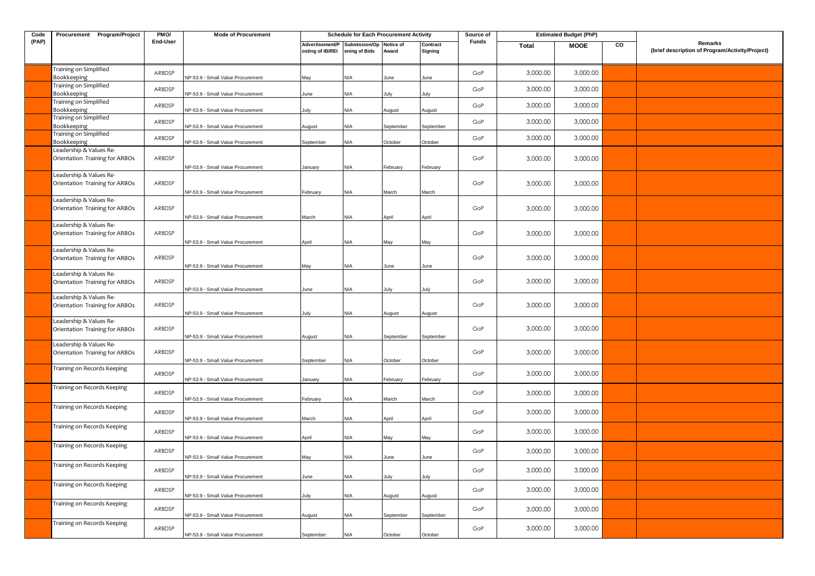| Code  | Procurement Program/Project                               | PMO/     | <b>Mode of Procurement</b>        |                                     | <b>Schedule for Each Procurement Activity</b> |                    |                     | Source of |          | <b>Estimated Budget (PhP)</b> |    |                                                            |
|-------|-----------------------------------------------------------|----------|-----------------------------------|-------------------------------------|-----------------------------------------------|--------------------|---------------------|-----------|----------|-------------------------------|----|------------------------------------------------------------|
| (PAP) |                                                           | End-User |                                   | Advertisement/P<br>osting of IB/REI | Submission/Op<br>ening of Bids                | Notice of<br>Award | Contract<br>Signing | Funds     | Total    | <b>MOOE</b>                   | CO | Remarks<br>(brief description of Program/Activity/Project) |
|       | Training on Simplified<br>Bookkeeping                     | ARBDSP   | NP-53.9 - Small Value Procurement | May                                 | N/A                                           | June               | June                | GoP       | 3,000.00 | 3,000.00                      |    |                                                            |
|       | Training on Simplified<br>Bookkeeping                     | ARBDSP   | NP-53.9 - Small Value Procurement | June                                | N/A                                           | July               | July                | GoP       | 3,000.00 | 3,000.00                      |    |                                                            |
|       | Training on Simplified<br>Bookkeeping                     | ARBDSP   | NP-53.9 - Small Value Procurement | July                                | N/A                                           | August             | August              | GoP       | 3,000.00 | 3,000.00                      |    |                                                            |
|       | Training on Simplified<br>Bookkeeping                     | ARBDSP   | NP-53.9 - Small Value Procurement | August                              | N/A                                           | September          | September           | GoP       | 3,000.00 | 3,000.00                      |    |                                                            |
|       | Training on Simplified<br>Bookkeeping                     | ARBDSP   | NP-53.9 - Small Value Procurement | September                           | N/A                                           | October            | October             | GoP       | 3,000.00 | 3,000.00                      |    |                                                            |
|       | Leadership & Values Re-<br>Orientation Training for ARBOs | ARBDSP   | NP-53.9 - Small Value Procurement | January                             | N/A                                           | February           | February            | GoP       | 3,000.00 | 3,000.00                      |    |                                                            |
|       | Leadership & Values Re-<br>Orientation Training for ARBOs | ARBDSP   | NP-53.9 - Small Value Procurement | February                            | N/A                                           | March              | March               | GoP       | 3,000.00 | 3,000.00                      |    |                                                            |
|       | Leadership & Values Re-<br>Orientation Training for ARBOs | ARBDSP   | NP-53.9 - Small Value Procurement | March                               | N/A                                           | April              | April               | GoP       | 3,000.00 | 3,000.00                      |    |                                                            |
|       | Leadership & Values Re-<br>Orientation Training for ARBOs | ARBDSP   | NP-53.9 - Small Value Procurement | April                               | N/A                                           | May                | May                 | GoP       | 3,000.00 | 3,000.00                      |    |                                                            |
|       | Leadership & Values Re-<br>Orientation Training for ARBOs | ARBDSP   | NP-53.9 - Small Value Procurement | May                                 | N/A                                           | June               | June                | GoP       | 3,000.00 | 3,000.00                      |    |                                                            |
|       | Leadership & Values Re-<br>Orientation Training for ARBOs | ARBDSP   | NP-53.9 - Small Value Procurement | June                                | N/A                                           | July               | July                | GoP       | 3,000.00 | 3,000.00                      |    |                                                            |
|       | Leadership & Values Re-<br>Orientation Training for ARBOs | ARBDSP   | NP-53.9 - Small Value Procurement | July                                | N/A                                           | August             | August              | GoP       | 3,000.00 | 3,000.00                      |    |                                                            |
|       | Leadership & Values Re-<br>Orientation Training for ARBOs | ARBDSP   | NP-53.9 - Small Value Procurement | August                              | N/A                                           | September          | September           | GoP       | 3,000.00 | 3,000.00                      |    |                                                            |
|       | Leadership & Values Re-<br>Orientation Training for ARBOs | ARBDSP   | NP-53.9 - Small Value Procurement | September                           | N/A                                           | October            | October             | GoP       | 3,000.00 | 3,000.00                      |    |                                                            |
|       | Training on Records Keeping                               | ARBDSP   | NP-53.9 - Small Value Procurement | January                             | N/A                                           | February           | February            | GoP       | 3,000.00 | 3,000.00                      |    |                                                            |
|       | Training on Records Keeping                               | ARBDSP   | NP-53.9 - Small Value Procurement | February                            | N/A                                           | March              | March               | GoP       | 3,000.00 | 3,000.00                      |    |                                                            |
|       | Training on Records Keeping                               | ARBDSP   | NP-53.9 - Small Value Procurement | March                               | N/A                                           | April              | April               | GoP       | 3,000.00 | 3,000.00                      |    |                                                            |
|       | Training on Records Keeping                               | ARBDSP   | NP-53.9 - Small Value Procurement | April                               | N/A                                           | May                | May                 | GoP       | 3,000.00 | 3,000.00                      |    |                                                            |
|       | Training on Records Keeping                               | ARBDSP   | NP-53.9 - Small Value Procurement | May                                 | N/A                                           | June               | June                | GoP       | 3,000.00 | 3,000.00                      |    |                                                            |
|       | Training on Records Keeping                               | ARBDSP   | NP-53.9 - Small Value Procurement | June                                | N/A                                           | July               | July                | GoP       | 3,000.00 | 3,000.00                      |    |                                                            |
|       | Training on Records Keeping                               | ARBDSP   | NP-53.9 - Small Value Procurement | July                                | N/A                                           | August             | August              | GoP       | 3,000.00 | 3,000.00                      |    |                                                            |
|       | Training on Records Keeping                               | ARBDSP   | NP-53.9 - Small Value Procurement | August                              | N/A                                           | September          | September           | GoP       | 3,000.00 | 3,000.00                      |    |                                                            |
|       | Training on Records Keeping                               | ARBDSP   | NP-53.9 - Small Value Procurement | September                           | N/A                                           | October            | October             | GoP       | 3,000.00 | 3,000.00                      |    |                                                            |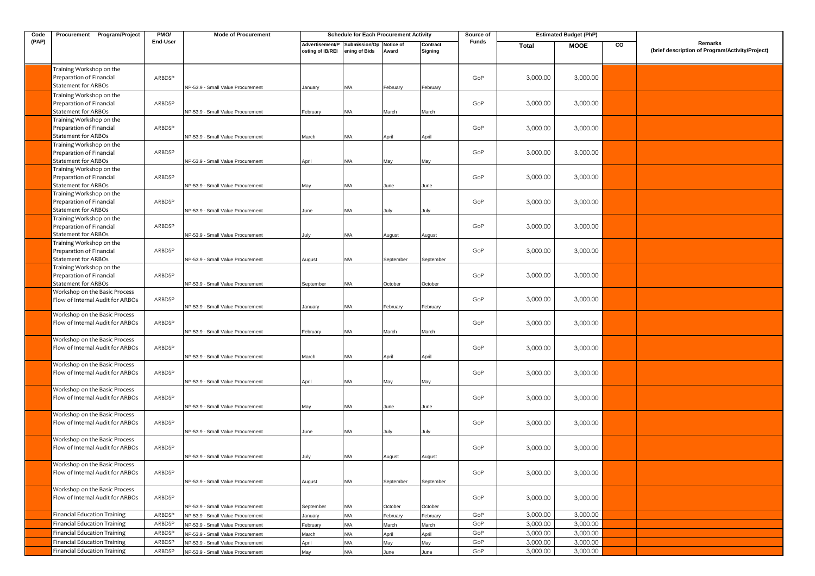| Code  | Procurement Program/Project                                                        | PMO/     | <b>Mode of Procurement</b>        |                                     | <b>Schedule for Each Procurement Activity</b> |                    |                     | Source of |              | <b>Estimated Budget (PhP)</b> |    |                                                            |
|-------|------------------------------------------------------------------------------------|----------|-----------------------------------|-------------------------------------|-----------------------------------------------|--------------------|---------------------|-----------|--------------|-------------------------------|----|------------------------------------------------------------|
| (PAP) |                                                                                    | End-User |                                   | Advertisement/P<br>osting of IB/REI | Submission/Op<br>ening of Bids                | Notice of<br>Award | Contract<br>Signing | Funds     | <b>Total</b> | <b>MOOE</b>                   | CO | Remarks<br>(brief description of Program/Activity/Project) |
|       | Training Workshop on the<br>Preparation of Financial<br><b>Statement for ARBOs</b> | ARBDSP   | NP-53.9 - Small Value Procurement | January                             | N/A                                           | February           | February            | GoP       | 3,000.00     | 3,000.00                      |    |                                                            |
|       | Training Workshop on the<br>Preparation of Financial<br>Statement for ARBOs        | ARBDSP   | NP-53.9 - Small Value Procurement | February                            | N/A                                           | March              | March               | GoP       | 3,000.00     | 3,000.00                      |    |                                                            |
|       | Training Workshop on the<br>Preparation of Financial<br><b>Statement for ARBOs</b> | ARBDSP   | NP-53.9 - Small Value Procurement | March                               | N/A                                           | April              | April               | GoP       | 3,000.00     | 3,000.00                      |    |                                                            |
|       | Training Workshop on the<br>Preparation of Financial<br><b>Statement for ARBOs</b> | ARBDSP   | NP-53.9 - Small Value Procurement | April                               | N/A                                           | May                | May                 | GoP       | 3,000.00     | 3,000.00                      |    |                                                            |
|       | Training Workshop on the<br>Preparation of Financial<br>Statement for ARBOs        | ARBDSP   | NP-53.9 - Small Value Procurement | May                                 | N/A                                           | June               | June                | GoP       | 3,000.00     | 3,000.00                      |    |                                                            |
|       | Training Workshop on the<br>Preparation of Financial<br><b>Statement for ARBOs</b> | ARBDSP   | NP-53.9 - Small Value Procurement | June                                | N/A                                           | July               | July                | GoP       | 3,000.00     | 3,000.00                      |    |                                                            |
|       | Training Workshop on the<br>Preparation of Financial<br>Statement for ARBOs        | ARBDSP   | NP-53.9 - Small Value Procurement | July                                | N/A                                           | August             | August              | GoP       | 3,000.00     | 3,000.00                      |    |                                                            |
|       | Training Workshop on the<br>Preparation of Financial<br>Statement for ARBOs        | ARBDSP   | NP-53.9 - Small Value Procurement | August                              | N/A                                           | September          | September           | GoP       | 3,000.00     | 3,000.00                      |    |                                                            |
|       | Training Workshop on the<br>Preparation of Financial<br>Statement for ARBOs        | ARBDSP   | NP-53.9 - Small Value Procurement | September                           | N/A                                           | October            | October             | GoP       | 3,000.00     | 3,000.00                      |    |                                                            |
|       | Workshop on the Basic Process<br>Flow of Internal Audit for ARBOs                  | ARBDSP   | NP-53.9 - Small Value Procurement | January                             | N/A                                           | February           | February            | GoP       | 3,000.00     | 3,000.00                      |    |                                                            |
|       | Workshop on the Basic Process<br>Flow of Internal Audit for ARBOs                  | ARBDSP   | NP-53.9 - Small Value Procurement | February                            | N/A                                           | March              | March               | GoP       | 3,000.00     | 3,000.00                      |    |                                                            |
|       | Workshop on the Basic Process<br>Flow of Internal Audit for ARBOs                  | ARBDSP   | NP-53.9 - Small Value Procurement | March                               | N/A                                           | April              | April               | GoP       | 3,000.00     | 3,000.00                      |    |                                                            |
|       | Workshop on the Basic Process<br>Flow of Internal Audit for ARBOs                  | ARBDSP   | NP-53.9 - Small Value Procurement | April                               | N/A                                           | May                | May                 | GoP       | 3,000.00     | 3,000.00                      |    |                                                            |
|       | Workshop on the Basic Process<br>Flow of Internal Audit for ARBOs                  | ARBDSP   | NP-53.9 - Small Value Procurement | May                                 | N/A                                           | June               | June                | GoP       | 3,000.00     | 3,000.00                      |    |                                                            |
|       | Workshop on the Basic Process<br>Flow of Internal Audit for ARBOs                  | ARBDSP   | NP-53.9 - Small Value Procurement | June                                | N/A                                           | July               | July                | GoP       | 3,000.00     | 3,000.00                      |    |                                                            |
|       | Workshop on the Basic Process<br>Flow of Internal Audit for ARBOs                  | ARBDSP   | NP-53.9 - Small Value Procurement | July                                | N/A                                           | August             | August              | GoP       | 3,000.00     | 3,000.00                      |    |                                                            |
|       | Workshop on the Basic Process<br>Flow of Internal Audit for ARBOs                  | ARBDSP   | NP-53.9 - Small Value Procurement | August                              | N/A                                           | September          | September           | GoP       | 3,000.00     | 3,000.00                      |    |                                                            |
|       | Workshop on the Basic Process<br>Flow of Internal Audit for ARBOs                  | ARBDSP   | NP-53.9 - Small Value Procurement | September                           | N/A                                           | October            | October             | GoP       | 3,000.00     | 3,000.00                      |    |                                                            |
|       | <b>Financial Education Training</b>                                                | ARBDSP   | NP-53.9 - Small Value Procurement | January                             | N/A                                           | February           | February            | GoP       | 3,000.00     | 3,000.00                      |    |                                                            |
|       | Financial Education Training                                                       | ARBDSP   | NP-53.9 - Small Value Procurement | February                            | N/A                                           | March              | March               | GoP       | 3,000.00     | 3,000.00                      |    |                                                            |
|       | Financial Education Training                                                       | ARBDSP   | NP-53.9 - Small Value Procurement | March                               | $\mathsf{N}/\mathsf{A}$                       | April              | April               | GoP       | 3,000.00     | 3,000.00                      |    |                                                            |
|       | <b>Financial Education Training</b>                                                | ARBDSP   | NP-53.9 - Small Value Procurement | April                               | $\mathsf{N}/\mathsf{A}$                       | May                | May                 | GoP       | 3,000.00     | 3,000.00                      |    |                                                            |
|       | <b>Financial Education Training</b>                                                | ARBDSP   | NP-53.9 - Small Value Procurement | May                                 | N/A                                           | June               | June                | GoP       | 3,000.00     | 3,000.00                      |    |                                                            |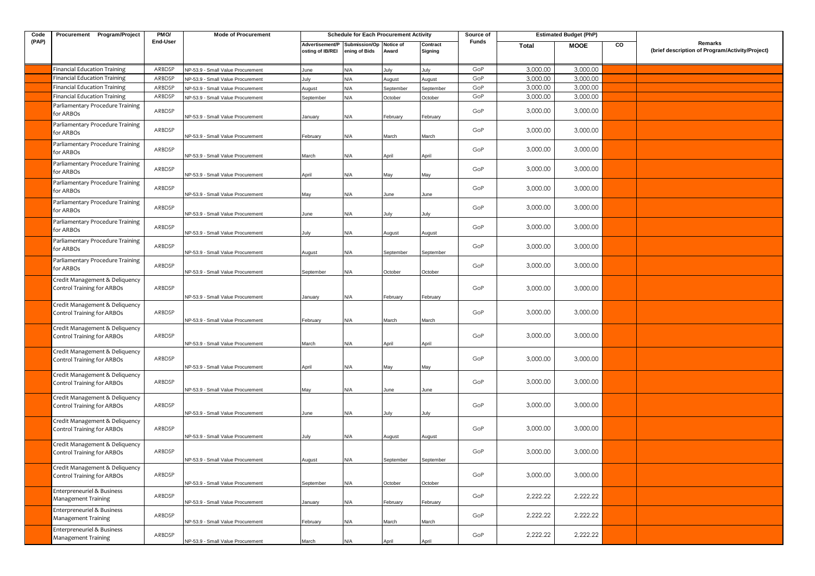| Code  | Procurement Program/Project                                         | PMO/     | <b>Mode of Procurement</b>        |                                     | <b>Schedule for Each Procurement Activity</b> |                    |                     | Source of    |              | <b>Estimated Budget (PhP)</b> |    |                                                            |
|-------|---------------------------------------------------------------------|----------|-----------------------------------|-------------------------------------|-----------------------------------------------|--------------------|---------------------|--------------|--------------|-------------------------------|----|------------------------------------------------------------|
| (PAP) |                                                                     | End-User |                                   | Advertisement/P<br>osting of IB/REI | Submission/Op<br>ening of Bids                | Notice of<br>Award | Contract<br>Signing | <b>Funds</b> | <b>Total</b> | <b>MOOE</b>                   | CO | Remarks<br>(brief description of Program/Activity/Project) |
|       | <b>Financial Education Training</b>                                 | ARBDSP   | NP-53.9 - Small Value Procurement | June                                | N/A                                           | July               | July                | GoP          | 3,000.00     | 3,000.00                      |    |                                                            |
|       | <b>Financial Education Training</b>                                 | ARBDSP   | NP-53.9 - Small Value Procurement | July                                | N/A                                           | August             | August              | GoP          | 3,000.00     | 3,000.00                      |    |                                                            |
|       | <b>Financial Education Training</b>                                 | ARBDSP   | VP-53.9 - Small Value Procurement | August                              | N/A                                           | September          | September           | GoP          | 3,000.00     | 3,000.00                      |    |                                                            |
|       | <b>Financial Education Training</b>                                 | ARBDSP   | NP-53.9 - Small Value Procurement | September                           | N/A                                           | October            | October             | GoP          | 3,000.00     | 3,000.00                      |    |                                                            |
|       | Parliamentary Procedure Training<br>for ARBOs                       | ARBDSP   | NP-53.9 - Small Value Procurement | January                             | N/A                                           | February           | February            | GoP          | 3,000.00     | 3,000.00                      |    |                                                            |
|       | Parliamentary Procedure Training<br>for ARBOs                       | ARBDSP   | NP-53.9 - Small Value Procurement | February                            | N/A                                           | March              | March               | GoP          | 3,000.00     | 3,000.00                      |    |                                                            |
|       | Parliamentary Procedure Training<br>for ARBOs                       | ARBDSP   | NP-53.9 - Small Value Procurement | March                               | N/A                                           | April              | April               | GoP          | 3,000.00     | 3,000.00                      |    |                                                            |
|       | Parliamentary Procedure Training<br>for ARBOs                       | ARBDSP   | NP-53.9 - Small Value Procurement | April                               | N/A                                           | May                | May                 | GoP          | 3,000.00     | 3,000.00                      |    |                                                            |
|       | Parliamentary Procedure Training<br>for ARBOs                       | ARBDSP   | NP-53.9 - Small Value Procurement | May                                 | N/A                                           | June               | June                | GoP          | 3,000.00     | 3,000.00                      |    |                                                            |
|       | Parliamentary Procedure Training<br>for ARBOs                       | ARBDSP   | NP-53.9 - Small Value Procurement | June                                | N/A                                           | July               | July                | GoP          | 3,000.00     | 3,000.00                      |    |                                                            |
|       | Parliamentary Procedure Training<br>for ARBOs                       | ARBDSP   | NP-53.9 - Small Value Procurement | July                                | N/A                                           | August             | August              | GoP          | 3,000.00     | 3,000.00                      |    |                                                            |
|       | Parliamentary Procedure Training<br>for ARBOs                       | ARBDSP   | NP-53.9 - Small Value Procurement | August                              | N/A                                           | September          | September           | GoP          | 3,000.00     | 3,000.00                      |    |                                                            |
|       | Parliamentary Procedure Training<br>for ARBOs                       | ARBDSP   | NP-53.9 - Small Value Procurement | September                           | N/A                                           | October            | October             | GoP          | 3,000.00     | 3,000.00                      |    |                                                            |
|       | Credit Management & Deliquency<br><b>Control Training for ARBOs</b> | ARBDSP   | NP-53.9 - Small Value Procurement | January                             | N/A                                           | February           | February            | GoP          | 3,000.00     | 3,000.00                      |    |                                                            |
|       | Credit Management & Deliquency<br><b>Control Training for ARBOs</b> | ARBDSP   | NP-53.9 - Small Value Procurement | February                            | N/A                                           | March              | March               | GoP          | 3,000.00     | 3,000.00                      |    |                                                            |
|       | Credit Management & Deliquency<br><b>Control Training for ARBOs</b> | ARBDSP   | NP-53.9 - Small Value Procurement | March                               | N/A                                           | April              | April               | GoP          | 3,000.00     | 3,000.00                      |    |                                                            |
|       | Credit Management & Deliquency<br><b>Control Training for ARBOs</b> | ARBDSP   | NP-53.9 - Small Value Procurement | April                               | N/A                                           | May                | May                 | GoP          | 3,000.00     | 3,000.00                      |    |                                                            |
|       | Credit Management & Deliquency<br><b>Control Training for ARBOs</b> | ARBDSP   | NP-53.9 - Small Value Procurement | May                                 | N/A                                           | June               | June                | GoP          | 3,000.00     | 3,000.00                      |    |                                                            |
|       | Credit Management & Deliquency<br><b>Control Training for ARBOs</b> | ARBDSP   | NP-53.9 - Small Value Procurement | June                                | N/A                                           | July               | July                | GoP          | 3,000.00     | 3,000.00                      |    |                                                            |
|       | Credit Management & Deliquency<br><b>Control Training for ARBOs</b> | ARBDSP   | NP-53.9 - Small Value Procurement | July                                | N/A                                           | August             | August              | GoP          | 3,000.00     | 3,000.00                      |    |                                                            |
|       | Credit Management & Deliquency<br><b>Control Training for ARBOs</b> | ARBDSP   | NP-53.9 - Small Value Procurement | August                              | N/A                                           | September          | September           | GoP          | 3,000.00     | 3,000.00                      |    |                                                            |
|       | Credit Management & Deliquency<br><b>Control Training for ARBOs</b> | ARBDSP   | NP-53.9 - Small Value Procurement | September                           | N/A                                           | October            | October             | GoP          | 3,000.00     | 3,000.00                      |    |                                                            |
|       | Enterpreneuriel & Business<br>Management Training                   | ARBDSP   | NP-53.9 - Small Value Procurement | January                             | N/A                                           | February           | February            | GoP          | 2,222.22     | 2,222.22                      |    |                                                            |
|       | Enterpreneuriel & Business<br>Management Training                   | ARBDSP   | NP-53.9 - Small Value Procurement | February                            | N/A                                           | March              | March               | GoP          | 2,222.22     | 2,222.22                      |    |                                                            |
|       | Enterpreneuriel & Business<br>Management Training                   | ARBDSP   | NP-53.9 - Small Value Procurement | March                               | N/A                                           | April              | April               | GoP          | 2,222.22     | 2,222.22                      |    |                                                            |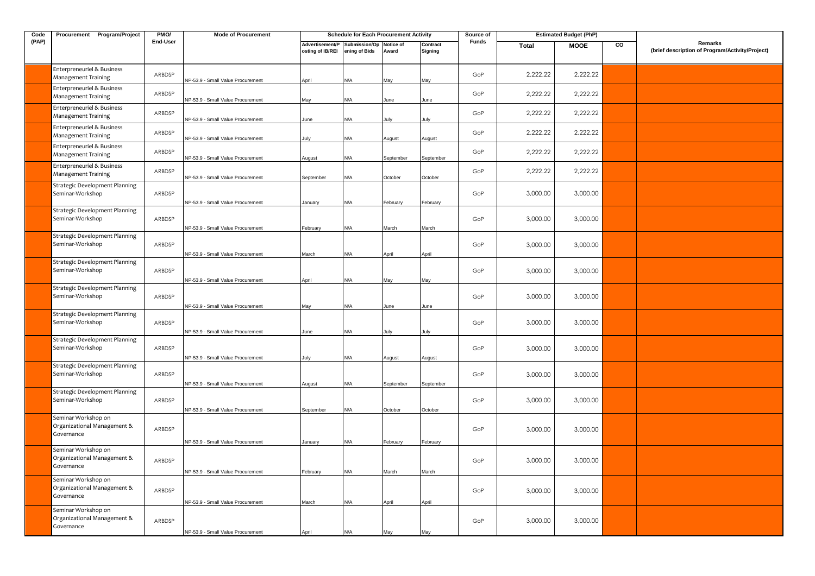| Code  | Procurement Program/Project                                      | PMO/     | <b>Mode of Procurement</b>        |                                                             | <b>Schedule for Each Procurement Activity</b> |           |                     | Source of |          | <b>Estimated Budget (PhP)</b> |    |                                                            |
|-------|------------------------------------------------------------------|----------|-----------------------------------|-------------------------------------------------------------|-----------------------------------------------|-----------|---------------------|-----------|----------|-------------------------------|----|------------------------------------------------------------|
| (PAP) |                                                                  | End-User |                                   | Advertisement/P Submission/Op Notice of<br>osting of IB/REI | ening of Bids                                 | Award     | Contract<br>Signing | Funds     | Total    | <b>MOOE</b>                   | CO | Remarks<br>(brief description of Program/Activity/Project) |
|       | Enterpreneuriel & Business<br>Management Training                | ARBDSP   | NP-53.9 - Small Value Procurement | April                                                       | N/A                                           | May       | May                 | GoP       | 2.222.22 | 2.222.22                      |    |                                                            |
|       | Enterpreneuriel & Business<br><b>Management Training</b>         | ARBDSP   | NP-53.9 - Small Value Procurement | May                                                         | N/A                                           | June      | June                | GoP       | 2,222.22 | 2,222.22                      |    |                                                            |
|       | Enterpreneuriel & Business<br>Management Training                | ARBDSP   | NP-53.9 - Small Value Procurement | June                                                        | N/A                                           | July      | July                | GoP       | 2,222.22 | 2.222.22                      |    |                                                            |
|       | Enterpreneuriel & Business<br><b>Management Training</b>         | ARBDSP   | NP-53.9 - Small Value Procurement | July                                                        | N/A                                           | August    | August              | GoP       | 2,222.22 | 2,222.22                      |    |                                                            |
|       | Enterpreneuriel & Business<br><b>Management Training</b>         | ARBDSP   | NP-53.9 - Small Value Procurement | August                                                      | N/A                                           | September | September           | GoP       | 2,222.22 | 2,222.22                      |    |                                                            |
|       | Enterpreneuriel & Business<br>Management Training                | ARBDSP   | NP-53.9 - Small Value Procurement | September                                                   | N/A                                           | October   | October             | GoP       | 2,222.22 | 2,222.22                      |    |                                                            |
|       | Strategic Development Planning<br>Seminar-Workshop               | ARBDSP   | NP-53.9 - Small Value Procurement | January                                                     | N/A                                           | February  | February            | GoP       | 3,000.00 | 3,000.00                      |    |                                                            |
|       | Strategic Development Planning<br>Seminar-Workshop               | ARBDSP   | NP-53.9 - Small Value Procurement | February                                                    | N/A                                           | March     | March               | GoP       | 3,000.00 | 3,000.00                      |    |                                                            |
|       | Strategic Development Planning<br>Seminar-Workshop               | ARBDSP   | NP-53.9 - Small Value Procurement | March                                                       | N/A                                           | April     | April               | GoP       | 3,000.00 | 3,000.00                      |    |                                                            |
|       | <b>Strategic Development Planning</b><br>Seminar-Workshop        | ARBDSP   | NP-53.9 - Small Value Procurement | April                                                       | N/A                                           | May       | May                 | GoP       | 3,000.00 | 3,000.00                      |    |                                                            |
|       | Strategic Development Planning<br>Seminar-Workshop               | ARBDSP   | NP-53.9 - Small Value Procurement | May                                                         | N/A                                           | June      | June                | GoP       | 3,000.00 | 3,000.00                      |    |                                                            |
|       | Strategic Development Planning<br>Seminar-Workshop               | ARBDSP   | NP-53.9 - Small Value Procurement | June                                                        | N/A                                           | July      | July                | GoP       | 3,000.00 | 3,000.00                      |    |                                                            |
|       | <b>Strategic Development Planning</b><br>Seminar-Workshop        | ARBDSP   | NP-53.9 - Small Value Procurement | July                                                        | N/A                                           | August    | August              | GoP       | 3,000.00 | 3,000.00                      |    |                                                            |
|       | <b>Strategic Development Planning</b><br>Seminar-Workshop        | ARBDSP   | NP-53.9 - Small Value Procurement | August                                                      | N/A                                           | September | September           | GoP       | 3,000.00 | 3,000.00                      |    |                                                            |
|       | <b>Strategic Development Planning</b><br>Seminar-Workshop        | ARBDSP   | NP-53.9 - Small Value Procurement | September                                                   | N/A                                           | October   | October             | GoP       | 3,000.00 | 3,000.00                      |    |                                                            |
|       | Seminar Workshop on<br>Organizational Management &<br>Governance | ARBDSP   | NP-53.9 - Small Value Procurement | January                                                     | N/A                                           | February  | February            | GoP       | 3,000.00 | 3,000.00                      |    |                                                            |
|       | Seminar Workshop on<br>Organizational Management &<br>Governance | ARBDSP   | NP-53.9 - Small Value Procurement | February                                                    | N/A                                           | March     | March               | GoP       | 3,000.00 | 3,000.00                      |    |                                                            |
|       | Seminar Workshop on<br>Organizational Management &<br>Governance | ARBDSP   | NP-53.9 - Small Value Procurement | March                                                       | N/A                                           | April     | April               | GoP       | 3,000.00 | 3,000.00                      |    |                                                            |
|       | Seminar Workshop on<br>Organizational Management &<br>Governance | ARBDSP   | NP-53.9 - Small Value Procurement | April                                                       | N/A                                           | May       | May                 | GoP       | 3,000.00 | 3,000.00                      |    |                                                            |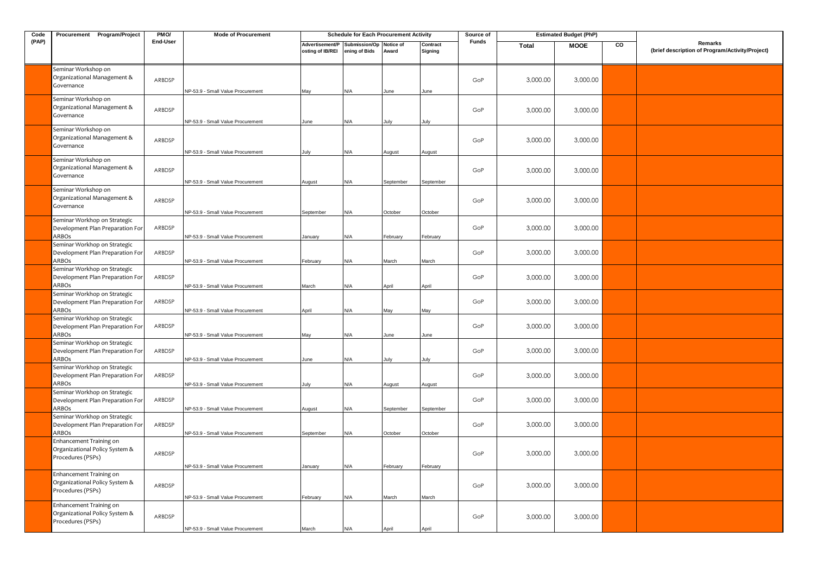| Code  | Procurement Program/Project                                                                               | PM <sub>O</sub> | <b>Mode of Procurement</b>                                             |                                     | <b>Schedule for Each Procurement Activity</b> |                |                     | Source of |          | <b>Estimated Budget (PhP)</b> |    |                                                            |
|-------|-----------------------------------------------------------------------------------------------------------|-----------------|------------------------------------------------------------------------|-------------------------------------|-----------------------------------------------|----------------|---------------------|-----------|----------|-------------------------------|----|------------------------------------------------------------|
| (PAP) |                                                                                                           | End-User        |                                                                        | Advertisement/P<br>osting of IB/REI | Submission/Op Notice of<br>ening of Bids      | Award          | Contract<br>Signing | Funds     | Total    | <b>MOOE</b>                   | CO | Remarks<br>(brief description of Program/Activity/Project) |
|       | Seminar Workshop on<br>Organizational Management &<br>Governance                                          | ARBDSP          | NP-53.9 - Small Value Procurement                                      | May                                 | N/A                                           | June           | June                | GoP       | 3,000.00 | 3,000.00                      |    |                                                            |
|       | Seminar Workshop on<br>Organizational Management &<br>Governance                                          | ARBDSP          | NP-53.9 - Small Value Procurement                                      | June                                | ۷/A                                           | lulv           | lulv                | GoP       | 3,000.00 | 3,000.00                      |    |                                                            |
|       | Seminar Workshop on<br>Organizational Management &<br>Governance                                          | ARBDSP          | NP-53.9 - Small Value Procurement                                      | July                                | ۷/A                                           | August         | August              | GoP       | 3,000.00 | 3,000.00                      |    |                                                            |
|       | Seminar Workshop on<br>Organizational Management &<br>Governance                                          | ARBDSP          | NP-53.9 - Small Value Procurement                                      | August                              | N/A                                           | September      | September           | GoP       | 3,000.00 | 3,000.00                      |    |                                                            |
|       | Seminar Workshop on<br>Organizational Management &<br>Governance                                          | ARBDSP          | NP-53.9 - Small Value Procurement                                      | September                           | N/A                                           | October        | October             | GoP       | 3,000.00 | 3,000.00                      |    |                                                            |
|       | Seminar Workhop on Strategic<br>Development Plan Preparation For<br>ARBOs                                 | ARBDSP          | NP-53.9 - Small Value Procurement                                      | January                             | ۷/A                                           | February       | February            | GoP       | 3,000.00 | 3,000.00                      |    |                                                            |
|       | Seminar Workhop on Strategic<br>Development Plan Preparation For<br>ARBOs                                 | ARBDSP          | NP-53.9 - Small Value Procurement                                      | February                            | N/A                                           | March          | March               | GoP       | 3,000.00 | 3,000.00                      |    |                                                            |
|       | Seminar Workhop on Strategic<br>Development Plan Preparation For<br>ARBOs                                 | ARBDSP          | NP-53.9 - Small Value Procurement                                      | March                               | ۷/A                                           | April          | April               | GoP       | 3,000.00 | 3,000.00                      |    |                                                            |
|       | Seminar Workhop on Strategic<br>Development Plan Preparation For<br>ARBOs<br>Seminar Workhop on Strategic | ARBDSP          | NP-53.9 - Small Value Procurement                                      | April                               | N/A                                           | Mav            | Mav                 | GoP       | 3,000.00 | 3,000.00                      |    |                                                            |
|       | Development Plan Preparation For<br>ARBOs<br>Seminar Workhop on Strategic                                 | ARBDSP          | NP-53.9 - Small Value Procurement                                      | May                                 | N/A                                           | June           | June                | GoP       | 3,000.00 | 3,000.00                      |    |                                                            |
|       | Development Plan Preparation For<br>ARBOs<br>Seminar Workhop on Strategic                                 | ARBDSP          | NP-53.9 - Small Value Procurement                                      | June                                | ۷A/                                           | July           | July                | GoP       | 3,000.00 | 3,000.00                      |    |                                                            |
|       | Development Plan Preparation For<br>ARBOs<br>Seminar Workhop on Strategic                                 | ARBDSP          | NP-53.9 - Small Value Procurement                                      | July                                | N/A                                           | August         | August              | GoP       | 3,000.00 | 3,000.00                      |    |                                                            |
|       | Development Plan Preparation For<br>ARBOs<br>Seminar Workhop on Strategic                                 | ARBDSP          | NP-53.9 - Small Value Procurement                                      | August                              | N/A                                           | September      | September           | GoP       | 3,000.00 | 3,000.00                      |    |                                                            |
|       | Development Plan Preparation For<br>ARBOs<br>Enhancement Training on                                      | ARBDSP          | NP-53.9 - Small Value Procurement                                      | September                           | ۷/A                                           | October        | October             | GoP       | 3,000.00 | 3,000.00                      |    |                                                            |
|       | Organizational Policy System &<br>Procedures (PSPs)                                                       | ARBDSP          | NP-53.9 - Small Value Procurement                                      | lanuary                             | N/A                                           | February       | February            | GoP       | 3,000.00 | 3,000.00                      |    |                                                            |
|       | Enhancement Training on<br>Organizational Policy System &<br>Procedures (PSPs)                            | ARBDSP          |                                                                        |                                     |                                               |                |                     | GoP       | 3,000.00 | 3,000.00                      |    |                                                            |
|       | Enhancement Training on<br>Organizational Policy System &<br>Procedures (PSPs)                            | ARBDSP          | NP-53.9 - Small Value Procurement<br>NP-53.9 - Small Value Procurement | ebruary<br>March                    | N/A<br>N/A                                    | March<br>April | March<br>April      | GoP       | 3,000.00 | 3,000.00                      |    |                                                            |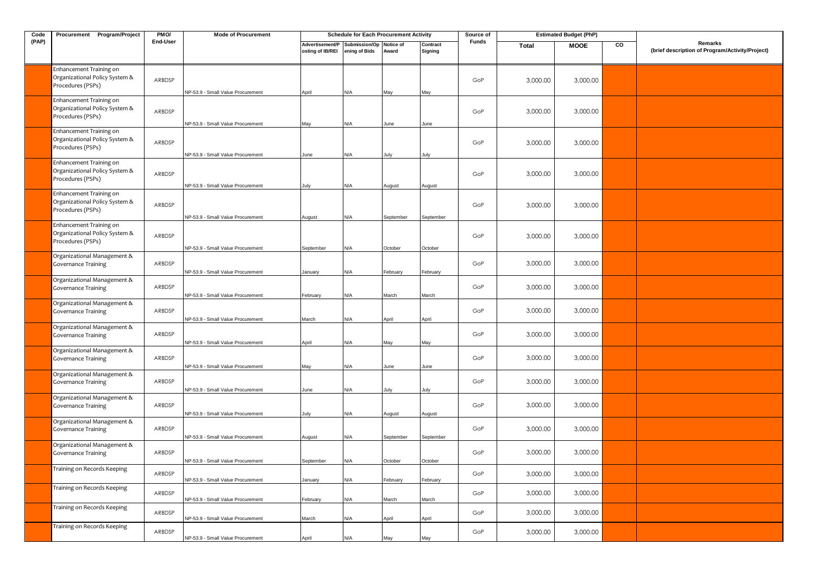| Code  | Procurement Program/Project                                                              | PMO/             | <b>Mode of Procurement</b>                                             |                                     | <b>Schedule for Each Procurement Activity</b> |                    |                     | Source of  |                      | <b>Estimated Budget (PhP)</b> |    |                                                            |
|-------|------------------------------------------------------------------------------------------|------------------|------------------------------------------------------------------------|-------------------------------------|-----------------------------------------------|--------------------|---------------------|------------|----------------------|-------------------------------|----|------------------------------------------------------------|
| (PAP) |                                                                                          | <b>End-User</b>  |                                                                        | Advertisement/P<br>osting of IB/REI | Submission/Op<br>ening of Bids                | Notice of<br>Award | Contract<br>Signing | Funds      | <b>Total</b>         | <b>MOOE</b>                   | CO | Remarks<br>(brief description of Program/Activity/Project) |
|       | Enhancement Training on<br>Organizational Policy System &<br>Procedures (PSPs)           | ARBDSP           | NP-53.9 - Small Value Procurement                                      | April                               | N/A                                           | May                | May                 | GoP        | 3,000.00             | 3,000.00                      |    |                                                            |
|       | Enhancement Training on<br>Organizational Policy System &<br>Procedures (PSPs)           | ARBDSP           | NP-53.9 - Small Value Procurement                                      | May                                 | N/A                                           | June               | June                | GoP        | 3,000.00             | 3,000.00                      |    |                                                            |
|       | Enhancement Training on<br>Organizational Policy System &<br>Procedures (PSPs)           | ARBDSP           | NP-53.9 - Small Value Procurement                                      | June                                | N/A                                           | July               | July                | GoP        | 3,000.00             | 3,000.00                      |    |                                                            |
|       | Enhancement Training on<br>Organizational Policy System &<br>Procedures (PSPs)           | ARBDSP           | NP-53.9 - Small Value Procurement                                      | July                                | N/A                                           | August             | August              | GoP        | 3,000.00             | 3,000.00                      |    |                                                            |
|       | Enhancement Training on<br>Organizational Policy System &<br>Procedures (PSPs)           | ARBDSP           | NP-53.9 - Small Value Procurement                                      | August                              | N/A                                           | September          | September           | GoP        | 3,000.00             | 3,000.00                      |    |                                                            |
|       | Enhancement Training on<br>Organizational Policy System &<br>Procedures (PSPs)           | ARBDSP           | NP-53.9 - Small Value Procurement                                      | September                           | N/A                                           | October            | October             | GoP        | 3,000.00             | 3,000.00                      |    |                                                            |
|       | Organizational Management &<br><b>Governance Training</b>                                | ARBDSP           | NP-53.9 - Small Value Procurement                                      | January                             | N/A                                           | February           | February            | GoP        | 3,000.00             | 3,000.00                      |    |                                                            |
|       | Organizational Management &<br><b>Governance Training</b>                                | ARBDSP           | NP-53.9 - Small Value Procurement                                      | February                            | N/A                                           | March              | March               | GoP        | 3,000.00             | 3,000.00                      |    |                                                            |
|       | Organizational Management &<br><b>Governance Training</b>                                | ARBDSP           | NP-53.9 - Small Value Procurement                                      | March                               | N/A                                           | April              | April               | GoP        | 3,000.00             | 3,000.00                      |    |                                                            |
|       | Organizational Management &<br><b>Governance Training</b><br>Organizational Management & | ARBDSP           | NP-53.9 - Small Value Procurement                                      | April                               | N/A                                           | May                | May                 | GoP        | 3,000.00             | 3,000.00                      |    |                                                            |
|       | <b>Governance Training</b><br>Organizational Management &                                | ARBDSP           | NP-53.9 - Small Value Procurement                                      | May                                 | N/A                                           | June               | June                | GoP        | 3,000.00             | 3,000.00                      |    |                                                            |
|       | <b>Governance Training</b><br>Organizational Management &                                | ARBDSP           | NP-53.9 - Small Value Procurement                                      | June                                | N/A                                           | July               | July                | GoP        | 3,000.00             | 3,000.00                      |    |                                                            |
|       | <b>Governance Training</b><br>Organizational Management &                                | ARBDSP           | NP-53.9 - Small Value Procurement                                      | July                                | N/A                                           | August             | August              | GoP        | 3,000.00             | 3,000.00                      |    |                                                            |
|       | <b>Governance Training</b><br>Organizational Management &                                | ARBDSP           | NP-53.9 - Small Value Procurement                                      | August                              | N/A                                           | September          | September           | GoP        | 3,000.00             | 3,000.00                      |    |                                                            |
|       | <b>Governance Training</b><br>Training on Records Keeping                                | ARBDSP           | NP-53.9 - Small Value Procurement                                      | September                           | N/A                                           | October            | October             | GoP        | 3,000.00             | 3,000.00                      |    |                                                            |
|       | Training on Records Keeping                                                              | ARBDSP<br>ARBDSP | NP-53.9 - Small Value Procurement                                      | January                             | N/A                                           | February           | February            | GoP<br>GoP | 3,000.00<br>3,000.00 | 3,000.00<br>3,000.00          |    |                                                            |
|       | Training on Records Keeping                                                              | ARBDSP           | NP-53.9 - Small Value Procurement<br>NP-53.9 - Small Value Procurement | February<br>March                   | N/A<br>N/A                                    | March<br>April     | March<br>April      | GoP        | 3,000.00             | 3,000.00                      |    |                                                            |
|       | Training on Records Keeping                                                              | ARBDSP           | NP-53.9 - Small Value Procurement                                      | April                               | N/A                                           | May                | May                 | GoP        | 3,000.00             | 3,000.00                      |    |                                                            |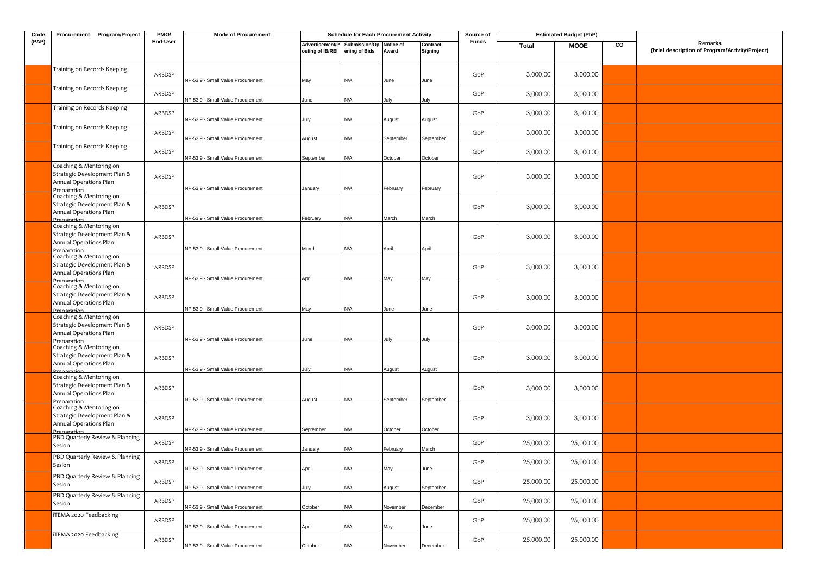| Code  | Procurement Program/Project                                                                                     | PMO/     | <b>Mode of Procurement</b>        |                                     | <b>Schedule for Each Procurement Activity</b> |                    |                     | Source of    |           | <b>Estimated Budget (PhP)</b> |    |                                                            |
|-------|-----------------------------------------------------------------------------------------------------------------|----------|-----------------------------------|-------------------------------------|-----------------------------------------------|--------------------|---------------------|--------------|-----------|-------------------------------|----|------------------------------------------------------------|
| (PAP) |                                                                                                                 | End-User |                                   | Advertisement/P<br>osting of IB/REI | Submission/Op<br>ening of Bids                | Notice of<br>Award | Contract<br>Signing | <b>Funds</b> | Total     | <b>MOOE</b>                   | CO | Remarks<br>(brief description of Program/Activity/Project) |
|       | Training on Records Keeping                                                                                     | ARBDSP   | NP-53.9 - Small Value Procurement | May                                 | ۷/A                                           | June               | June                | GoP          | 3,000.00  | 3,000.00                      |    |                                                            |
|       | Training on Records Keeping                                                                                     | ARBDSP   | NP-53.9 - Small Value Procurement | June                                | N/A                                           | ulv                | July                | GoP          | 3,000.00  | 3,000.00                      |    |                                                            |
|       | Training on Records Keeping                                                                                     | ARBDSP   | NP-53.9 - Small Value Procurement | July                                | N/A                                           | August             | August              | GoP          | 3,000.00  | 3,000.00                      |    |                                                            |
|       | Training on Records Keeping                                                                                     | ARBDSP   | NP-53.9 - Small Value Procurement | August                              | N/A                                           | September          | September           | GoP          | 3,000.00  | 3,000.00                      |    |                                                            |
|       | Training on Records Keeping                                                                                     | ARBDSP   | NP-53.9 - Small Value Procurement | September                           | N/A                                           | October            | October             | GoP          | 3,000.00  | 3,000.00                      |    |                                                            |
|       | Coaching & Mentoring on<br>Strategic Development Plan &<br>Annual Operations Plan<br>Prenaratio                 | ARBDSP   | NP-53.9 - Small Value Procurement | January                             | N/A                                           | February           | February            | GoP          | 3,000.00  | 3,000.00                      |    |                                                            |
|       | Coaching & Mentoring on<br>Strategic Development Plan &<br>Annual Operations Plan<br>Prenaration                | ARBDSP   | NP-53.9 - Small Value Procurement | February                            | N/A                                           | March              | March               | GoP          | 3,000.00  | 3,000.00                      |    |                                                            |
|       | Coaching & Mentoring on<br>Strategic Development Plan &<br>Annual Operations Plan                               | ARBDSP   | NP-53.9 - Small Value Procurement | March                               | ۷/A                                           | April              | April               | GoP          | 3,000.00  | 3,000.00                      |    |                                                            |
|       | Prenaration<br>Coaching & Mentoring on<br>Strategic Development Plan &<br>Annual Operations Plan<br>Preparation | ARBDSP   | NP-53.9 - Small Value Procurement | April                               | N/A                                           | May                | May                 | GoP          | 3,000.00  | 3,000.00                      |    |                                                            |
|       | Coaching & Mentoring on<br>Strategic Development Plan &<br>Annual Operations Plan<br>Prenaration                | ARBDSP   | NP-53.9 - Small Value Procurement | May                                 | N/A                                           | June               | June                | GoP          | 3,000.00  | 3,000.00                      |    |                                                            |
|       | Coaching & Mentoring on<br>Strategic Development Plan &<br>Annual Operations Plan<br>Prenaratio                 | ARBDSP   | NP-53.9 - Small Value Procurement | June                                | N/A                                           | July               | July                | GoP          | 3,000.00  | 3,000.00                      |    |                                                            |
|       | Coaching & Mentoring on<br>Strategic Development Plan &<br>Annual Operations Plan<br>Prenaration                | ARBDSP   | NP-53.9 - Small Value Procurement | July                                | N/A                                           | August             | August              | GoP          | 3,000.00  | 3,000.00                      |    |                                                            |
|       | Coaching & Mentoring on<br>Strategic Development Plan &<br>Annual Operations Plan<br><b>Preparation</b>         | ARBDSP   | NP-53.9 - Small Value Procurement | August                              | N/A                                           | September          | September           | GoP          | 3,000.00  | 3,000.00                      |    |                                                            |
|       | Coaching & Mentoring on<br>Strategic Development Plan &<br>Annual Operations Plan<br>Prenaration                | ARBDSP   | NP-53.9 - Small Value Procurement | September                           | N/A                                           | October            | October             | GoP          | 3,000.00  | 3,000.00                      |    |                                                            |
|       | PBD Quarterly Review & Planning<br>Sesion                                                                       | ARBDSP   | NP-53.9 - Small Value Procurement | anuary                              | ۷/A                                           | February           | March               | GoP          | 25,000.00 | 25,000.00                     |    |                                                            |
|       | PBD Quarterly Review & Planning<br>Sesion                                                                       | ARBDSP   | NP-53.9 - Small Value Procurement | April                               | N/A                                           | May                | June                | GoP          | 25,000.00 | 25,000.00                     |    |                                                            |
|       | PBD Quarterly Review & Planning<br>Sesion                                                                       | ARBDSP   | NP-53.9 - Small Value Procurement | July                                | N/A                                           | August             | September           | GoP          | 25,000.00 | 25,000.00                     |    |                                                            |
|       | PBD Quarterly Review & Planning<br>Sesion                                                                       | ARBDSP   | NP-53.9 - Small Value Procurement | October                             | <b>N/A</b>                                    | November           | December            | GoP          | 25,000.00 | 25,000.00                     |    |                                                            |
|       | iTEMA 2020 Feedbacking                                                                                          | ARBDSP   | NP-53.9 - Small Value Procurement | April                               | N/A                                           | May                | June                | GoP          | 25,000.00 | 25,000.00                     |    |                                                            |
|       | iTEMA 2020 Feedbacking                                                                                          | ARBDSP   | NP-53.9 - Small Value Procurement | October                             | N/A                                           | Vovember           | December            | GoP          | 25,000.00 | 25,000.00                     |    |                                                            |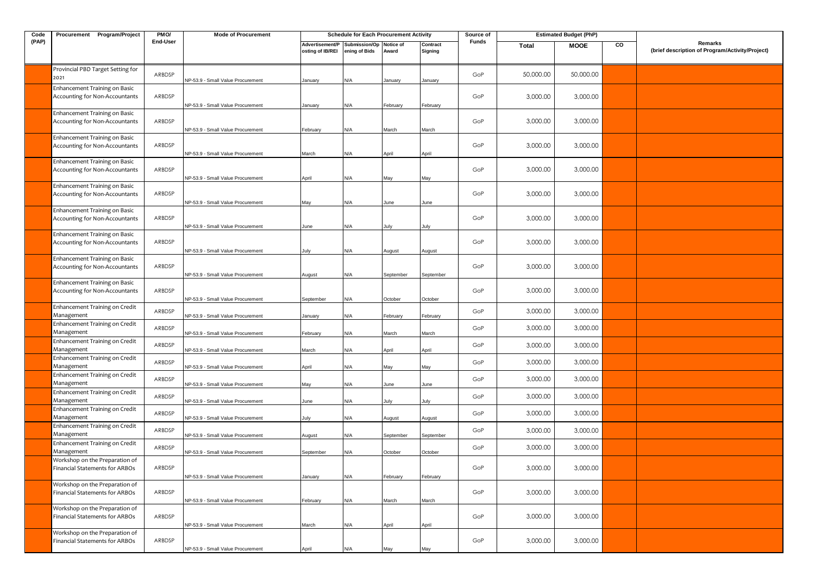| Code  | Procurement Program/Project                                                    | PMO/             | <b>Mode of Procurement</b>                                             |                                     | <b>Schedule for Each Procurement Activity</b> |                     |                     | Source of  | <b>Estimated Budget (PhP)</b> |                      |    |                                                            |
|-------|--------------------------------------------------------------------------------|------------------|------------------------------------------------------------------------|-------------------------------------|-----------------------------------------------|---------------------|---------------------|------------|-------------------------------|----------------------|----|------------------------------------------------------------|
| (PAP) |                                                                                | End-User         |                                                                        | Advertisement/P<br>osting of IB/REI | Submission/Op<br>ening of Bids                | Notice of<br>Award  | Contract<br>Signing | Funds      | Total                         | <b>MOOE</b>          | CO | Remarks<br>(brief description of Program/Activity/Project) |
|       | Provincial PBD Target Setting for<br>2021                                      | ARBDSP           | NP-53.9 - Small Value Procurement                                      | January                             | N/A                                           | January             | January             | GoP        | 50,000.00                     | 50,000.00            |    |                                                            |
|       | Enhancement Training on Basic<br>Accounting for Non-Accountants                | ARBDSP           | NP-53.9 - Small Value Procurement                                      | January                             | N/A                                           | February            | February            | GoP        | 3,000.00                      | 3,000.00             |    |                                                            |
|       | Enhancement Training on Basic<br>Accounting for Non-Accountants                | ARBDSP           | NP-53.9 - Small Value Procurement                                      | February                            | N/A                                           | March               | March               | GoP        | 3,000.00                      | 3,000.00             |    |                                                            |
|       | Enhancement Training on Basic<br>Accounting for Non-Accountants                | ARBDSP           |                                                                        |                                     |                                               |                     |                     | GoP        | 3,000.00                      | 3,000.00             |    |                                                            |
|       | Enhancement Training on Basic<br>Accounting for Non-Accountants                | ARBDSP           | NP-53.9 - Small Value Procurement                                      | March                               | N/A                                           | April               | April               | GoP        | 3,000.00                      | 3,000.00             |    |                                                            |
|       | Enhancement Training on Basic<br>Accounting for Non-Accountants                | ARBDSP           | NP-53.9 - Small Value Procurement                                      | April                               | N/A                                           | May                 | May                 | GoP        | 3,000.00                      | 3,000.00             |    |                                                            |
|       | Enhancement Training on Basic<br>Accounting for Non-Accountants                | ARBDSP           | NP-53.9 - Small Value Procurement                                      | May                                 | N/A                                           | June                | June                | GoP        | 3,000.00                      | 3,000.00             |    |                                                            |
|       | Enhancement Training on Basic<br>Accounting for Non-Accountants                | ARBDSP           | NP-53.9 - Small Value Procurement                                      | June                                | N/A                                           | July                | July                | GoP        | 3,000.00                      | 3,000.00             |    |                                                            |
|       | <b>Enhancement Training on Basic</b><br>Accounting for Non-Accountants         | ARBDSP           | NP-53.9 - Small Value Procurement                                      | July                                | N/A                                           | August              | August              | GoP        | 3,000.00                      | 3,000.00             |    |                                                            |
|       | Enhancement Training on Basic<br>Accounting for Non-Accountants                | ARBDSP           | NP-53.9 - Small Value Procurement                                      | August                              | N/A                                           | September           | September           | GoP        | 3,000.00                      | 3,000.00             |    |                                                            |
|       | Enhancement Training on Credit<br>Management                                   | ARBDSP           | NP-53.9 - Small Value Procurement<br>NP-53.9 - Small Value Procurement | September<br>January                | N/A<br>N/A                                    | October<br>February | October<br>February | GoP        | 3,000.00                      | 3,000.00             |    |                                                            |
|       | Enhancement Training on Credit<br>Management                                   | ARBDSP           | NP-53.9 - Small Value Procurement                                      | February                            | N/A                                           | March               | March               | GoP        | 3,000.00                      | 3,000.00             |    |                                                            |
|       | Enhancement Training on Credit<br>Management<br>Enhancement Training on Credit | ARBDSP           | NP-53.9 - Small Value Procurement                                      | March                               | N/A                                           | April               | April               | GoP        | 3,000.00                      | 3,000.00             |    |                                                            |
|       | Management<br>Enhancement Training on Credit                                   | ARBDSP<br>ARBDSP | NP-53.9 - Small Value Procurement                                      | April                               | N/A                                           | May                 | May                 | GoP<br>GoP | 3,000.00<br>3,000.00          | 3,000.00<br>3,000.00 |    |                                                            |
|       | Management<br>Enhancement Training on Credit<br>Management                     | ARBDSP           | NP-53.9 - Small Value Procurement                                      | May                                 | N/A                                           | lune                | June                | GoP        | 3,000.00                      | 3,000.00             |    |                                                            |
|       | Enhancement Training on Credit<br>Management                                   | ARBDSP           | NP-53.9 - Small Value Procurement<br>NP-53.9 - Small Value Procurement | June<br>July                        | N/A<br>N/A                                    | luly<br>August      | July<br>August      | GoP        | 3,000.00                      | 3,000.00             |    |                                                            |
|       | Enhancement Training on Credit<br>Management                                   | ARBDSP           | NP-53.9 - Small Value Procurement                                      | August                              | N/A                                           | September           | September           | GoP        | 3,000.00                      | 3,000.00             |    |                                                            |
|       | Enhancement Training on Credit<br>Management<br>Workshop on the Preparation of | ARBDSP           | NP-53.9 - Small Value Procurement                                      | September                           | N/A                                           | October             | October             | GoP        | 3,000.00                      | 3,000.00             |    |                                                            |
|       | Financial Statements for ARBOs<br>Workshop on the Preparation of               | ARBDSP           | NP-53.9 - Small Value Procurement                                      | January                             | N/A                                           | February            | February            | GoP        | 3,000.00                      | 3,000.00             |    |                                                            |
|       | Financial Statements for ARBOs<br>Workshop on the Preparation of               | ARBDSP           | NP-53.9 - Small Value Procurement                                      | February                            | N/A                                           | March               | March               | GoP        | 3,000.00                      | 3,000.00             |    |                                                            |
|       | Financial Statements for ARBOs                                                 | ARBDSP           | NP-53.9 - Small Value Procurement                                      | March                               | N/A                                           | April               | April               | GoP        | 3,000.00                      | 3,000.00             |    |                                                            |
|       | Workshop on the Preparation of<br>Financial Statements for ARBOs               | ARBDSP           | NP-53.9 - Small Value Procurement                                      | April                               | N/A                                           | May                 | May                 | GoP        | 3,000.00                      | 3,000.00             |    |                                                            |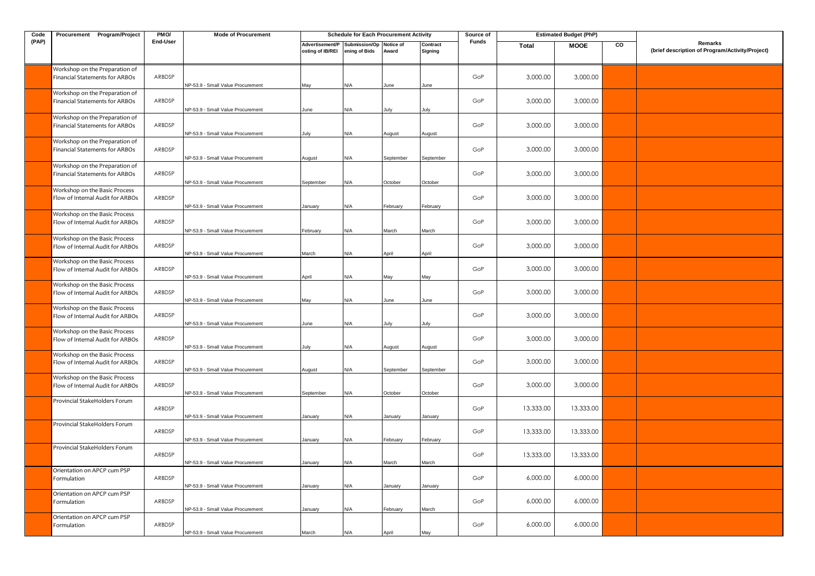| Code  | Procurement Program/Project                                       | PMO/            | <b>Mode of Procurement</b>        |                                                             | <b>Schedule for Each Procurement Activity</b> |           |                     | Source of    |           | <b>Estimated Budget (PhP)</b> |    |                                                            |
|-------|-------------------------------------------------------------------|-----------------|-----------------------------------|-------------------------------------------------------------|-----------------------------------------------|-----------|---------------------|--------------|-----------|-------------------------------|----|------------------------------------------------------------|
| (PAP) |                                                                   | <b>End-User</b> |                                   | Advertisement/P Submission/Op Notice of<br>osting of IB/REI | ening of Bids                                 | Award     | Contract<br>Signing | <b>Funds</b> | Total     | <b>MOOE</b>                   | CO | Remarks<br>(brief description of Program/Activity/Project) |
|       | Workshop on the Preparation of<br>Financial Statements for ARBOs  | ARBDSP          | NP-53.9 - Small Value Procurement | May                                                         | N/A                                           | une       | lune                | GoP          | 3,000.00  | 3,000.00                      |    |                                                            |
|       | Workshop on the Preparation of<br>Financial Statements for ARBOs  | ARBDSP          | NP-53.9 - Small Value Procurement | June                                                        | N/A                                           | July      | July                | GoP          | 3,000.00  | 3,000.00                      |    |                                                            |
|       | Workshop on the Preparation of<br>Financial Statements for ARBOs  | ARBDSP          | NP-53.9 - Small Value Procurement | July                                                        | N/A                                           | August    | August              | GoP          | 3,000.00  | 3,000.00                      |    |                                                            |
|       | Workshop on the Preparation of<br>Financial Statements for ARBOs  | ARBDSP          | NP-53.9 - Small Value Procurement | August                                                      | N/A                                           | September | September           | GoP          | 3,000.00  | 3,000.00                      |    |                                                            |
|       | Workshop on the Preparation of<br>Financial Statements for ARBOs  | ARBDSP          | NP-53.9 - Small Value Procurement | September                                                   | N/A                                           | October   | October             | GoP          | 3,000.00  | 3,000.00                      |    |                                                            |
|       | Workshop on the Basic Process<br>Flow of Internal Audit for ARBOs | ARBDSP          | NP-53.9 - Small Value Procurement | January                                                     | N/A                                           | February  | February            | GoP          | 3,000.00  | 3,000.00                      |    |                                                            |
|       | Workshop on the Basic Process<br>Flow of Internal Audit for ARBOs | ARBDSP          | NP-53.9 - Small Value Procurement | February                                                    | N/A                                           | March     | March               | GoP          | 3,000.00  | 3,000.00                      |    |                                                            |
|       | Workshop on the Basic Process<br>Flow of Internal Audit for ARBOs | ARBDSP          | NP-53.9 - Small Value Procurement | <b>Aarch</b>                                                | N/A                                           | April     | April               | GoP          | 3,000.00  | 3,000.00                      |    |                                                            |
|       | Workshop on the Basic Process<br>Flow of Internal Audit for ARBOs | ARBDSP          | NP-53.9 - Small Value Procurement | April                                                       | N/A                                           | May       | May                 | GoP          | 3,000.00  | 3,000.00                      |    |                                                            |
|       | Workshop on the Basic Process<br>Flow of Internal Audit for ARBOs | ARBDSP          | NP-53.9 - Small Value Procurement | May                                                         | N/A                                           | June      | June                | GoP          | 3,000.00  | 3,000.00                      |    |                                                            |
|       | Workshop on the Basic Process<br>Flow of Internal Audit for ARBOs | ARBDSP          | NP-53.9 - Small Value Procurement | June                                                        | N/A                                           | July      | July                | GoP          | 3,000.00  | 3,000.00                      |    |                                                            |
|       | Workshop on the Basic Process<br>Flow of Internal Audit for ARBOs | ARBDSP          | NP-53.9 - Small Value Procurement | July                                                        | N/A                                           | August    | August              | GoP          | 3,000.00  | 3,000.00                      |    |                                                            |
|       | Workshop on the Basic Process<br>Flow of Internal Audit for ARBOs | ARBDSP          | NP-53.9 - Small Value Procurement | August                                                      | N/A                                           | September | September           | GoP          | 3,000.00  | 3,000.00                      |    |                                                            |
|       | Workshop on the Basic Process<br>Flow of Internal Audit for ARBOs | ARBDSP          | NP-53.9 - Small Value Procurement | September                                                   | N/A                                           | October   | October             | GoP          | 3,000.00  | 3,000.00                      |    |                                                            |
|       | Provincial StakeHolders Forum                                     | ARBDSP          | NP-53.9 - Small Value Procurement | January                                                     | N/A                                           | lanuary   | January             | GoP          | 13,333.00 | 13,333.00                     |    |                                                            |
|       | Provincial StakeHolders Forum                                     | ARBDSP          | NP-53.9 - Small Value Procurement | January                                                     | N/A                                           | February  | February            | GoP          | 13,333.00 | 13,333.00                     |    |                                                            |
|       | Provincial StakeHolders Forum                                     | ARBDSP          | NP-53.9 - Small Value Procurement | January                                                     | N/A                                           | March     | March               | GoP          | 13,333.00 | 13,333.00                     |    |                                                            |
|       | Orientation on APCP cum PSP<br>Formulation                        | ARBDSP          | NP-53.9 - Small Value Procurement | January                                                     | N/A                                           | January   | January             | GoP          | 6,000.00  | 6,000.00                      |    |                                                            |
|       | Orientation on APCP cum PSP<br>Formulation                        | ARBDSP          | NP-53.9 - Small Value Procurement | January                                                     | N/A                                           | February  | March               | GoP          | 6,000.00  | 6,000.00                      |    |                                                            |
|       | Orientation on APCP cum PSP<br>Formulation                        | ARBDSP          | NP-53.9 - Small Value Procurement | March                                                       | N/A                                           | April     | May                 | GoP          | 6,000.00  | 6,000.00                      |    |                                                            |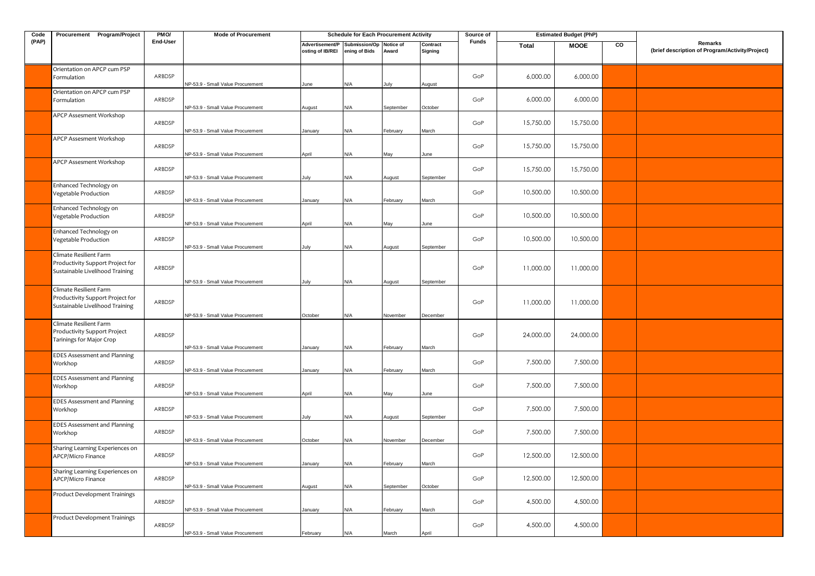| Code  | Procurement Program/Project                                                                   | PMO/     | <b>Mode of Procurement</b>        |                                                             | <b>Schedule for Each Procurement Activity</b> |                    |                       | Source of    | <b>Estimated Budget (PhP)</b> |             |    |                                                            |
|-------|-----------------------------------------------------------------------------------------------|----------|-----------------------------------|-------------------------------------------------------------|-----------------------------------------------|--------------------|-----------------------|--------------|-------------------------------|-------------|----|------------------------------------------------------------|
| (PAP) |                                                                                               | End-User |                                   | Advertisement/P Submission/Op Notice of<br>osting of IB/REI | ening of Bids                                 | Award              | Contract<br>Signing   | <b>Funds</b> | Total                         | <b>MOOE</b> | CO | Remarks<br>(brief description of Program/Activity/Project) |
|       | Orientation on APCP cum PSP<br>Formulation                                                    | ARBDSP   | NP-53.9 - Small Value Procurement | June                                                        | N/A                                           | July               | August                | GoP          | 6,000.00                      | 6,000.00    |    |                                                            |
|       | Orientation on APCP cum PSP<br>Formulation                                                    | ARBDSP   | NP-53.9 - Small Value Procurement | August                                                      | N/A                                           | September          | October               | GoP          | 6,000.00                      | 6,000.00    |    |                                                            |
|       | APCP Assesment Workshop                                                                       | ARBDSP   | NP-53.9 - Small Value Procurement | January                                                     | N/A                                           | February           | March                 | GoP          | 15,750.00                     | 15,750.00   |    |                                                            |
|       | APCP Assesment Workshop                                                                       | ARBDSP   | NP-53.9 - Small Value Procurement | April                                                       | N/A                                           | May                | June                  | GoP          | 15,750.00                     | 15,750.00   |    |                                                            |
|       | APCP Assesment Workshop                                                                       | ARBDSP   | NP-53.9 - Small Value Procurement | July                                                        | N/A                                           | August             | September             | GoP          | 15,750.00                     | 15,750.00   |    |                                                            |
|       | Enhanced Technology on<br>Vegetable Production                                                | ARBDSP   | NP-53.9 - Small Value Procurement | January                                                     | N/A                                           | February           | March                 | GoP          | 10,500.00                     | 10,500.00   |    |                                                            |
|       | Enhanced Technology on<br>Vegetable Production                                                | ARBDSP   | NP-53.9 - Small Value Procurement | April                                                       | <b>N/A</b>                                    | May                | June                  | GoP          | 10,500.00                     | 10,500.00   |    |                                                            |
|       | Enhanced Technology on<br>Vegetable Production                                                | ARBDSP   | NP-53.9 - Small Value Procurement | July                                                        | N/A                                           | August             | September             | GoP          | 10,500.00                     | 10,500.00   |    |                                                            |
|       | Climate Resilient Farm<br>Productivity Support Project for<br>Sustainable Livelihood Training | ARBDSP   | NP-53.9 - Small Value Procurement |                                                             | N/A                                           |                    |                       | GoP          | 11,000.00                     | 11,000.00   |    |                                                            |
|       | Climate Resilient Farm<br>Productivity Support Project for<br>Sustainable Livelihood Training | ARBDSP   | NP-53.9 - Small Value Procurement | July<br>October                                             | N/A                                           | August<br>November | September<br>December | GoP          | 11,000.00                     | 11,000.00   |    |                                                            |
|       | Climate Resilient Farm<br>Productivity Support Project<br>Tarinings for Major Crop            | ARBDSP   | NP-53.9 - Small Value Procurement | January                                                     | N/A                                           | February           | March                 | GoP          | 24,000.00                     | 24,000.00   |    |                                                            |
|       | <b>EDES Assessment and Planning</b><br>Workhop                                                | ARBDSP   | NP-53.9 - Small Value Procurement | January                                                     | N/A                                           | February           | March                 | GoP          | 7,500.00                      | 7,500.00    |    |                                                            |
|       | <b>EDES Assessment and Planning</b><br>Workhop                                                | ARBDSP   | NP-53.9 - Small Value Procurement | April                                                       | N/A                                           | May                | June                  | GoP          | 7,500.00                      | 7,500.00    |    |                                                            |
|       | <b>EDES Assessment and Planning</b><br>Workhop                                                | ARBDSP   | NP-53.9 - Small Value Procurement | July                                                        | N/A                                           | August             | September             | GoP          | 7,500.00                      | 7,500.00    |    |                                                            |
|       | <b>EDES Assessment and Planning</b><br>Workhop                                                | ARBDSP   | NP-53.9 - Small Value Procurement | October                                                     | N/A                                           | November           | December              | GoP          | 7,500.00                      | 7,500.00    |    |                                                            |
|       | Sharing Learning Experiences on<br>APCP/Micro Finance                                         | ARBDSP   | NP-53.9 - Small Value Procurement | January                                                     | N/A                                           | February           | March                 | GoP          | 12,500.00                     | 12,500.00   |    |                                                            |
|       | Sharing Learning Experiences on<br>APCP/Micro Finance                                         | ARBDSP   | NP-53.9 - Small Value Procurement | August                                                      | N/A                                           | September          | October               | GoP          | 12,500.00                     | 12,500.00   |    |                                                            |
|       | Product Development Trainings                                                                 | ARBDSP   | NP-53.9 - Small Value Procurement | January                                                     | N/A                                           | February           | March                 | GoP          | 4,500.00                      | 4,500.00    |    |                                                            |
|       | Product Development Trainings                                                                 | ARBDSP   | NP-53.9 - Small Value Procurement | February                                                    | N/A                                           | March              | April                 | GoP          | 4,500.00                      | 4,500.00    |    |                                                            |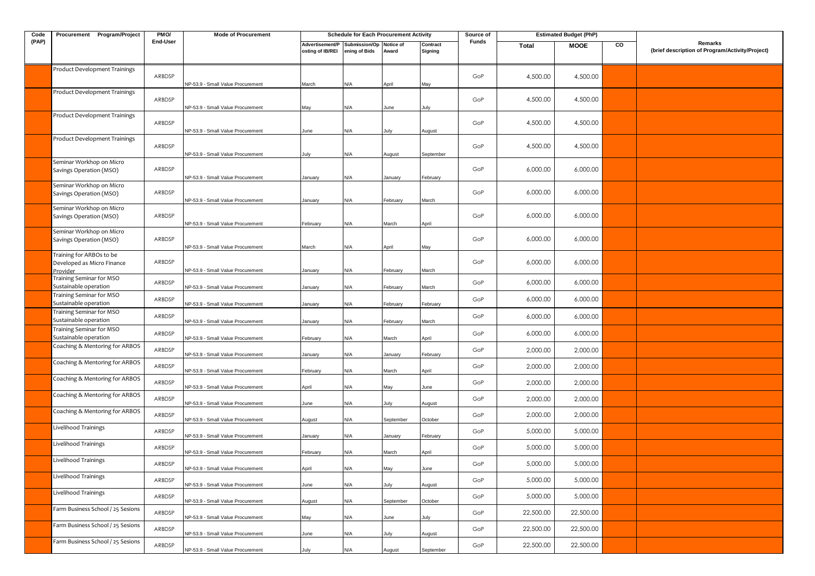| Code  | Procurement Program/Project                                        | PMO/     | <b>Mode of Procurement</b>        |                                     | <b>Schedule for Each Procurement Activity</b> |                    |                     | Source of      | <b>Estimated Budget (PhP)</b> |             |    |                                                            |
|-------|--------------------------------------------------------------------|----------|-----------------------------------|-------------------------------------|-----------------------------------------------|--------------------|---------------------|----------------|-------------------------------|-------------|----|------------------------------------------------------------|
| (PAP) |                                                                    | End-User |                                   | Advertisement/P<br>osting of IB/REI | Submission/Op<br>ening of Bids                | Notice of<br>Award | Contract<br>Signing | Funds          | Total                         | <b>MOOE</b> | CO | Remarks<br>(brief description of Program/Activity/Project) |
|       | Product Development Trainings                                      | ARBDSP   | NP-53.9 - Small Value Procurement | March                               | N/A                                           | April              | May                 | GoP            | 4,500.00                      | 4,500.00    |    |                                                            |
|       | Product Development Trainings                                      | ARBDSP   | NP-53.9 - Small Value Procurement | May                                 | N/A                                           | June               | July                | GoP            | 4,500.00                      | 4,500.00    |    |                                                            |
|       | Product Development Trainings                                      | ARBDSP   | NP-53.9 - Small Value Procurement | June                                | N/A                                           | July               | August              | GoP            | 4,500.00                      | 4,500.00    |    |                                                            |
|       | Product Development Trainings                                      | ARBDSP   | NP-53.9 - Small Value Procurement | July                                | N/A                                           | August             | September           | GoP            | 4,500.00                      | 4,500.00    |    |                                                            |
|       | Seminar Workhop on Micro<br>Savings Operation (MSO)                | ARBDSP   | NP-53.9 - Small Value Procurement | January                             | N/A                                           | January            | February            | GoP            | 6,000.00                      | 6,000.00    |    |                                                            |
|       | Seminar Workhop on Micro<br>Savings Operation (MSO)                | ARBDSP   | NP-53.9 - Small Value Procurement | January                             | N/A                                           | February           | March               | GoP            | 6,000.00                      | 6,000.00    |    |                                                            |
|       | Seminar Workhop on Micro<br>Savings Operation (MSO)                | ARBDSP   | NP-53.9 - Small Value Procurement | February                            | N/A                                           | March              | April               | GoP            | 6,000.00                      | 6,000.00    |    |                                                            |
|       | Seminar Workhop on Micro<br>Savings Operation (MSO)                | ARBDSP   | NP-53.9 - Small Value Procurement | March                               | N/A                                           | April              | May                 | GoP            | 6,000.00                      | 6,000.00    |    |                                                            |
|       | Training for ARBOs to be<br>Developed as Micro Finance<br>Provider | ARBDSP   | NP-53.9 - Small Value Procurement | January                             | N/A                                           | February           | March               | GoP            | 6,000.00                      | 6,000.00    |    |                                                            |
|       | Training Seminar for MSO<br>Sustainable operation                  | ARBDSP   | NP-53.9 - Small Value Procurement | January                             | N/A                                           | February           | March               | GoP            | 6,000.00                      | 6,000.00    |    |                                                            |
|       | Training Seminar for MSO<br>Sustainable operation                  | ARBDSP   | NP-53.9 - Small Value Procurement | January                             | N/A                                           | February           | February            | GoP            | 6,000.00                      | 6,000.00    |    |                                                            |
|       | Training Seminar for MSO<br>Sustainable operation                  | ARBDSP   | NP-53.9 - Small Value Procurement | January                             | N/A                                           | February           | March               | GoP            | 6,000.00                      | 6,000.00    |    |                                                            |
|       | Training Seminar for MSO<br>Sustainable operation                  | ARBDSP   | NP-53.9 - Small Value Procurement | February                            | N/A                                           | March              | April               | GoP            | 6,000.00                      | 6,000.00    |    |                                                            |
|       | Coaching & Mentoring for ARBOS                                     | ARBDSP   | NP-53.9 - Small Value Procurement | January                             | N/A                                           | January            | February            | GoP            | 2,000.00                      | 2,000.00    |    |                                                            |
|       | Coaching & Mentoring for ARBOS                                     | ARBDSP   | NP-53.9 - Small Value Procurement | February                            | N/A                                           | March              | April               | GoP            | 2,000.00                      | 2,000.00    |    |                                                            |
|       | Coaching & Mentoring for ARBOS                                     | ARBDSP   | NP-53.9 - Small Value Procurement | April                               | N/A                                           | May                | June                | GoP            | 2,000.00                      | 2,000.00    |    |                                                            |
|       | Coaching & Mentoring for ARBOS                                     | ARBDSP   | NP-53.9 - Small Value Procurement | June                                | N/A                                           | July               | August              | GoP            | 2,000.00                      | 2,000.00    |    |                                                            |
|       | Coaching & Mentoring for ARBOS                                     | ARBDSP   | NP-53.9 - Small Value Procurement | August                              | N/A                                           | September          | October             | GoP            | 2,000.00                      | 2,000.00    |    |                                                            |
|       | Livelihood Trainings                                               | ARBDSP   | NP-53.9 - Small Value Procurement | January                             | N/A                                           | January            | February            | GoP            | 5,000.00                      | 5,000.00    |    |                                                            |
|       | Livelihood Trainings                                               | ARBDSP   | NP-53.9 - Small Value Procurement | February                            | N/A                                           | March              | April               | GoP            | 5,000.00                      | 5,000.00    |    |                                                            |
|       | Livelihood Trainings                                               | ARBDSP   | NP-53.9 - Small Value Procurement | April                               | N/A                                           | May                | June                | $\mathsf{GoP}$ | 5,000.00                      | 5,000.00    |    |                                                            |
|       | Livelihood Trainings                                               | ARBDSP   | NP-53.9 - Small Value Procurement | June                                | N/A                                           | July               | August              | GoP            | 5,000.00                      | 5,000.00    |    |                                                            |
|       | Livelihood Trainings                                               | ARBDSP   | NP-53.9 - Small Value Procurement | August                              | N/A                                           | September          | October             | GoP            | 5,000.00                      | 5,000.00    |    |                                                            |
|       | Farm Business School / 25 Sesions                                  | ARBDSP   | NP-53.9 - Small Value Procurement | May                                 | N/A                                           | June               | July                | GoP            | 22,500.00                     | 22,500.00   |    |                                                            |
|       | Farm Business School / 25 Sesions                                  | ARBDSP   | NP-53.9 - Small Value Procurement | June                                | N/A                                           | July               | August              | GoP            | 22,500.00                     | 22,500.00   |    |                                                            |
|       | Farm Business School / 25 Sesions                                  | ARBDSP   | NP-53.9 - Small Value Procurement | July                                | N/A                                           | August             | September           | GoP            | 22,500.00                     | 22,500.00   |    |                                                            |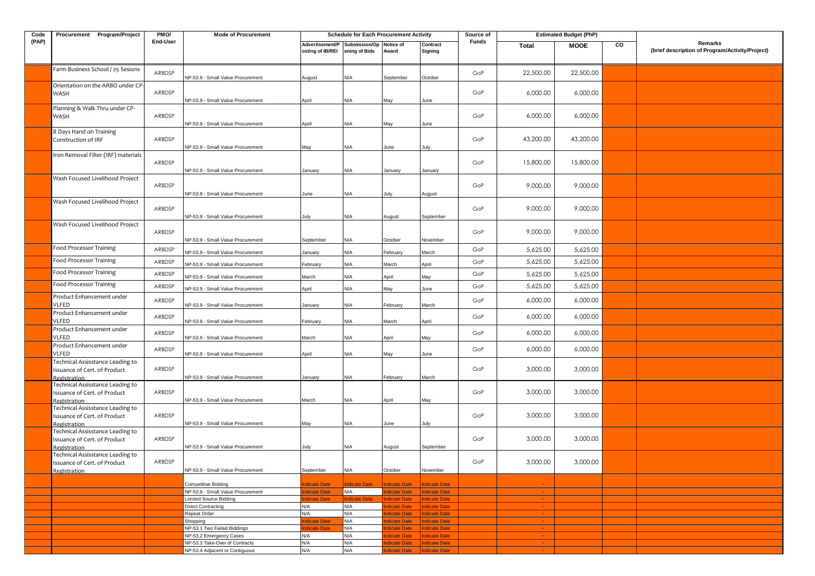| Code  | Procurement Program/Project                                                      | PMO/             | <b>Mode of Procurement</b>                                       |                                     |                                |                                      | <b>Schedule for Each Procurement Activity</b> |            | <b>Estimated Budget (PhP)</b><br>Source of |                      |    |                                                            |
|-------|----------------------------------------------------------------------------------|------------------|------------------------------------------------------------------|-------------------------------------|--------------------------------|--------------------------------------|-----------------------------------------------|------------|--------------------------------------------|----------------------|----|------------------------------------------------------------|
| (PAP) |                                                                                  | End-User         |                                                                  | Advertisement/P<br>osting of IB/REI | Submission/Op<br>ening of Bids | Notice of<br>Award                   | Contract<br>Signing                           | Funds      | <b>Total</b>                               | <b>MOOE</b>          | CO | Remarks<br>(brief description of Program/Activity/Project) |
|       | Farm Business School / 25 Sesions                                                | ARBDSP           | NP-53.9 - Small Value Procurement                                | August                              | N/A                            | September                            | October                                       | GoP        | 22,500.00                                  | 22,500.00            |    |                                                            |
|       | Orientation on the ARBO under CP-<br>WASH                                        | ARBDSP           | NP-53.9 - Small Value Procurement                                | April                               | N/A                            | May                                  | June                                          | GoP        | 6,000.00                                   | 6,000.00             |    |                                                            |
|       | Planning & Walk Thru under CP-<br>WASH                                           | ARBDSP           |                                                                  |                                     |                                |                                      |                                               | GoP        | 6,000.00                                   | 6,000.00             |    |                                                            |
|       | 8 Days Hand on Training<br>Construction of IRF                                   | ARBDSP           | NP-53.9 - Small Value Procurement                                | April                               | N/A                            | May                                  | June                                          | GoP        | 43,200.00                                  | 43,200.00            |    |                                                            |
|       | Iron Removal Filter (IRF) materials                                              | ARBDSP           | NP-53.9 - Small Value Procurement                                | May                                 | N/A                            | June                                 | July                                          | GoP        | 15,800.00                                  | 15,800.00            |    |                                                            |
|       | Wash Focused Livelihood Project                                                  | ARBDSP           | NP-53.9 - Small Value Procurement                                | January                             | N/A                            | January                              | January                                       | GoP        | 9,000.00                                   | 9,000.00             |    |                                                            |
|       | Wash Focused Livelihood Project                                                  | ARBDSP           | NP-53.9 - Small Value Procurement                                | June                                | N/A                            | July                                 | August                                        | GoP        | 9,000.00                                   | 9,000.00             |    |                                                            |
|       | Wash Focused Livelihood Project                                                  |                  | NP-53.9 - Small Value Procurement                                | July                                | N/A                            | August                               | September                                     |            |                                            |                      |    |                                                            |
|       |                                                                                  | ARBDSP           | NP-53.9 - Small Value Procurement                                | September                           | N/A                            | October                              | November                                      | GoP        | 9,000.00                                   | 9,000.00             |    |                                                            |
|       | Food Processor Training                                                          | ARBDSP           | NP-53.9 - Small Value Procurement                                | January                             | N/A                            | February                             | March                                         | GoP        | 5,625.00                                   | 5,625.00             |    |                                                            |
|       | Food Processor Training                                                          | ARBDSP           | NP-53.9 - Small Value Procurement                                | February                            | N/A                            | March                                | April                                         | GoP        | 5,625.00                                   | 5,625.00             |    |                                                            |
|       | <b>Food Processor Training</b>                                                   | ARBDSP           | NP-53.9 - Small Value Procurement                                | March                               | N/A                            | April                                | May                                           | GoP        | 5,625.00                                   | 5,625.00             |    |                                                            |
|       | <b>Food Processor Training</b>                                                   | ARBDSP           | NP-53.9 - Small Value Procurement                                | April                               | N/A                            | May                                  | June                                          | GoP        | 5,625.00                                   | 5,625.00             |    |                                                            |
|       | Product Enhancement under<br>VLFED                                               | ARBDSP           | NP-53.9 - Small Value Procurement                                | anuary                              | N/A                            | February                             | March                                         | GoP        | 6,000.00                                   | 6,000.00             |    |                                                            |
|       | Product Enhancement under<br>VLFED<br>Product Enhancement under                  | ARBDSP           | NP-53.9 - Small Value Procurement                                | February                            | N/A                            | March                                | April                                         | GoP        | 6,000.00                                   | 6,000.00             |    |                                                            |
|       | VLFED<br>Product Enhancement under                                               | ARBDSP<br>ARBDSP | NP-53.9 - Small Value Procurement                                | March                               | N/A                            | April                                | May                                           | GoP<br>GoP | 6,000.00<br>6,000.00                       | 6,000.00<br>6,000.00 |    |                                                            |
|       | VLFED<br>Technical Assisstance Leading to<br>Issuance of Cert. of Product        | ARBDSP           | NP-53.9 - Small Value Procurement                                | April                               | N/A                            | May                                  | June                                          | GoP        | 3,000.00                                   | 3,000.00             |    |                                                            |
|       | Registration<br>Technical Assisstance Leading to                                 |                  | NP-53.9 - Small Value Procurement                                | January                             | N/A                            | February                             | March                                         |            |                                            |                      |    |                                                            |
|       | Issuance of Cert. of Product<br>Registration<br>Technical Assisstance Leading to | ARBDSP           | NP-53.9 - Small Value Procurement                                | March                               | N/A                            | April                                | May                                           | GoP        | 3,000.00                                   | 3,000.00             |    |                                                            |
|       | Issuance of Cert. of Product<br>Registration                                     | ARBDSP           | NP-53.9 - Small Value Procurement                                | May                                 | N/A                            | June                                 | July                                          | GoP        | 3,000.00                                   | 3,000.00             |    |                                                            |
|       | Technical Assisstance Leading to<br>Issuance of Cert. of Product<br>Registration | ARBDSP           | NP-53.9 - Small Value Procurement                                | July                                | N/A                            | August                               | September                                     | GoP        | 3,000.00                                   | 3,000.00             |    |                                                            |
|       | Technical Assisstance Leading to<br>Issuance of Cert. of Product<br>Registration | ARBDSP           | NP-53.9 - Small Value Procurement                                | September                           | N/A                            | October                              | November                                      | GoP        | 3,000.00                                   | 3,000.00             |    |                                                            |
|       |                                                                                  |                  |                                                                  |                                     |                                |                                      |                                               |            |                                            |                      |    |                                                            |
|       |                                                                                  |                  | Competitive Bidding<br>NP-53.9 - Small Value Procurement         | dicate Date<br><b>ndicate Date</b>  | ndicate Date<br>N/A            | <b>Indicate Date</b><br>ndicate Date | <b>Indicate Date</b><br><b>Indicate Date</b>  |            |                                            |                      |    |                                                            |
|       |                                                                                  |                  | Limited Source Bidding                                           | dicate Date                         | <b>Indicate Date</b>           | <b>Indicate Date</b>                 | <b>Indicate Date</b>                          |            | $\sim$                                     |                      |    |                                                            |
|       |                                                                                  |                  | Direct Contracting<br>Repeat Order                               | N/A<br>N/A                          | N/A                            | dicate Date                          | <b>Indicate Date</b>                          |            | $\sim$                                     |                      |    |                                                            |
|       |                                                                                  |                  | Shopping                                                         | dicate Date                         | N/A<br>N/A                     | dicate Date<br>dicate Date           | Indicate Date<br>Indicate Date                |            | $\sim$                                     |                      |    |                                                            |
|       |                                                                                  |                  | NP-53.1 Two Failed Biddings                                      | dicate Date                         | N/A                            | ndicate Date                         | Indicate Date                                 |            | $\sim 10$                                  |                      |    |                                                            |
|       |                                                                                  |                  | NP-53.2 Emergency Cases                                          | N/A<br>N/A                          | N/A<br>N/A                     | dicate Date<br>ndicate Date          | <b>Indicate Date</b><br><b>Indicate Date</b>  |            | $\sim$                                     |                      |    |                                                            |
|       |                                                                                  |                  | NP-53.3 Take-Over of Contracts<br>NP-53.4 Adjacent or Contiguous | N/A                                 | N/A                            | dicate Date                          | <b>Indicate Date</b>                          |            |                                            |                      |    |                                                            |